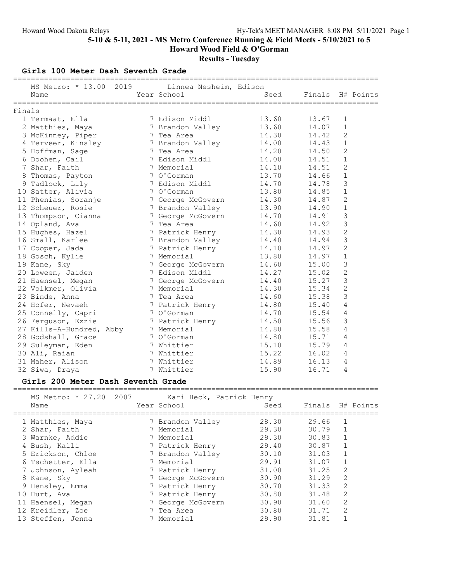Results - Tuesday

Girls 100 Meter Dash Seventh Grade

|        | MS Metro: * 13.00 2019 Linnea Nesheim, Edison<br>Name | =============== | Year School       | ==================================<br>Seed | Finals H# Points |                |  |
|--------|-------------------------------------------------------|-----------------|-------------------|--------------------------------------------|------------------|----------------|--|
|        |                                                       |                 |                   |                                            |                  |                |  |
| Finals |                                                       |                 |                   |                                            |                  |                |  |
|        | 1 Termaat, Ella                                       |                 | 7 Edison Middl    | 13.60                                      | 13.67            | $\mathbf{1}$   |  |
|        | 2 Matthies, Maya                                      |                 | 7 Brandon Valley  | 13.60                                      | 14.07            | $\mathbf 1$    |  |
|        | 3 McKinney, Piper                                     |                 | 7 Tea Area        | 14.30                                      | 14.42            | 2              |  |
|        | 4 Terveer, Kinsley                                    |                 | 7 Brandon Valley  | 14.00                                      | 14.43            | $\mathbf{1}$   |  |
|        | 5 Hoffman, Sage                                       |                 | 7 Tea Area        | 14.20                                      | 14.50            | 2              |  |
|        | 6 Doohen, Cail                                        |                 | 7 Edison Middl    | 14.00                                      | 14.51            | $\mathbf{1}$   |  |
|        | 7 Shar, Faith                                         |                 | 7 Memorial        | 14.10                                      | 14.51            | $\overline{c}$ |  |
|        | 8 Thomas, Payton                                      |                 | 7 O'Gorman        | 13.70                                      | 14.66            | $\mathbf{1}$   |  |
|        | 9 Tadlock, Lily                                       |                 | 7 Edison Middl    | 14.70                                      | 14.78            | 3              |  |
|        | 10 Satter, Alivia                                     |                 | 7 O'Gorman        | 13.80                                      | 14.85            | $\mathbf 1$    |  |
|        | 11 Phenias, Soranje                                   |                 | 7 George McGovern | 14.30                                      | 14.87            | $\overline{2}$ |  |
|        | 12 Scheuer, Rosie                                     |                 | 7 Brandon Valley  | 13.90                                      | 14.90            | $\mathbf{1}$   |  |
|        | 13 Thompson, Cianna                                   |                 | 7 George McGovern | 14.70                                      | 14.91            | 3              |  |
|        | 14 Opland, Ava                                        |                 | 7 Tea Area        | 14.60                                      | 14.92            | 3              |  |
|        | 15 Hughes, Hazel                                      |                 | 7 Patrick Henry   | 14.30                                      | 14.93            | $\mathbf{2}$   |  |
|        | 16 Small, Karlee                                      |                 | 7 Brandon Valley  | 14.40                                      | 14.94            | 3              |  |
|        | 17 Cooper, Jada                                       |                 | 7 Patrick Henry   | 14.10                                      | 14.97            | $\overline{c}$ |  |
|        | 18 Gosch, Kylie                                       |                 | 7 Memorial        | 13.80                                      | 14.97            | $1\,$          |  |
|        | 19 Kane, Sky                                          |                 | 7 George McGovern | 14.60                                      | 15.00            | 3              |  |
|        | 20 Loween, Jaiden                                     |                 | 7 Edison Middl    | 14.27                                      | 15.02            | $\mathbf{2}$   |  |
|        | 21 Haensel, Megan                                     |                 | 7 George McGovern | 14.40                                      | 15.27            | 3              |  |
|        | 22 Volkmer, Olivia                                    |                 | 7 Memorial        | 14.30                                      | 15.34            | $\overline{2}$ |  |
|        | 23 Binde, Anna                                        |                 | 7 Tea Area        | 14.60                                      | 15.38            | 3              |  |
|        | 24 Hofer, Nevaeh                                      |                 | 7 Patrick Henry   | 14.80                                      | 15.40            | 4              |  |
|        | 25 Connelly, Capri                                    |                 | 7 O'Gorman        | 14.70                                      | 15.54            | $\overline{4}$ |  |
|        | 26 Ferguson, Ezzie                                    |                 | 7 Patrick Henry   | 14.50                                      | 15.56            | 3              |  |
|        | 27 Kills-A-Hundred, Abby                              |                 | 7 Memorial        | 14.80                                      | 15.58            | 4              |  |
|        | 28 Godshall, Grace                                    |                 | 7 O'Gorman        | 14.80                                      | 15.71            | 4              |  |
|        | 29 Suleyman, Eden                                     |                 | 7 Whittier        | 15.10                                      | 15.79            | 4              |  |
|        | 30 Ali, Raian                                         |                 | 7 Whittier        | 15.22                                      | 16.02            | 4              |  |
|        | 31 Maher, Alison                                      |                 | 7 Whittier        | 14.89                                      | 16.13            | 4              |  |
|        | 32 Siwa, Draya                                        |                 | 7 Whittier        | 15.90                                      | 16.71            | $\overline{4}$ |  |

## Girls 200 Meter Dash Seventh Grade

| MS Metro: * 27.20 2007<br>Name | Kari Heck, Patrick Henry<br>Year School | Seed  | Finals H# Points |                |  |
|--------------------------------|-----------------------------------------|-------|------------------|----------------|--|
| 1 Matthies, Maya               | 7 Brandon Valley                        | 28.30 | 29.66            |                |  |
| 2 Shar, Faith                  | 7 Memorial                              | 29.30 | 30.79            |                |  |
| 3 Warnke, Addie                | 7 Memorial                              | 29.30 | 30.83            | $\mathbf{1}$   |  |
| 4 Bush, Kalli                  | 7 Patrick Henry                         | 29.40 | 30.87            |                |  |
| 5 Erickson, Chloe              | 7 Brandon Valley                        | 30.10 | 31.03            |                |  |
| 6 Tschetter, Ella              | 7 Memorial                              | 29.91 | 31.07            |                |  |
| 7 Johnson, Ayleah              | 7 Patrick Henry                         | 31.00 | 31.25            | $\overline{2}$ |  |
| 8 Kane, Sky                    | 7 George McGovern                       | 30.90 | 31.29            | 2              |  |
| 9 Hensley, Emma                | 7 Patrick Henry                         | 30.70 | 31.33            | 2              |  |
| 10 Hurt, Ava                   | 7 Patrick Henry                         | 30.80 | 31.48            | $\overline{2}$ |  |
| 11 Haensel, Megan              | 7 George McGovern                       | 30.90 | 31.60            | 2              |  |
| 12 Kreidler, Zoe               | 7 Tea Area                              | 30.80 | 31.71            | 2              |  |
| 13 Steffen, Jenna              | 7 Memorial                              | 29.90 | 31.81            |                |  |
|                                |                                         |       |                  |                |  |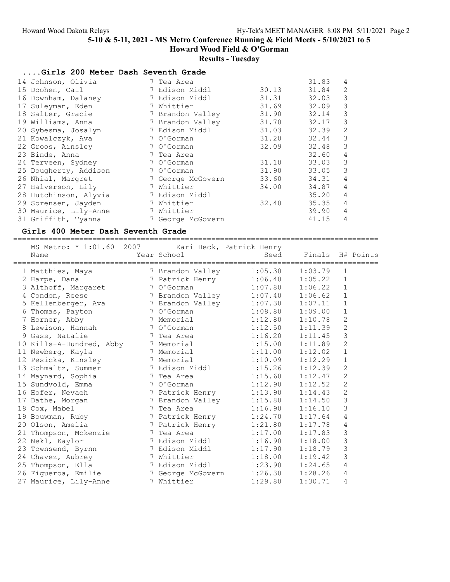Howard Wood Field & O'Gorman

# Results - Tuesday

| Girls 200 Meter Dash Seventh Grade |                   |       |       |                |
|------------------------------------|-------------------|-------|-------|----------------|
| 14 Johnson, Olivia                 | 7 Tea Area        |       | 31.83 | 4              |
| 15 Doohen, Cail                    | 7 Edison Middl    | 30.13 | 31.84 | 2              |
| 16 Downham, Dalaney                | 7 Edison Middl    | 31.31 | 32.03 | 3              |
| 17 Suleyman, Eden                  | 7 Whittier        | 31.69 | 32.09 | 3              |
| 18 Salter, Gracie                  | 7 Brandon Valley  | 31.90 | 32.14 | 3              |
| 19 Williams, Anna                  | 7 Brandon Valley  | 31.70 | 32.17 | 3              |
| 20 Sybesma, Josalyn                | 7 Edison Middl    | 31.03 | 32.39 | 2              |
| 21 Kowalczyk, Ava                  | 7 O'Gorman        | 31.20 | 32.44 | 3              |
| 22 Groos, Ainsley                  | 7 O'Gorman        | 32.09 | 32.48 | 3              |
| 23 Binde, Anna                     | 7 Tea Area        |       | 32.60 | $\overline{4}$ |
| 24 Terveen, Sydney                 | 7 O'Gorman        | 31.10 | 33.03 | 3              |
| 25 Dougherty, Addison              | 7 O'Gorman        | 31.90 | 33.05 | 3              |
| 26 Nhial, Margret                  | 7 George McGovern | 33.60 | 34.31 | $\overline{4}$ |
| 27 Halverson, Lily                 | 7 Whittier        | 34.00 | 34.87 | $\overline{4}$ |
| 28 Hutchinson, Alyvia              | 7 Edison Middl    |       | 35.20 | $\overline{4}$ |
| 29 Sorensen, Jayden                | 7 Whittier        | 32.40 | 35.35 | 4              |
| 30 Maurice, Lily-Anne              | 7 Whittier        |       | 39.90 | $\overline{4}$ |
| 31 Griffith, Tyanna                | 7 George McGovern |       | 41.15 | 4              |

### Girls 400 Meter Dash Seventh Grade

=================================================================================== MS Metro: \* 1:01.60 2007 Kari Heck, Patrick Henry

| MS Metro: * 1:01.60 2007 - - - - - - Karl Heck, Patrick Henry<br>Name                                                                                                             | Year School             |         | Seed Finals H# Points |                | ============== |
|-----------------------------------------------------------------------------------------------------------------------------------------------------------------------------------|-------------------------|---------|-----------------------|----------------|----------------|
| 1 Matthies, Maya                                                                                                                                                                  | 7 Brandon Valley        | 1:05.30 | 1:03.79               | 1              |                |
| 2 Harpe, Dana                                                                                                                                                                     | 7 Patrick Henry 1:06.40 |         | 1:05.22               | 1              |                |
| 3 Althoff, Margaret 7 O'Gorman                                                                                                                                                    |                         | 1:07.80 | 1:06.22               | $\mathbf{1}$   |                |
| 4 Condon, Reese 3 7 Brandon Valley 1:07.40                                                                                                                                        |                         |         | 1:06.62               | $\mathbf{1}$   |                |
| 5 Kellenberger, Ava and 7 Brandon Valley 1:07.30                                                                                                                                  |                         |         | 1:07.11               | $\mathbf{1}$   |                |
| 6 Thomas, Payton 7 O'Gorman                                                                                                                                                       |                         | 1:08.80 | 1:09.00               | $\mathbf{1}$   |                |
| 7 Horner, Abby                                                                                                                                                                    | 7 Memorial              | 1:12.80 | 1:10.78               | $\sqrt{2}$     |                |
| 8 Lewison, Hannah 7 O'Gorman                                                                                                                                                      |                         | 1:12.50 | 1:11.39               | $\overline{c}$ |                |
| 9 Gass, Natalie                                                                                                                                                                   | 7 Tea Area              | 1:16.20 | 1:11.45               | 3              |                |
| 10 Kills-A-Hundred, Abby 7 Memorial 1:15.00<br>11 Newberg, Kayla 7 Memorial 1:11.00                                                                                               |                         |         | 1:11.89               | $\overline{2}$ |                |
|                                                                                                                                                                                   |                         |         | 1:12.02               | $\mathbf{1}$   |                |
| 12 Pesicka, Kinsley 7 Memorial 1:10.09                                                                                                                                            |                         |         | 1:12.29               | $1\,$          |                |
| 13 Schmaltz, Summer 7 Edison Middl                                                                                                                                                |                         | 1:15.26 | 1:12.39               | $\mathbf{2}$   |                |
| 14 Maynard, Sophia 1.15.60                                                                                                                                                        |                         |         | 1:12.47               | $\mathbf{2}$   |                |
| 15 Sundvold, Emma 1:12.90                                                                                                                                                         |                         |         | 1:12.52               | $\overline{2}$ |                |
| 16 Hofer, Nevaeh                                                                                                                                                                  | 7 Patrick Henry         | 1:13.90 | 1:14.43               | $\overline{c}$ |                |
|                                                                                                                                                                                   |                         |         | 1:14.50               | 3              |                |
| 17 Dathe, Morgan 18 Cox, Mabel 18 Cox, Mabel 19 Bouwman, Ruby 1:15.80<br>19 Bouwman, Ruby 120 Olson, Amelia 19 Patrick Henry 1:24.70<br>20 Olson, Amelia 19 Patrick Henry 1:21.80 |                         |         | 1:16.10               | 3              |                |
|                                                                                                                                                                                   |                         |         | 1:17.64               | $\sqrt{4}$     |                |
|                                                                                                                                                                                   |                         |         | 1:17.78               | 4              |                |
| 21 Thompson, Mckenzie $\overline{7}$ Tea Area $\overline{1:17.00}$                                                                                                                |                         |         | 1:17.83               | 3              |                |
| 22 Nekl, Kaylor                                                                                                                                                                   | 7 Edison Middl          | 1:16.90 | 1:18.00               | 3              |                |
| 23 Townsend, Byrnn 5 7 Edison Middl 1:17.90                                                                                                                                       |                         |         | 1:18.79               | 3              |                |
| 24 Chavez, Aubrey 7 Whittier                                                                                                                                                      |                         | 1:18.00 | 1:19.42               | 3              |                |
| 25 Thompson, Ella 17 Edison Middl                                                                                                                                                 |                         | 1:23.90 | 1:24.65               | $\overline{4}$ |                |
| 26 Figueroa, Emilie           7 George McGovern     1:26.30                                                                                                                       |                         |         | 1:28.26               | 4              |                |
| 27 Maurice, Lily-Anne                                                                                                                                                             | 7 Whittier              | 1:29.80 | 1:30.71               | $\overline{4}$ |                |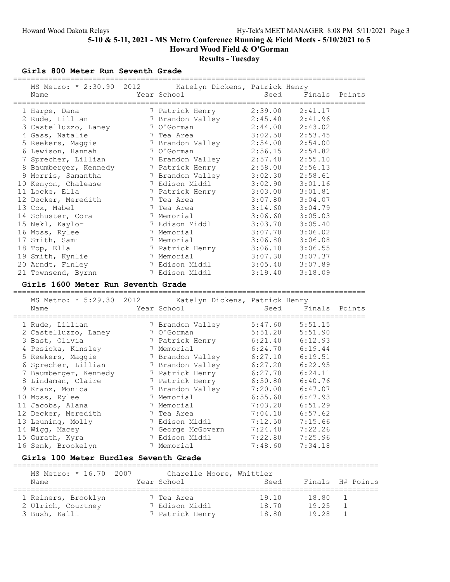# Results - Tuesday

Girls 800 Meter Run Seventh Grade

| MS Metro: * 2:30.90 2012 Katelyn Dickens, Patrick Henry<br>Name | Year School                      | Seed    |                                | Finals Points    |
|-----------------------------------------------------------------|----------------------------------|---------|--------------------------------|------------------|
| 1 Harpe, Dana                                                   | 7 Patrick Henry                  | 2:39.00 | 2:41.17                        |                  |
| 2 Rude, Lillian                                                 | 7 Brandon Valley                 | 2:45.40 | 2:41.96                        |                  |
| 3 Castelluzzo, Laney                                            | 7 O'Gorman                       | 2:44.00 | 2:43.02                        |                  |
| 4 Gass, Natalie                                                 | 7 Tea Area                       | 3:02.50 | 2:53.45                        |                  |
| 5 Reekers, Maggie                                               | 7 Brandon Valley                 | 2:54.00 | 2:54.00                        |                  |
| 6 Lewison, Hannah                                               | 7 O'Gorman                       | 2:56.15 | 2:54.82                        |                  |
| 7 Sprecher, Lillian                                             | 7 Brandon Valley                 | 2:57.40 | 2:55.10                        |                  |
| 8 Baumberger, Kennedy                                           | 7 Patrick Henry                  | 2:58.00 | 2:56.13                        |                  |
| 9 Morris, Samantha                                              | 7 Brandon Valley                 | 3:02.30 | 2:58.61                        |                  |
| 10 Kenyon, Chalease                                             | 7 Edison Middl                   | 3:02.90 | 3:01.16                        |                  |
| 11 Locke, Ella                                                  | 7 Patrick Henry 3:03.00          |         | 3:01.81                        |                  |
| 12 Decker, Meredith                                             | 7 Tea Area                       | 3:07.80 | 3:04.07                        |                  |
| 13 Cox, Mabel                                                   | 7 Tea Area                       | 3:14.60 | 3:04.79                        |                  |
| 14 Schuster, Cora                                               | 7 Memorial                       | 3:06.60 | 3:05.03                        |                  |
| 15 Nekl, Kaylor                                                 | 7 Edison Middl                   | 3:03.70 | 3:05.40                        |                  |
| 16 Moss, Rylee                                                  | 7 Memorial                       | 3:07.70 | 3:06.02                        |                  |
| 17 Smith, Sami                                                  | 7 Memorial                       | 3:06.80 | 3:06.08                        |                  |
| 18 Top, Ella                                                    | 7 Patrick Henry                  | 3:06.10 | 3:06.55                        |                  |
| 19 Smith, Kynlie                                                | 7 Memorial                       | 3:07.30 | 3:07.37                        |                  |
| 20 Arndt, Finley                                                | 7 Edison Middl                   | 3:05.40 | 3:07.89                        |                  |
| 21 Townsend, Byrnn                                              | 7 Edison Middl                   | 3:19.40 | 3:18.09                        |                  |
|                                                                 |                                  |         |                                |                  |
| Girls 1600 Meter Run Seventh Grade                              |                                  |         |                                |                  |
| MS Metro: * 5:29.30 2012                                        | Katelyn Dickens, Patrick Henry   |         |                                |                  |
| Name                                                            | Year School                      | Seed    |                                | Finals Points    |
| 1 Rude, Lillian                                                 | 7 Brandon Valley 5:47.60 5:51.15 |         | ========================       |                  |
| 2 Castelluzzo, Laney                                            | 7 O'Gorman                       | 5:51.20 | 5:51.90                        |                  |
|                                                                 |                                  | 6:21.40 |                                |                  |
| 3 Bast, Olivia                                                  | 7 Patrick Henry                  | 6:24.70 | 6:12.93                        |                  |
| 4 Pesicka, Kinsley                                              | 7 Memorial                       |         | 6:19.44<br>$6:27.10$ $6:19.51$ |                  |
| 5 Reekers, Maggie                                               | 7 Brandon Valley                 |         | $6:27.20$ $6:22.95$            |                  |
| 6 Sprecher, Lillian                                             | 7 Brandon Valley                 |         |                                |                  |
| 7 Baumberger, Kennedy                                           | 7 Patrick Henry                  |         | $6:27.70$ $6:24.11$            |                  |
| 8 Lindaman, Claire                                              | 7 Patrick Henry                  |         | $6:50.80$ $6:40.76$            |                  |
| 9 Kranz, Monica                                                 | 7 Brandon Valley                 |         | $7:20.00$ 6:47.07              |                  |
| 10 Moss, Rylee                                                  | 7 Memorial                       | 6:55.60 | 6:47.93                        |                  |
| 11 Jacobs, Alana                                                | 7 Memorial                       | 7:03.20 | 6:51.29                        |                  |
| 12 Decker, Meredith                                             | 7 Tea Area                       | 7:04.10 | 6:57.62                        |                  |
| 13 Leuning, Molly                                               | 7 Edison Middl                   | 7:12.50 | 7:15.66                        |                  |
| 14 Wigg, Macey                                                  | 7 George McGovern                | 7:24.40 | 7:22.26                        |                  |
| 15 Gurath, Kyra                                                 | 7 Edison Middl                   | 7:22.80 | 7:25.96                        |                  |
| 16 Senk, Brookelyn                                              | 7 Memorial                       | 7:48.60 | 7:34.18                        |                  |
| Girls 100 Meter Hurdles Seventh Grade                           |                                  |         |                                |                  |
| MS Metro: * 16.70 2007                                          | Charelle Moore, Whittier         |         |                                |                  |
| Name                                                            | Year School                      | Seed    |                                | Finals H# Points |
|                                                                 |                                  |         |                                |                  |
| 1 Reiners, Brooklyn                                             | 7 Tea Area                       | 19.10   | 18.80                          | 1                |
| 2 Ulrich, Courtney                                              | 7 Edison Middl                   | 18.70   | 19.25                          | 1                |
| 3 Bush, Kalli                                                   | 7 Patrick Henry                  | 18.80   | 19.28                          | 1                |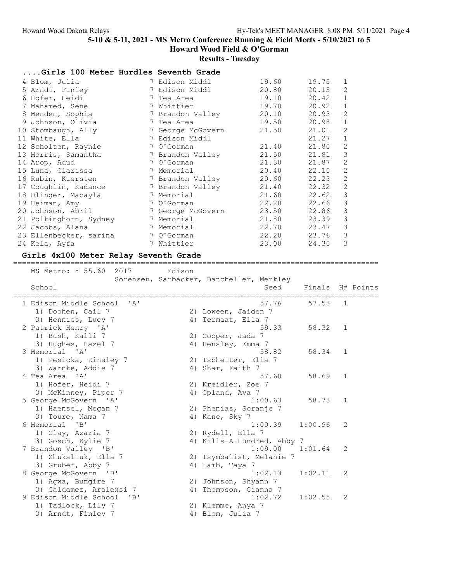# Results - Tuesday

| Girls 100 Meter Hurdles Seventh Grade |                   |       |       |                |
|---------------------------------------|-------------------|-------|-------|----------------|
| 4 Blom, Julia                         | 7 Edison Middl    | 19.60 | 19.75 | 1              |
| 5 Arndt, Finley                       | 7 Edison Middl    | 20.80 | 20.15 | 2              |
| 6 Hofer, Heidi                        | 7 Tea Area        | 19.10 | 20.42 | $1\,$          |
| 7 Mahamed, Sene                       | 7 Whittier        | 19.70 | 20.92 | $\mathbf 1$    |
| 8 Menden, Sophia                      | 7 Brandon Valley  | 20.10 | 20.93 | 2              |
| 9 Johnson, Olivia                     | 7 Tea Area        | 19.50 | 20.98 | $\mathbf 1$    |
| 10 Stombaugh, Ally                    | 7 George McGovern | 21.50 | 21.01 | 2              |
| 11 White, Ella                        | 7 Edison Middl    |       | 21.27 | $\mathbf{1}$   |
| 12 Scholten, Raynie                   | 7 O'Gorman        | 21.40 | 21.80 | $\mathbf{2}$   |
| 13 Morris, Samantha                   | 7 Brandon Valley  | 21.50 | 21.81 | $\mathfrak{Z}$ |
| 14 Arop, Adud                         | 7 O'Gorman        | 21.30 | 21.87 | 2              |
| 15 Luna, Clarissa                     | 7 Memorial        | 20.40 | 22.10 | 2              |
| 16 Rubin, Kiersten                    | 7 Brandon Valley  | 20.60 | 22.23 | 2              |
| 17 Coughlin, Kadance                  | 7 Brandon Valley  | 21.40 | 22.32 | $\mathbf{2}$   |
| 18 Olinger, Macayla                   | 7 Memorial        | 21.60 | 22.62 | $\mathcal{S}$  |
| 19 Heiman, Amy                        | 7 O'Gorman        | 22.20 | 22.66 | $\mathfrak{Z}$ |
| 20 Johnson, Abril                     | 7 George McGovern | 23.50 | 22.86 | $\mathsf 3$    |
| 21 Polkinghorn, Sydney                | 7 Memorial        | 21.80 | 23.39 | $\mathcal{S}$  |
| 22 Jacobs, Alana                      | 7 Memorial        | 22.70 | 23.47 | $\mathfrak{Z}$ |
| 23 Ellenbecker, sarina                | 7 O'Gorman        | 22.20 | 23.76 | $\mathfrak{Z}$ |
| 24 Kela, Ayfa                         | 7 Whittier        | 23.00 | 24.30 | 3              |

### Girls 4x100 Meter Relay Seventh Grade

#### =================================================================================== MS Metro: \* 55.60 2017 Edison

| NO MELLO.<br>JJ.UU<br>ムマエノ                | <b>EULOUIL</b> |                                                  |                  |            |  |
|-------------------------------------------|----------------|--------------------------------------------------|------------------|------------|--|
| School                                    |                | Sorensen, Sarbacker, Batcheller, Merkley<br>Seed | Finals H# Points |            |  |
| 1 Edison Middle School<br>$\mathbf{A}$    |                | 57.76                                            | 57.53            | $\sqrt{1}$ |  |
| 1) Doohen, Cail 7                         |                | 2) Loween, Jaiden 7                              |                  |            |  |
| 3) Hennies, Lucy 7                        |                | 4) Termaat, Ella 7                               |                  |            |  |
| 2 Patrick Henry 'A'                       |                | 59.33                                            | 58.32            | 1          |  |
| 1) Bush, Kalli 7                          |                | 2) Cooper, Jada 7                                |                  |            |  |
| 3) Hughes, Hazel 7<br>3 Memorial 'A'      |                | 4) Hensley, Emma 7<br>58.82                      | 58.34            | 1          |  |
| 1) Pesicka, Kinsley 7                     |                | 2) Tschetter, Ella 7                             |                  |            |  |
| 3) Warnke, Addie 7                        |                | 4) Shar, Faith 7                                 |                  |            |  |
| 4 Tea Area 'A'                            |                | 57.60                                            | 58.69            | 1          |  |
| 1) Hofer, Heidi 7                         |                | 2) Kreidler, Zoe 7                               |                  |            |  |
| 3) McKinney, Piper 7                      |                | 4) Opland, Ava 7                                 |                  |            |  |
| 5 George McGovern 'A'                     |                | 1:00.63                                          | 58.73            | 1          |  |
| 1) Haensel, Megan 7                       |                | 2) Phenias, Soranje 7                            |                  |            |  |
| 3) Toure, Nama 7                          |                | 4) Kane, Sky 7                                   |                  |            |  |
| 6 Memorial<br>"B"                         |                | 1:00.39                                          | 1:00.96          | 2          |  |
| 1) Clay, Azaria 7                         |                | 2) Rydell, Ella 7                                |                  |            |  |
| 3) Gosch, Kylie 7                         |                | 4) Kills-A-Hundred, Abby 7                       |                  |            |  |
| 7 Brandon Valley 'B'                      |                | 1:09.00                                          | 1:01.64          | 2          |  |
| 1) Zhukaliuk, Ella 7<br>3) Gruber, Abby 7 | 4)             | 2) Tsymbalist, Melanie 7<br>Lamb, Taya 7         |                  |            |  |
| 8 George McGovern 'B'                     |                | 1:02.13                                          | 1:02.11          | 2          |  |
| 1) Agwa, Bungire 7                        |                | 2) Johnson, Shyann 7                             |                  |            |  |
| 3) Galdamez, Aralexsi 7                   |                | 4) Thompson, Cianna 7                            |                  |            |  |
| 9 Edison Middle School<br>"B"             |                | 1:02.72                                          | 1:02.55          | 2          |  |
| 1) Tadlock, Lily 7                        |                | 2) Klemme, Anya 7                                |                  |            |  |
| 3) Arndt, Finley 7                        |                | 4) Blom, Julia 7                                 |                  |            |  |
|                                           |                |                                                  |                  |            |  |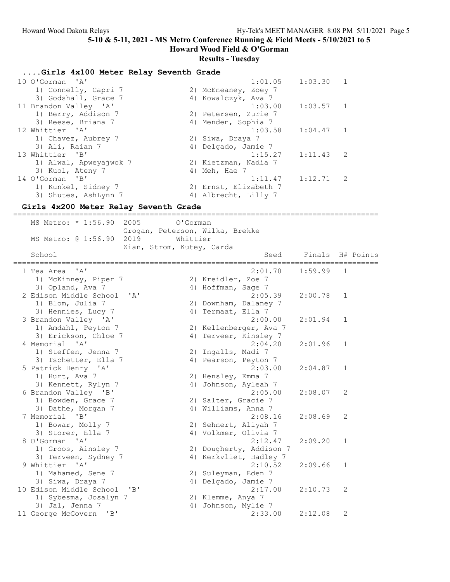Howard Wood Field & O'Gorman

### Results - Tuesday

### ....Girls 4x100 Meter Relay Seventh Grade

| 10 O'Gorman 'A'        | 1:01.05<br>1:03.30<br>$\overline{1}$ |
|------------------------|--------------------------------------|
| 1) Connelly, Capri 7   | 2) McEneaney, Zoey 7                 |
| 3) Godshall, Grace 7   | 4) Kowalczyk, Ava 7                  |
| 11 Brandon Valley 'A'  | 1:03.00<br>$1:03.57$ 1               |
| 1) Berry, Addison 7    | 2) Petersen, Zurie 7                 |
| 3) Reese, Briana 7     | 4) Menden, Sophia 7                  |
| 12 Whittier 'A'        | 1:03.58<br>1:04.47<br>$\overline{1}$ |
| 1) Chavez, Aubrey 7    | 2) Siwa, Draya 7                     |
| 3) Ali, Raian 7        | 4) Delgado, Jamie 7                  |
| 13 Whittier 'B'        | 1:15.27<br>$1:11.43$ 2               |
| 1) Alwal, Apweyajwok 7 | 2) Kietzman, Nadia 7                 |
| 3) Kuol, Ateny 7       | 4) Meh, Hae 7                        |
| 14 O'Gorman 'B'        | 1:12.71<br>1:11.47<br>$\overline{2}$ |
| 1) Kunkel, Sidney 7    | 2) Ernst, Elizabeth 7                |
| 3) Shutes, AshLynn 7   | 4) Albrecht, Lilly 7                 |

#### Girls 4x200 Meter Relay Seventh Grade

=================================================================================== MS Metro: \* 1:56.90 2005 O'Gorman Grogan, Peterson, Wilka, Brekke MS Metro: @ 1:56.90 2019 Whittier Zian, Strom, Kutey, Carda School Seed Finals H# Points =================================================================================== 1 Tea Area 'A' 2:01.70 1:59.99 1 1) McKinney, Piper 7 2) Kreidler, Zoe 7 3) Opland, Ava 7 (4) Hoffman, Sage 7 2 Edison Middle School 'A' 2:05.39 2:00.78 1 1) Blom, Julia 7 2) Downham, Dalaney 7 3) Hennies, Lucy 7 (4) Termaat, Ella 7 3 Brandon Valley 'A' 2:00.00 2:01.94 1 1) Amdahl, Peyton 7 2) Kellenberger, Ava 7 3) Erickson, Chloe 7 (4) Terveer, Kinsley 7 4 Memorial 'A' 2:04.20 2:01.96 1 1) Steffen, Jenna 7 2) Ingalls, Madi 7 3) Tschetter, Ella 7 (4) Pearson, Peyton 7 5 Patrick Henry 'A' 2:03.00 2:04.87 1 1) Hurt, Ava 7 2) Hensley, Emma 7 3) Kennett, Rylyn 7 4) Johnson, Ayleah 7 6 Brandon Valley 'B' 2:05.00 2:08.07 2 1) Bowden, Grace 7 2) Salter, Gracie 7 3) Dathe, Morgan 7 (and 4) Williams, Anna 7 7 Memorial 'B' 2:08.16 2:08.69 2 1) Bowar, Molly 7 2) Sehnert, Aliyah 7 3) Storer, Ella 7 4) Volkmer, Olivia 7 8 O'Gorman 'A' 2:12.47 2:09.20 1 1) Groos, Ainsley 7 2) Dougherty, Addison 7 3) Terveen, Sydney 7 4) Kerkvliet, Hadley 7 9 Whittier 'A' 2:10.52 2:09.66 1 1) Mahamed, Sene 7 2) Suleyman, Eden 7 3) Siwa, Draya 7 4) Delgado, Jamie 7 10 Edison Middle School 'B' 2:17.00 2:10.73 2 1) Sybesma, Josalyn 7 2) Klemme, Anya 7 3) Jal, Jenna 7 4) Johnson, Mylie 7 11 George McGovern 'B' 2:33.00 2:12.08 2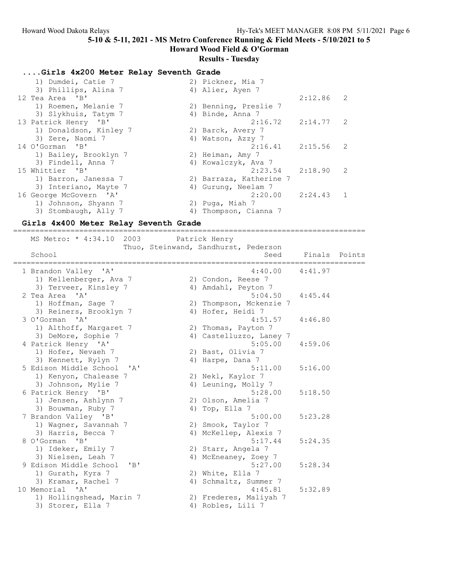Howard Wood Field & O'Gorman

### Results - Tuesday

### ....Girls 4x200 Meter Relay Seventh Grade

| 1) Dumdei, Catie 7     | 2) Pickner, Mia 7        |
|------------------------|--------------------------|
| 3) Phillips, Alina 7   | 4) Alier, Ayen 7         |
| 12 Tea Area 'B'        | $2:12.86$ 2              |
| 1) Roemen, Melanie 7   | 2) Benning, Preslie 7    |
| 3) Slykhuis, Tatym 7   | 4) Binde, Anna 7         |
| 13 Patrick Henry 'B'   | $2:16.72$ $2:14.77$ 2    |
| 1) Donaldson, Kinley 7 | 2) Barck, Avery 7        |
| 3) Zere, Naomi 7       | 4) Watson, Azzy 7        |
| 14 O'Gorman 'B'        | $2:16.41$ $2:15.56$ 2    |
| 1) Bailey, Brooklyn 7  | 2) Heiman, Amy 7         |
| 3) Findell, Anna 7     | 4) Kowalczyk, Ava 7      |
| 15 Whittier 'B'        | 2:23.54<br>2:18.90<br>-2 |
| 1) Barron, Janessa 7   | 2) Barraza, Katherine 7  |
| 3) Interiano, Mayte 7  | 4) Gurung, Neelam 7      |
| 16 George McGovern 'A' | $2:20.00$ $2:24.43$ 1    |
| 1) Johnson, Shyann 7   | 2) Puga, Miah 7          |
| 3) Stombaugh, Ally 7   | 4) Thompson, Cianna 7    |

### Girls 4x400 Meter Relay Seventh Grade

================================================================================ MS Metro: \* 4:34.10 2003 Patrick Henry Thuo, Steinwand, Sandhurst, Pederson School May Secrimana, Sananary, Processor Seed Finals Points ================================================================================ 1 Brandon Valley 'A' 4:40.00 4:41.97 1) Kellenberger, Ava 7 (2) Condon, Reese 7 3) Terveer, Kinsley 7  $\hskip1cm$  4) Amdahl, Peyton 7 2 Tea Area 'A' 5:04.50 4:45.44 1) Hoffman, Sage 7 2) Thompson, Mckenzie 7 3) Reiners, Brooklyn 7 (4) Hofer, Heidi 7 3 O'Gorman 'A' 4:51.57 4:46.80 1) Althoff, Margaret 7 2) Thomas, Payton 7 3) DeMore, Sophie 7 4) Castelluzzo, Laney 7 4 Patrick Henry 'A' 5:05.00 4:59.06 1) Hofer, Nevaeh 7 (2) Bast, Olivia 7 3) Kennett, Rylyn 7 (4) Harpe, Dana 7 5 Edison Middle School 'A' 5:11.00 5:16.00 1) Kenyon, Chalease 7 2) Nekl, Kaylor 7 3) Johnson, Mylie 7 (4) Leuning, Molly 7 6 Patrick Henry 'B' 5:28.00 5:18.50 1) Jensen, Ashlynn 7 (2) Olson, Amelia 7 3) Bouwman, Ruby 7 (4) Top, Ella 7 7 Brandon Valley 'B' 5:00.00 5:23.28 1) Wagner, Savannah 7 1988 (2008) 20 Smook, Taylor 7 3) Harris, Becca 7 4) McKellep, Alexis 7 8 O'Gorman 'B' 5:17.44 5:24.35 1) Ideker, Emily 7 2) Starr, Angela 7 3) Nielsen, Leah 7 4) McEneaney, Zoey 7 9 Edison Middle School 'B' 3:27.00 5:28.34 1) Gurath, Kyra 7 2) White, Ella 7 3) Kramar, Rachel 7 4) Schmaltz, Summer 7 10 Memorial 'A' 4:45.81 5:32.89 1) Hollingshead, Marin 7 2) Frederes, Maliyah 7 3) Storer, Ella 7 (4) Robles, Lili 7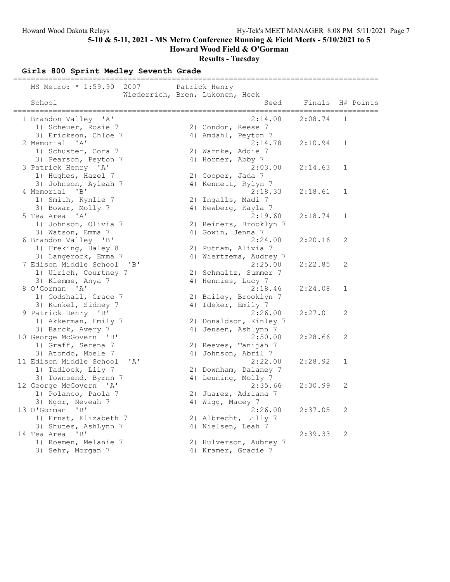Howard Wood Field & O'Gorman

### Results - Tuesday

Girls 800 Sprint Medley Seventh Grade =================================================================================== MS Metro: \* 1:59.90 2007 Patrick Henry School Miederrich, Bren, Lukonen, Heck<br>School S Seed Finals H# Points =================================================================================== 1 Brandon Valley 'A' 2:14.00 2:08.74 1 1) Scheuer, Rosie 7 2) Condon, Reese 7 3) Erickson, Chloe 7 (4) Amdahl, Peyton 7 2 Memorial 'A' 2:14.78 2:10.94 1 1) Schuster, Cora 7 120 20 Warnke, Addie 7 3) Pearson, Peyton 7 (4) Horner, Abby 7 3 Patrick Henry 'A' 2:03.00 2:14.63 1 1) Hughes, Hazel 7 (2) Cooper, Jada 7 3) Johnson, Ayleah 7 14) Kennett, Rylyn 7 4 Memorial 'B' 2:18.33 2:18.61 1 1) Smith, Kynlie 7 2) Ingalls, Madi 7 3) Bowar, Molly 7 (4) Newberg, Kayla 7 5 Tea Area 'A' 2:19.60 2:18.74 1 1) Johnson, Olivia 7 2) Reiners, Brooklyn 7 3) Watson, Emma 7 (4) Gowin, Jenna 7 6 Brandon Valley 'B' 2:24.00 2:20.16 2 1) Freking, Haley 8 2) Putnam, Alivia 7 3) Langerock, Emma 7 4) Wiertzema, Audrey 7 7 Edison Middle School 'B' 2:25.00 2:22.85 2 1) Ulrich, Courtney 7 2) Schmaltz, Summer 7 3) Klemme, Anya 7 (4) Hennies, Lucy 7 8 O'Gorman 'A' 2:18.46 2:24.08 1 1) Godshall, Grace 7 2) Bailey, Brooklyn 7 3) Kunkel, Sidney 7 (4) Ideker, Emily 7 9 Patrick Henry 'B' 2:26.00 2:27.01 2 1) Akkerman, Emily 7 2) Donaldson, Kinley 7 3) Barck, Avery 7 4) Jensen, Ashlynn 7 10 George McGovern 'B' 2:50.00 2:28.66 2 1) Graff, Serena 7 2) Reeves, Tanijah 7 3) Atondo, Mbele 7 4) Johnson, Abril 7 11 Edison Middle School 'A' 2:22.00 2:28.92 1 1) Tadlock, Lily 7 2) Downham, Dalaney 7 3) Townsend, Byrnn 7 and 4) Leuning, Molly 7 12 George McGovern 'A' 2:35.66 2:30.99 2 1) Polanco, Paola 7 2) Juarez, Adriana 7 3) Ngor, Neveah 7 (4) Wigg, Macey 7 13 O'Gorman 'B' 2:26.00 2:37.05 2 1) Ernst, Elizabeth 7 2) Albrecht, Lilly 7 3) Shutes, AshLynn 7 (4) Nielsen, Leah 7 14 Tea Area 'B' 2:39.33 2 1) Roemen, Melanie 7 2) Hulverson, Aubrey 7 3) Sehr, Morgan 7 4) Kramer, Gracie 7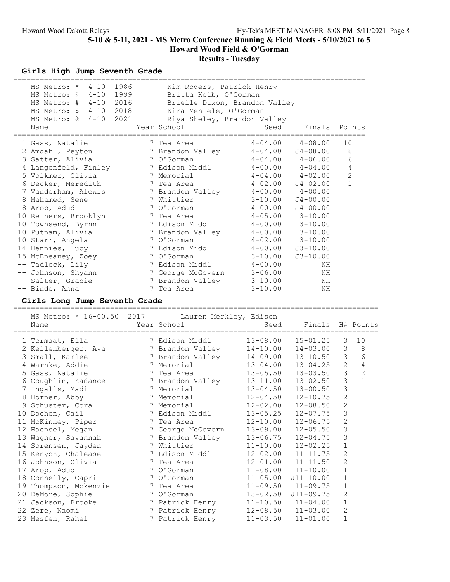Howard Wood Field & O'Gorman

# Results - Tuesday

## Girls High Jump Seventh Grade

| 1986<br>$4 - 10$<br>MS Metro: *<br>$4 - 10$<br>1999<br>MS Metro: @<br>2016<br>MS Metro: #<br>$4 - 10$<br>2018<br>MS Metro: \$<br>$4 - 10$<br>2021<br>MS Metro: %<br>$4 - 10$<br>Name |   | Kim Rogers, Patrick Henry<br>Britta Kolb, O'Gorman<br>Brielle Dixon, Brandon Valley<br>Kira Mentele, O'Gorman<br>Riya Sheley, Brandon Valley<br>Year School | -----------<br>Seed          | Finals                       |                             | Points       |
|--------------------------------------------------------------------------------------------------------------------------------------------------------------------------------------|---|-------------------------------------------------------------------------------------------------------------------------------------------------------------|------------------------------|------------------------------|-----------------------------|--------------|
| 1 Gass, Natalie                                                                                                                                                                      |   | 7 Tea Area                                                                                                                                                  | $4 - 04.00$                  | $4 - 08.00$                  | 10                          |              |
| 2 Amdahl, Peyton                                                                                                                                                                     |   | 7 Brandon Valley                                                                                                                                            | $4 - 04.00$                  | $J4 - 08.00$                 | 8                           |              |
| 3 Satter, Alivia                                                                                                                                                                     |   | 7 O'Gorman                                                                                                                                                  | $4 - 04.00$                  | $4 - 06.00$                  | 6                           |              |
| 4 Langenfeld, Finley                                                                                                                                                                 |   | 7 Edison Middl                                                                                                                                              | $4 - 00.00$                  | $4 - 04.00$                  | $\overline{4}$              |              |
| 5 Volkmer, Olivia                                                                                                                                                                    |   | 7 Memorial                                                                                                                                                  | $4 - 04.00$                  | $4 - 02.00$                  | $\mathbf{2}$                |              |
| 6 Decker, Meredith                                                                                                                                                                   |   | 7 Tea Area                                                                                                                                                  | $4 - 02.00$                  | $J4 - 02.00$                 | $\mathbf{1}$                |              |
| 7 Vanderham, Alexis                                                                                                                                                                  |   | 7 Brandon Valley                                                                                                                                            | $4 - 00.00$                  | $4 - 00.00$                  |                             |              |
| 8 Mahamed, Sene                                                                                                                                                                      |   | 7 Whittier                                                                                                                                                  | $3 - 10.00$                  | $J4 - 00.00$                 |                             |              |
| 8 Arop, Adud                                                                                                                                                                         |   | 7 O'Gorman                                                                                                                                                  | $4 - 00.00$                  | $J4 - 00.00$                 |                             |              |
| 10 Reiners, Brooklyn                                                                                                                                                                 |   | 7 Tea Area                                                                                                                                                  | $4 - 05.00$                  | $3 - 10.00$                  |                             |              |
| 10 Townsend, Byrnn                                                                                                                                                                   |   | 7 Edison Middl                                                                                                                                              | $4 - 00.00$                  | $3 - 10.00$                  |                             |              |
| 10 Putnam, Alivia                                                                                                                                                                    |   | 7 Brandon Valley                                                                                                                                            | $4 - 00.00$                  | $3 - 10.00$                  |                             |              |
| 10 Starr, Angela                                                                                                                                                                     |   | 7 O'Gorman                                                                                                                                                  | $4 - 02.00$                  | $3 - 10.00$                  |                             |              |
| 14 Hennies, Lucy                                                                                                                                                                     |   | 7 Edison Middl                                                                                                                                              | $4 - 00.00$                  | $J3 - 10.00$                 |                             |              |
| 15 McEneaney, Zoey                                                                                                                                                                   |   | 7 O'Gorman                                                                                                                                                  | $3 - 10.00$                  | $J3 - 10.00$                 |                             |              |
| -- Tadlock, Lily                                                                                                                                                                     |   | 7 Edison Middl                                                                                                                                              | $4 - 00.00$                  | ΝH                           |                             |              |
| Johnson, Shyann<br>$---$                                                                                                                                                             |   | 7 George McGovern                                                                                                                                           | $3 - 06.00$                  | ΝH                           |                             |              |
| -- Salter, Gracie                                                                                                                                                                    |   | 7 Brandon Valley                                                                                                                                            | $3 - 10.00$                  | ΝH                           |                             |              |
| -- Binde, Anna                                                                                                                                                                       |   | 7 Tea Area                                                                                                                                                  | $3 - 10.00$                  | NH                           |                             |              |
|                                                                                                                                                                                      |   |                                                                                                                                                             |                              |                              |                             |              |
| Girls Long Jump Seventh Grade                                                                                                                                                        |   |                                                                                                                                                             |                              |                              |                             |              |
|                                                                                                                                                                                      |   |                                                                                                                                                             |                              |                              |                             |              |
|                                                                                                                                                                                      |   |                                                                                                                                                             |                              |                              |                             |              |
| MS Metro: * 16-00.50 2017                                                                                                                                                            |   | Lauren Merkley, Edison<br>Year School                                                                                                                       |                              |                              |                             |              |
| Name                                                                                                                                                                                 |   | --------------------------                                                                                                                                  | Seed<br>================     | Finals                       | ===========                 | H# Points    |
| 1 Termaat, Ella                                                                                                                                                                      |   | 7 Edison Middl                                                                                                                                              | $13 - 08.00$                 | $15 - 01.25$                 | 3                           | 10           |
| 2 Kellenberger, Ava                                                                                                                                                                  |   | 7 Brandon Valley                                                                                                                                            | $14 - 10.00$                 | $14 - 03.00$                 | 3                           | 8            |
| 3 Small, Karlee                                                                                                                                                                      |   | 7 Brandon Valley                                                                                                                                            | $14 - 09.00$                 | $13 - 10.50$                 | 3                           | 6            |
| 4 Warnke, Addie                                                                                                                                                                      |   | 7 Memorial                                                                                                                                                  | $13 - 04.00$                 | $13 - 04.25$                 | 2                           | 4            |
| 5 Gass, Natalie                                                                                                                                                                      |   | 7 Tea Area                                                                                                                                                  | $13 - 05.50$                 | $13 - 03.50$                 | $\mathsf 3$                 | $\mathbf{2}$ |
| 6 Coughlin, Kadance                                                                                                                                                                  |   | 7 Brandon Valley                                                                                                                                            | $13 - 11.00$                 | $13 - 02.50$                 | 3                           | $\mathbf{1}$ |
| 7 Ingalls, Madi                                                                                                                                                                      |   | 7 Memorial                                                                                                                                                  | $13 - 04.50$                 | $13 - 00.50$                 | $\mathfrak{Z}$              |              |
| 8 Horner, Abby                                                                                                                                                                       |   | 7 Memorial                                                                                                                                                  | $12 - 04.50$                 | $12 - 10.75$                 | $\mathbf{2}$                |              |
| 9 Schuster, Cora                                                                                                                                                                     |   | 7 Memorial                                                                                                                                                  | $12 - 02.00$                 | $12 - 08.50$                 | $\mathbf{2}$                |              |
| 10 Doohen, Cail                                                                                                                                                                      |   | 7 Edison Middl                                                                                                                                              | $13 - 05.25$                 | $12 - 07.75$                 | 3                           |              |
| 11 McKinney, Piper                                                                                                                                                                   |   | 7 Tea Area                                                                                                                                                  | $12 - 10.00$                 | $12 - 06.75$                 | 2                           |              |
| 12 Haensel, Megan                                                                                                                                                                    |   | 7 George McGovern                                                                                                                                           | $13 - 09.00$                 | $12 - 05.50$                 | 3                           |              |
| 13 Wagner, Savannah                                                                                                                                                                  |   | 7 Brandon Valley                                                                                                                                            | $13 - 06.75$                 | $12 - 04.75$                 | 3                           |              |
| 14 Sorensen, Jayden                                                                                                                                                                  |   | 7 Whittier                                                                                                                                                  | $11 - 10.00$                 | $12 - 02.25$                 |                             |              |
| 15 Kenyon, Chalease                                                                                                                                                                  |   | 7 Edison Middl                                                                                                                                              | $12 - 02.00$                 | $11 - 11.75$                 | $\mathbf 1$<br>$\mathbf{2}$ |              |
| 16 Johnson, Olivia                                                                                                                                                                   | 7 | Tea Area                                                                                                                                                    | $12 - 01.00$                 | $11 - 11.50$                 | $\mathbf{2}$                |              |
| 17 Arop, Adud                                                                                                                                                                        |   | 7 O'Gorman                                                                                                                                                  | $11 - 08.00$                 | $11 - 10.00$                 | 1                           |              |
| 18 Connelly, Capri                                                                                                                                                                   |   | 7 O'Gorman                                                                                                                                                  | $11 - 05.00$                 | $J11 - 10.00$                | 1                           |              |
|                                                                                                                                                                                      |   | 7 Tea Area                                                                                                                                                  |                              | $11 - 09.75$                 | 1                           |              |
| 19 Thompson, Mckenzie                                                                                                                                                                |   | 7 O'Gorman                                                                                                                                                  | $11 - 09.50$                 |                              |                             |              |
| 20 DeMore, Sophie                                                                                                                                                                    |   |                                                                                                                                                             | $13 - 02.50$                 | $J11 - 09.75$                | 2<br>1                      |              |
| 21 Jackson, Brooke<br>22 Zere, Naomi                                                                                                                                                 |   | 7 Patrick Henry<br>7 Patrick Henry                                                                                                                          | $11 - 10.50$<br>$12 - 08.50$ | $11 - 04.00$<br>$11 - 03.00$ | 2                           |              |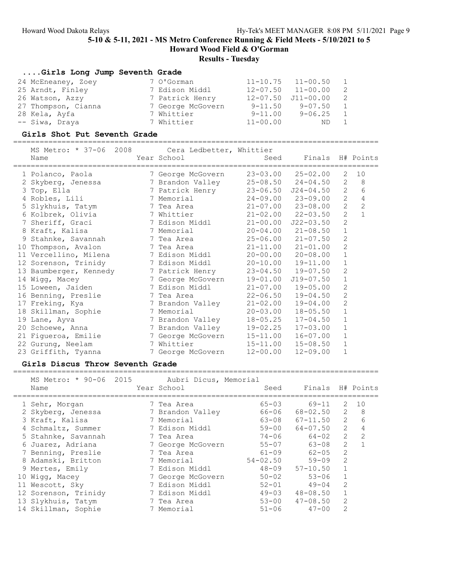# Results - Tuesday

| Girls Long Jump Seventh Grade |                   |              |               |                |
|-------------------------------|-------------------|--------------|---------------|----------------|
| 24 McEneaney, Zoey            | 7 O'Gorman        | $11 - 10.75$ | $11 - 00.50$  | $\overline{1}$ |
| 25 Arndt, Finley              | 7 Edison Middl    | 12-07.50     | $11 - 00.00$  | - 2            |
| 26 Watson, Azzy               | 7 Patrick Henry   | $12 - 07.50$ | $J11 - 00.00$ | $\overline{2}$ |
| 27 Thompson, Cianna           | 7 George McGovern | $9 - 11.50$  | $9 - 07.50$   | 1              |
| 28 Kela, Ayfa                 | 7 Whittier        | $9 - 11.00$  | $9 - 06.25$   | $\overline{1}$ |
| -- Siwa, Draya                | 7 Whittier        | $11 - 00.00$ | ND            | $\overline{1}$ |

### Girls Shot Put Seventh Grade

===================================================================================

| MS Metro: * 37-06 2008 Cera Ledbetter, Whittier<br>Name | Year School       | Seed         | Finals H# Points<br>=========== |                |                |
|---------------------------------------------------------|-------------------|--------------|---------------------------------|----------------|----------------|
| 1 Polanco, Paola                                        | 7 George McGovern |              | $23 - 03.00$ $25 - 02.00$       | 2              | 10             |
| 2 Skyberg, Jenessa                                      | 7 Brandon Valley  |              | $25 - 08.50$ $24 - 04.50$       | 2              | 8              |
| 3 Top, Ella                                             | 7 Patrick Henry   |              | $23 - 06.50$ $J24 - 04.50$      | $\overline{2}$ | 6              |
| 4 Robles, Lili                                          | 7 Memorial        |              | $24 - 09.00$ $23 - 09.00$       | $\mathbf{2}$   | 4              |
| 5 Slykhuis, Tatym                                       | 7 Tea Area        |              | $21 - 07.00$ $23 - 08.00$       | $\overline{c}$ | $\overline{c}$ |
| 6 Kolbrek, Olivia                                       | 7 Whittier        |              | $21 - 02.00$ $22 - 03.50$       | $\overline{2}$ | $\mathbf{1}$   |
| 7 Sheriff, Graci                                        | 7 Edison Middl    |              | $21 - 00.00$ $J22 - 03.50$      | $\overline{c}$ |                |
| 8 Kraft, Kalisa                                         | 7 Memorial        |              | $20 - 04.00$ $21 - 08.50$       | $\mathbf 1$    |                |
| 9 Stahnke, Savannah                                     | 7 Tea Area        |              | $25 - 06.00$ $21 - 07.50$       | $\overline{2}$ |                |
| 10 Thompson, Avalon                                     | 7 Tea Area        |              | $21 - 11.00$ $21 - 01.00$       | $\overline{c}$ |                |
| 11 Vercellino, Milena                                   | 7 Edison Middl    |              | $20 - 00.00$ $20 - 08.00$       | $\mathbf{1}$   |                |
| 12 Sorenson, Trinidy                                    | 7 Edison Middl    |              | $20 - 10.00$ $19 - 11.00$       | $\mathbf 1$    |                |
| 13 Baumberger, Kennedy                                  | 7 Patrick Henry   |              | $23 - 04.50$ 19-07.50           | 2              |                |
| 14 Wigg, Macey                                          | 7 George McGovern | 19-01.00     | $J19 - 07.50$                   | $\mathbf 1$    |                |
| 15 Loween, Jaiden                                       | 7 Edison Middl    |              | $21 - 07.00$ 19-05.00           | $\overline{2}$ |                |
| 16 Benning, Preslie                                     | 7 Tea Area        |              | $22 - 06.50$ $19 - 04.50$       | $\overline{2}$ |                |
| 17 Freking, Kya                                         | 7 Brandon Valley  | $21 - 02.00$ | $19 - 04.00$                    | $\overline{2}$ |                |
| 18 Skillman, Sophie                                     | 7 Memorial        |              | $20 - 03.00$ $18 - 05.50$       | $\mathbf 1$    |                |
| 19 Lane, Ayva                                           | 7 Brandon Valley  |              | $18 - 05.25$ $17 - 04.50$       | $\mathbf{1}$   |                |
| 20 Schoewe, Anna                                        | 7 Brandon Valley  | 19-02.25     | $17 - 03.00$                    | $\mathbf 1$    |                |
| 21 Figueroa, Emilie                                     | 7 George McGovern |              | $15 - 11.00$ $16 - 07.00$       | $\mathbf{1}$   |                |
| 22 Gurung, Neelam                                       | 7 Whittier        |              | $15 - 11.00$ $15 - 08.50$       | $\mathbf{1}$   |                |
| 23 Griffith, Tyanna                                     | 7 George McGovern | $12 - 00.00$ | $12 - 09.00$                    | $\mathbf{1}$   |                |

#### Girls Discus Throw Seventh Grade ===================================================================================

| MS Metro: * 90-06 2015 Aubri Dicus, Memorial |  |                   |              |                  |              |               |
|----------------------------------------------|--|-------------------|--------------|------------------|--------------|---------------|
| Name                                         |  | Year School       | Seed         | Finals H# Points |              |               |
| 1 Sehr, Morgan                               |  | 7 Tea Area        | $65 - 03$    | 69-11            | 2            | 10            |
| 2 Skyberg, Jenessa                           |  | 7 Brandon Valley  | 66-06        | $68 - 02.50$     | 2            | -8            |
| 3 Kraft, Kalisa                              |  | 7 Memorial        | 63-08        | $67 - 11.50$     | 2            | 6             |
| 4 Schmaltz, Summer                           |  | 7 Edison Middl    | $59 - 00$    | 64-07.50         | 2            |               |
| 5 Stahnke, Savannah                          |  | 7 Tea Area        | 74-06        | 64-02            | 2            | $\mathcal{L}$ |
| 6 Juarez, Adriana                            |  | 7 George McGovern | $55 - 07$    | $63 - 08$        | 2            |               |
| 7 Benning, Preslie                           |  | 7 Tea Area        | $61 - 09$    | $62 - 05$        | 2            |               |
| 8 Adamski, Britton                           |  | 7 Memorial        | $54 - 02.50$ | $59 - 09$        | 2            |               |
| 9 Mertes, Emily                              |  | 7 Edison Middl    | $48 - 09$    | $57 - 10.50$     |              |               |
| 10 Wigg, Macey                               |  | 7 George McGovern | $50 - 02$    | $53 - 06$        | $\mathbf{1}$ |               |
| 11 Wescott, Sky                              |  | 7 Edison Middl    | $52 - 01$    | $49 - 04$        | 2            |               |
| 12 Sorenson, Trinidy                         |  | 7 Edison Middl    | $49 - 03$    | $48 - 08.50$     |              |               |
| 13 Slykhuis, Tatym                           |  | 7 Tea Area        | $53 - 00$    | $47 - 08.50$     | 2            |               |
| 14 Skillman, Sophie                          |  | 7 Memorial        | $51 - 06$    | $47 - 00$        | 2            |               |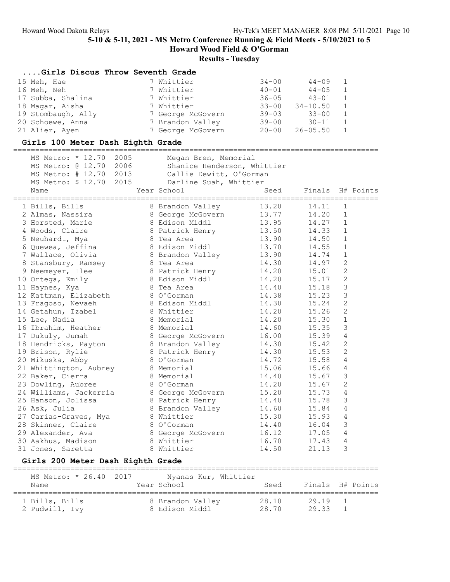### Results - Tuesday

#### ....Girls Discus Throw Seventh Grade

| 15 Meh, Hae        | 7 Whittier        | $34 - 00$ | $44 - 09$    | 1              |
|--------------------|-------------------|-----------|--------------|----------------|
| 16 Meh, Neh        | 7 Whittier        | $40 - 01$ | $44 - 05$    | 1              |
| 17 Subba, Shalina  | 7 Whittier        | $36 - 05$ | $43 - 01$    | $\mathbf{1}$   |
| 18 Magar, Aisha    | 7 Whittier        | $33 - 00$ | $34 - 10.50$ | $\overline{1}$ |
| 19 Stombaugh, Ally | 7 George McGovern | $39 - 03$ | $33 - 00$    | $\mathbf{1}$   |
| 20 Schoewe, Anna   | 7 Brandon Valley  | $39 - 00$ | $30 - 11$    | 1              |
| 21 Alier, Ayen     | 7 George McGovern | $20 - 00$ | 26-05.50     | $\overline{1}$ |

#### Girls 100 Meter Dash Eighth Grade

=================================================================================== MS Metro: \* 12.70 2005 Megan Bren, Memorial MS Metro: @ 12.70 2006 Shanice Henderson, Whittier MS Metro: # 12.70 2013 Callie Dewitt, O'Gorman MS Metro: \$ 12.70 2015 Darline Suah, Whittier Name Year School Seed Finals H# Points =================================================================================== 1 Bills, Bills 8 Brandon Valley 13.20 14.11 1 2 Almas, Nassira 8 George McGovern 13.77 14.20 1 3 Horsted, Marie 8 Edison Middl 13.95 14.27 1 4 Woods, Claire 8 Patrick Henry 13.50 14.33 1 5 Neuhardt, Mya 8 Tea Area 13.90 14.50 1 6 Quewea, Jeffina 8 Edison Middl 13.70 14.55 1 7 Wallace, Olivia 8 Brandon Valley 13.90 14.74 1 8 Stansbury, Ramsey 8 Tea Area 14.30 14.97 2 9 Neemeyer, Ilee 8 Patrick Henry 14.20 15.01 2 10 Ortega, Emily 8 Edison Middl 14.20 15.17 2 11 Haynes, Kya 8 Tea Area 14.40 15.18 3 12 Kattman, Elizabeth 8 O'Gorman 14.38 15.23 3 13 Fragoso, Nevaeh 8 Edison Middl 14.30 15.24 2 14 Getahun, Izabel 8 Whittier 14.20 15.26 2 15 Lee, Nadia 8 Memorial 14.20 15.30 1 16 Ibrahim, Heather 8 Memorial 14.60 15.35 3 17 Dukuly, Jumah 8 George McGovern 16.00 15.39 4 18 Hendricks, Payton 8 Brandon Valley 14.30 15.42 2 19 Brison, Rylie 8 Patrick Henry 14.30 15.53 2 20 Mikuska, Abby 8 O'Gorman 14.72 15.58 4 21 Whittington, Aubrey 8 Memorial 15.06 15.66 4 22 Baker, Cierra 8 Memorial 14.40 15.67 3 23 Dowling, Aubree 8 O'Gorman 14.20 15.67 2 24 Williams, Jackerria 8 George McGovern 15.20 15.73 4 25 Hanson, Jolissa 8 Patrick Henry 14.40 15.78 3 26 Ask, Julia 8 Brandon Valley 14.60 15.84 4 27 Carias-Graves, Mya 8 Whittier 15.30 15.93 4 28 Skinner, Claire 8 O'Gorman 14.40 16.04 3 29 Alexander, Ava 8 George McGovern 16.12 17.05 4 30 Aakhus, Madison 8 Whittier 16.70 17.43 4 31 Jones, Saretta 8 Whittier 14.50 21.13 3

### Girls 200 Meter Dash Eighth Grade

| MS Metro: * 26.40 2017<br>Name | Nyanas Kur, Whittier<br>Year School | Seed  |         | Finals H# Points |
|--------------------------------|-------------------------------------|-------|---------|------------------|
| 1 Bills, Bills                 | 8 Brandon Valley                    | 28.10 | 29.19 1 |                  |
| 2 Pudwill, Ivy                 | 8 Edison Middl                      | 28.70 | 29.33   |                  |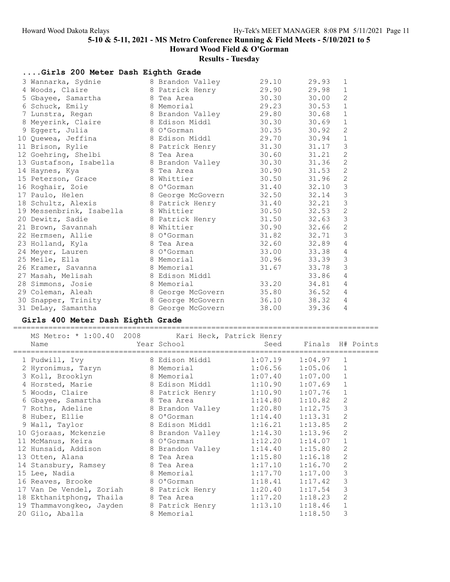# Results - Tuesday

| Girls 200 Meter Dash Eighth Grade |  |                   |       |       |                            |  |  |  |  |
|-----------------------------------|--|-------------------|-------|-------|----------------------------|--|--|--|--|
| 3 Wannarka, Sydnie                |  | 8 Brandon Valley  | 29.10 | 29.93 | 1                          |  |  |  |  |
| 4 Woods, Claire                   |  | 8 Patrick Henry   | 29.90 | 29.98 | $\mathbf 1$                |  |  |  |  |
| 5 Gbayee, Samartha                |  | 8 Tea Area        | 30.30 | 30.00 | $\overline{2}$             |  |  |  |  |
| 6 Schuck, Emily                   |  | 8 Memorial        | 29.23 | 30.53 | $\ensuremath{\mathbbm{1}}$ |  |  |  |  |
| 7 Lunstra, Regan                  |  | 8 Brandon Valley  | 29.80 | 30.68 | $\mathbf 1$                |  |  |  |  |
| 8 Meyerink, Claire                |  | 8 Edison Middl    | 30.30 | 30.69 | $\mathbf 1$                |  |  |  |  |
| 9 Eggert, Julia                   |  | 8 O'Gorman        | 30.35 | 30.92 | $\mathbf{2}$               |  |  |  |  |
| 10 Quewea, Jeffina                |  | 8 Edison Middl    | 29.70 | 30.94 | $\ensuremath{\mathbbm{1}}$ |  |  |  |  |
| 11 Brison, Rylie                  |  | 8 Patrick Henry   | 31.30 | 31.17 | $\mathfrak{Z}$             |  |  |  |  |
| 12 Goehring, Shelbi               |  | 8 Tea Area        | 30.60 | 31.21 | $\sqrt{2}$                 |  |  |  |  |
| 13 Gustafson, Isabella            |  | 8 Brandon Valley  | 30.30 | 31.36 | $\overline{c}$             |  |  |  |  |
| 14 Haynes, Kya                    |  | 8 Tea Area        | 30.90 | 31.53 | $\mathbf{2}$               |  |  |  |  |
| 15 Peterson, Grace                |  | 8 Whittier        | 30.50 | 31.96 | $\mathbf{2}$               |  |  |  |  |
| 16 Roghair, Zoie                  |  | 8 O'Gorman        | 31.40 | 32.10 | $\mathsf 3$                |  |  |  |  |
| 17 Paulo, Helen                   |  | 8 George McGovern | 32.50 | 32.14 | $\mathfrak{Z}$             |  |  |  |  |
| 18 Schultz, Alexis                |  | 8 Patrick Henry   | 31.40 | 32.21 | $\mathsf 3$                |  |  |  |  |
| 19 Messenbrink, Isabella          |  | 8 Whittier        | 30.50 | 32.53 | $\mathbf{2}$               |  |  |  |  |
| 20 Dewitz, Sadie                  |  | 8 Patrick Henry   | 31.50 | 32.63 | $\mathsf 3$                |  |  |  |  |
| 21 Brown, Savannah                |  | 8 Whittier        | 30.90 | 32.66 | $\mathbf{2}$               |  |  |  |  |
| 22 Hermsen, Allie                 |  | 8 O'Gorman        | 31.82 | 32.71 | $\mathfrak{Z}$             |  |  |  |  |
| 23 Holland, Kyla                  |  | 8 Tea Area        | 32.60 | 32.89 | $\overline{4}$             |  |  |  |  |
| 24 Meyer, Lauren                  |  | 8 O'Gorman        | 33.00 | 33.38 | $\sqrt{4}$                 |  |  |  |  |
| 25 Meile, Ella                    |  | 8 Memorial        | 30.96 | 33.39 | $\mathfrak{Z}$             |  |  |  |  |
| 26 Kramer, Savanna                |  | 8 Memorial        | 31.67 | 33.78 | $\mathfrak{Z}$             |  |  |  |  |
| 27 Masah, Melisah                 |  | 8 Edison Middl    |       | 33.86 | $\sqrt{4}$                 |  |  |  |  |
| 28 Simmons, Josie                 |  | 8 Memorial        | 33.20 | 34.81 | $\overline{4}$             |  |  |  |  |
| 29 Coleman, Aleah                 |  | 8 George McGovern | 35.80 | 36.52 | $\overline{4}$             |  |  |  |  |
| 30 Snapper, Trinity               |  | 8 George McGovern | 36.10 | 38.32 | $\overline{4}$             |  |  |  |  |
| 31 DeLay, Samantha                |  | 8 George McGovern | 38.00 | 39.36 | $\overline{4}$             |  |  |  |  |

# Girls 400 Meter Dash Eighth Grade

| MS Metro: * 1:00.40 2008 Kari Heck, Patrick Henry<br>Name                          | Year School              |         | Seed Finals H# Points |                |  |
|------------------------------------------------------------------------------------|--------------------------|---------|-----------------------|----------------|--|
| 1 Pudwill, Ivy                                                                     | 8 Edison Middl           | 1:07.19 | 1:04.97               | $\mathbf{1}$   |  |
| 2 Hyronimus, Taryn 8 Memorial 1:06.56                                              |                          |         | 1:05.06               | $\mathbf{1}$   |  |
| 3 Koll, Brooklyn                                                                   | 8 Memorial               | 1:07.40 | 1:07.00               |                |  |
| 4 Horsted, Marie 8 Edison Middl 1:10.90                                            |                          |         | 1:07.69               |                |  |
| 5 Woods, Claire                                                                    | 8 Patrick Henry 1:10.90  |         | 1:07.76               | $\mathbf{1}$   |  |
| 6 Gbayee, Samartha                                                                 | 8 Tea Area 1:14.80       |         | 1:10.82               | $\overline{2}$ |  |
| 7 Roths, Adeline                                                                   | 8 Brandon Valley 1:20.80 |         | 1:12.75               | 3              |  |
| 8 Huber, Ellie                                                                     |                          | 1:14.40 | 1:13.31               | 2              |  |
| 9 Wall, Taylor                                                                     |                          |         | 1:13.85               | $\overline{2}$ |  |
| 10 Gjoraas, Mckenzie and 8 Brandon Valley                                          |                          | 1:14.30 | 1:13.96               | $\mathbf{2}$   |  |
| 11 McManus, Keira                                                                  | 8 O'Gorman               | 1:12.20 | 1:14.07               |                |  |
| 12 Hunsaid, Addison 8 Brandon Valley 1:14.40<br>13 Otten. Alana 8 Tea Area 1:15.80 |                          |         | 1:15.80               | 2              |  |
|                                                                                    |                          |         | 1:16.18               | $\overline{2}$ |  |
| 14 Stansbury, Ramsey 8 Tea Area                                                    |                          | 1:17.10 | 1:16.70               | $\overline{2}$ |  |
| 15 Lee, Nadia                                                                      | 8 Memorial               | 1:17.70 | 1:17.00               | 3              |  |
| 16 Reaves, Brooke                                                                  | 8 O'Gorman               | 1:18.41 | 1:17.42               | 3              |  |
| 17 Van De Vendel, Zoriah 8 Patrick Henry                                           |                          | 1:20.40 | 1:17.54               | 3              |  |
| 18 Ekthanitphong, Thaila                                                           | 8 Tea Area               | 1:17.20 | 1:18.23               | $\overline{2}$ |  |
| 19 Thammavongkeo, Jayden 8 Patrick Henry 1:13.10                                   |                          |         | 1:18.46               |                |  |
| 20 Gilo, Aballa                                                                    | 8 Memorial               |         | 1:18.50               | 3              |  |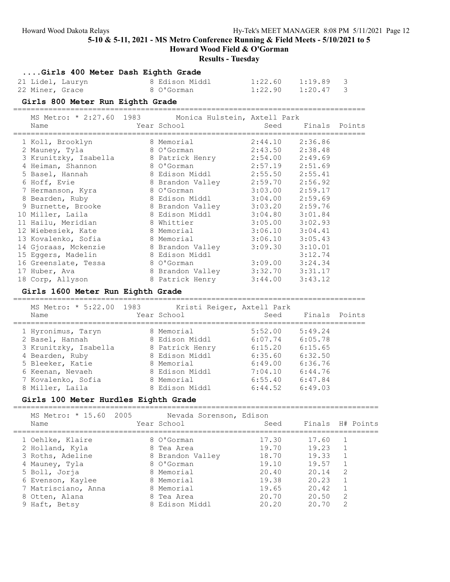Howard Wood Field & O'Gorman

## Results - Tuesday

|  | Girls 400 Meter Dash Eighth Grade |  |  |  |  |  |  |
|--|-----------------------------------|--|--|--|--|--|--|
|--|-----------------------------------|--|--|--|--|--|--|

| 21 Lidel, Lauryn | 8 Edison Middl | $1:22.60$ $1:19.89$ 3 |  |
|------------------|----------------|-----------------------|--|
| 22 Miner, Grace  | 8 O'Gorman     | $1:22.90$ $1:20.47$ 3 |  |

### Girls 800 Meter Run Eighth Grade

================================================================================ MS Metro: \* 2:27.60 1983 Monica Hulstein, Axtell Park

| LID LIELLU.                           | $\sim$ 2.27.00 1909 - MONILO NUISCEIN, AACEII FAIN |                     |               |  |
|---------------------------------------|----------------------------------------------------|---------------------|---------------|--|
| Name                                  | Year School                                        | Seed                | Finals Points |  |
| 1 Koll, Brooklyn                      | 8 Memorial                                         | 2:44.10 2:36.86     |               |  |
| 2 Mauney, Tyla                        | 8 O'Gorman                                         | $2:43.50$ $2:38.48$ |               |  |
| 3 Krunitzky, Isabella 8 Patrick Henry |                                                    | $2:54.00$ $2:49.69$ |               |  |
| 4 Heiman, Shannon                     | 8 O'Gorman                                         | 2:57.19 2:51.69     |               |  |
| 5 Basel, Hannah                       | 8 Edison Middl                                     | 2:55.50 2:55.41     |               |  |
| 6 Hoff, Evie                          | 8 Brandon Valley                                   | 2:59.70 2:56.92     |               |  |
| 7 Hermanson, Kyra                     | 8 O'Gorman                                         | $3:03.00$ 2:59.17   |               |  |
| 8 Bearden, Ruby                       | 8 Edison Middl                                     | 3:04.00             | 2:59.69       |  |
| 9 Burnette, Brooke                    | 8 Brandon Valley                                   | $3:03.20$ 2:59.76   |               |  |
| 10 Miller, Laila                      | 8 Edison Middl                                     | $3:04.80$ $3:01.84$ |               |  |
| 11 Hailu, Meridian                    | 8 Whittier                                         | $3:05.00$ $3:02.93$ |               |  |
| 12 Wiebesiek, Kate                    | 8 Memorial                                         | 3:06.10             | 3:04.41       |  |
| 13 Kovalenko, Sofia                   | 8 Memorial                                         | 3:06.10             | 3:05.43       |  |
| 14 Gjoraas, Mckenzie                  | 8 Brandon Valley                                   | 3:09.30             | 3:10.01       |  |
| 15 Eggers, Madelin                    | 8 Edison Middl                                     |                     | 3:12.74       |  |
| 16 Greenslate, Tessa 8 O'Gorman       |                                                    | $3:09.00$ $3:24.34$ |               |  |
| 17 Huber, Ava                         | 8 Brandon Valley                                   | $3:32.70$ $3:31.17$ |               |  |
| 18 Corp, Allyson                      | 8 Patrick Henry                                    | $3:44.00$ $3:43.12$ |               |  |
|                                       |                                                    |                     |               |  |

### Girls 1600 Meter Run Eighth Grade

================================================================================

| Name |                                                                                                                                                                    |                          | Seed                                                                                                                                             | Finals Points              |  |
|------|--------------------------------------------------------------------------------------------------------------------------------------------------------------------|--------------------------|--------------------------------------------------------------------------------------------------------------------------------------------------|----------------------------|--|
|      |                                                                                                                                                                    |                          | 5:52.00                                                                                                                                          | 5:49.24                    |  |
|      |                                                                                                                                                                    |                          | 6:07.74                                                                                                                                          | 6:05.78                    |  |
|      |                                                                                                                                                                    |                          | 6:15.20                                                                                                                                          | 6:15.65                    |  |
|      |                                                                                                                                                                    |                          | 6:35.60                                                                                                                                          | 6:32.50                    |  |
|      |                                                                                                                                                                    |                          | 6:49.00                                                                                                                                          | 6:36.76                    |  |
|      |                                                                                                                                                                    |                          | 7:04.10                                                                                                                                          | 6:44.76                    |  |
|      |                                                                                                                                                                    |                          | 6:55.40                                                                                                                                          | 6:47.84                    |  |
|      |                                                                                                                                                                    |                          | 6:44.52                                                                                                                                          | 6:49.03                    |  |
|      | 1 Hyronimus, Taryn<br>2 Basel, Hannah<br>3 Krunitzky, Isabella<br>4 Bearden, Ruby<br>5 Bleeker, Katie<br>6 Keenan, Nevaeh<br>7 Kovalenko, Sofia<br>8 Miller, Laila | MS Metro: * 5:22.00 1983 | Year School<br>8 Memorial<br>8 Edison Middl<br>8 Patrick Henry<br>8 Edison Middl<br>8 Memorial<br>8 Edison Middl<br>8 Memorial<br>8 Edison Middl | Kristi Reiger, Axtell Park |  |

## Girls 100 Meter Hurdles Eighth Grade

===================================================================================

| MS Metro: * 15.60 2005<br>Name |  | Nevada Sorenson, Edison<br>Year School | Seed  | Finals H# Points |                |  |
|--------------------------------|--|----------------------------------------|-------|------------------|----------------|--|
| 1 Oehlke, Klaire               |  | 8 O'Gorman                             | 17.30 | 17.60            |                |  |
| 2 Holland, Kyla                |  | 8 Tea Area                             | 19.70 | 19.23            |                |  |
| 3 Roths, Adeline               |  | 8 Brandon Valley                       | 18.70 | 19.33            |                |  |
| 4 Mauney, Tyla                 |  | 8 O'Gorman                             | 19.10 | 19.57            |                |  |
| 5 Boll, Jorja                  |  | 8 Memorial                             | 20.40 | 20.14            | 2              |  |
| 6 Evenson, Kaylee              |  | 8 Memorial                             | 19.38 | 20.23            | $\overline{1}$ |  |
| 7 Matrisciano, Anna            |  | 8 Memorial                             | 19.65 | 20.42            |                |  |
| 8 Otten, Alana                 |  | 8 Tea Area                             | 20.70 | 20.50            | 2              |  |
| 9 Haft, Betsy                  |  | 8 Edison Middl                         | 20.20 | 20.70            | $\mathcal{L}$  |  |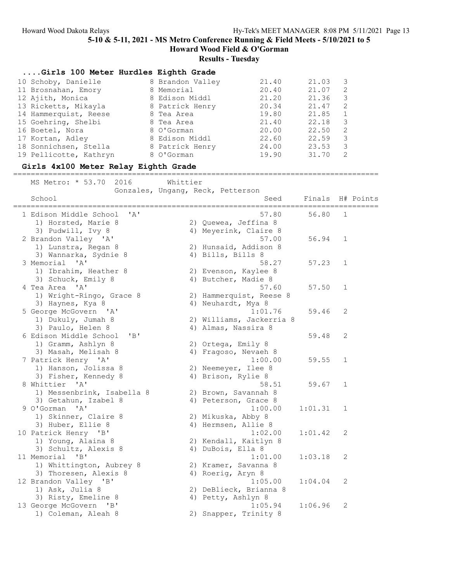# Results - Tuesday

| Girls 100 Meter Hurdles Eighth Grade |                  |       |       |   |
|--------------------------------------|------------------|-------|-------|---|
| 10 Schoby, Danielle                  | 8 Brandon Valley | 21.40 | 21.03 | 3 |
| 11 Brosnahan, Emory                  | 8 Memorial       | 20.40 | 21.07 | 2 |
| 12 Ajith, Monica                     | 8 Edison Middl   | 21.20 | 21.36 | 3 |
| 13 Ricketts, Mikayla                 | 8 Patrick Henry  | 20.34 | 21.47 | 2 |
| 14 Hammerquist, Reese                | 8 Tea Area       | 19.80 | 21.85 |   |
| 15 Goehring, Shelbi                  | 8 Tea Area       | 21.40 | 22.18 | 3 |
| 16 Boetel, Nora                      | 8 O'Gorman       | 20.00 | 22.50 | 2 |
| 17 Kortan, Adley                     | 8 Edison Middl   | 22.60 | 22.59 | 3 |
| 18 Sonnichsen, Stella                | 8 Patrick Henry  | 24.00 | 23.53 | 3 |
| 19 Pellicotte, Kathryn               | 8 O'Gorman       | 19.90 | 31.70 | 2 |

## Girls 4x100 Meter Relay Eighth Grade

#### ===================================================================================

MS Metro: \* 53.70 2016 Whittier

|                                                           | Gonzales, Ungang, Reck, Petterson |         |              |           |
|-----------------------------------------------------------|-----------------------------------|---------|--------------|-----------|
| School                                                    | Seed                              | Finals  |              | H# Points |
| 1 Edison Middle School<br>$\mathsf{A}$                    | 57.80                             | 56.80   | $\mathbf{1}$ |           |
| 1) Horsted, Marie 8                                       | 2) Quewea, Jeffina 8              |         |              |           |
| 3) Pudwill, Ivy 8                                         | 4) Meyerink, Claire 8             |         |              |           |
| 2 Brandon Valley 'A'                                      | 57.00                             | 56.94   | 1            |           |
| 1) Lunstra, Regan 8                                       | 2) Hunsaid, Addison 8             |         |              |           |
| 3) Wannarka, Sydnie 8                                     | 4) Bills, Bills 8                 |         |              |           |
| 3 Memorial<br>$\mathsf{I} \wedge \mathsf{I}$              | 58.27                             | 57.23   | $\mathbf 1$  |           |
| 1) Ibrahim, Heather 8                                     | 2) Evenson, Kaylee 8              |         |              |           |
| 3) Schuck, Emily 8                                        | 4) Butcher, Madie 8               |         |              |           |
| 4 Tea Area 'A'                                            | 57.60                             | 57.50   | $\mathbf 1$  |           |
| 1) Wright-Ringo, Grace 8                                  | 2) Hammerquist, Reese 8           |         |              |           |
| 3) Haynes, Kya 8                                          | 4) Neuhardt, Mya 8                |         |              |           |
| 5 George McGovern 'A'                                     | 1:01.76                           | 59.46   | 2            |           |
| 1) Dukuly, Jumah 8                                        | 2) Williams, Jackerria 8          |         |              |           |
| 3) Paulo, Helen 8                                         | 4) Almas, Nassira 8               |         |              |           |
| 6 Edison Middle School<br>$'$ B <sup><math>'</math></sup> |                                   | 59.48   | 2            |           |
| 1) Gramm, Ashlyn 8                                        | 2) Ortega, Emily 8                |         |              |           |
| 3) Masah, Melisah 8                                       | 4) Fragoso, Nevaeh 8              |         |              |           |
| 7 Patrick Henry 'A'                                       | 1:00.00                           | 59.55   | $\mathbf{1}$ |           |
| 1) Hanson, Jolissa 8                                      | 2) Neemeyer, Ilee 8               |         |              |           |
| 3) Fisher, Kennedy 8                                      | 4) Brison, Rylie 8                |         |              |           |
| 8 Whittier 'A'                                            | 58.51                             | 59.67   | $\mathbf 1$  |           |
| 1) Messenbrink, Isabella 8                                | 2) Brown, Savannah 8              |         |              |           |
| 3) Getahun, Izabel 8                                      | 4) Peterson, Grace 8              |         |              |           |
| 9 O'Gorman<br>$^{\prime}$ A $^{\prime}$                   | 1:00.00                           | 1:01.31 | $\mathbf 1$  |           |
| 1) Skinner, Claire 8                                      | 2) Mikuska, Abby 8                |         |              |           |
| 3) Huber, Ellie 8                                         | 4) Hermsen, Allie 8               |         |              |           |
| 10 Patrick Henry 'B'                                      | 1:02.00                           | 1:01.42 | $\mathbf{2}$ |           |
| 1) Young, Alaina 8                                        | 2) Kendall, Kaitlyn 8             |         |              |           |
| 3) Schultz, Alexis 8                                      | 4) DuBois, Ella 8                 |         |              |           |
| 11 Memorial<br>$\mathbf{B}$                               | 1:01.00                           | 1:03.18 | 2            |           |
| 1) Whittington, Aubrey 8                                  | 2) Kramer, Savanna 8              |         |              |           |
| 3) Thoresen, Alexis 8                                     | 4) Roerig, Aryn 8                 |         |              |           |
| 12 Brandon Valley 'B'                                     | 1:05.00                           | 1:04.04 | 2            |           |
| 1) Ask, Julia 8                                           | 2) DeBlieck, Brianna 8            |         |              |           |
| 3) Risty, Emeline 8                                       | 4) Petty, Ashlyn 8                |         |              |           |
| 13 George McGovern 'B'                                    | 1:05.94                           | 1:06.96 | 2            |           |
| 1) Coleman, Aleah 8                                       | 2) Snapper, Trinity 8             |         |              |           |
|                                                           |                                   |         |              |           |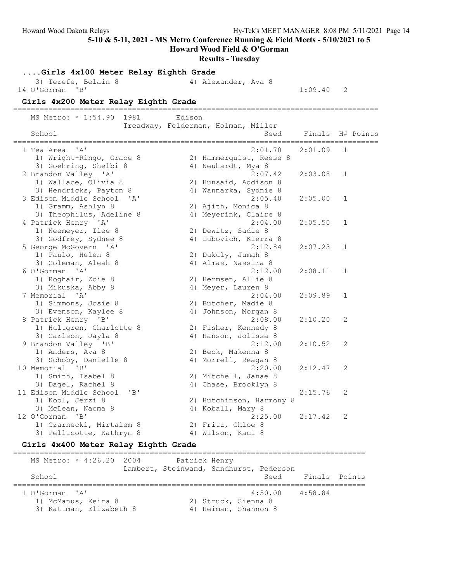Howard Wood Field & O'Gorman

#### Results - Tuesday

....Girls 4x100 Meter Relay Eighth Grade 3) Terefe, Belain 8 4) Alexander, Ava 8 14 O'Gorman 'B' 1:09.40 2 Girls 4x200 Meter Relay Eighth Grade =================================================================================== MS Metro: \* 1:54.90 1981 Edison Treadway, Felderman, Holman, Miller School Seed Finals H# Points =================================================================================== 1 Tea Area 'A' 2:01.70 2:01.09 1 1) Wright-Ringo, Grace 8 2) Hammerquist, Reese 8 3) Goehring, Shelbi 8 4) Neuhardt, Mya 8 2 Brandon Valley 'A' 2:07.42 2:03.08 1 1) Wallace, Olivia 8 2) Hunsaid, Addison 8 3) Hendricks, Payton 8 4) Wannarka, Sydnie 8 3 Edison Middle School 'A' 2:05.40 2:05.00 1 1) Gramm, Ashlyn 8 2) Ajith, Monica 8 3) Theophilus, Adeline 8 4) Meyerink, Claire 8 4 Patrick Henry 'A' 2:04.00 2:05.50 1 1) Neemeyer, Ilee 8 2) Dewitz, Sadie 8 3) Godfrey, Sydnee 8 4) Lubovich, Kierra 8 5 George McGovern 'A' 2:12.84 2:07.23 1 1) Paulo, Helen 8 2) Dukuly, Jumah 8 3) Coleman, Aleah 8 4) Almas, Nassira 8 6 O'Gorman 'A' 2:12.00 2:08.11 1 1) Roghair, Zoie 8 2) Hermsen, Allie 8 3) Mikuska, Abby 8 4) Meyer, Lauren 8 7 Memorial 'A' 2:04.00 2:09.89 1 1) Simmons, Josie 8 2) Butcher, Madie 8 3) Evenson, Kaylee 8 4) Johnson, Morgan 8 8 Patrick Henry 'B' 2:08.00 2:10.20 2 1) Hultgren, Charlotte 8 2) Fisher, Kennedy 8 3) Carlson, Jayla 8 4) Hanson, Jolissa 8 9 Brandon Valley 'B' 2:12.00 2:10.52 2 1) Anders, Ava 8 2) Beck, Makenna 8 3) Schoby, Danielle 8 4) Morrell, Reagan 8 10 Memorial 'B' 2:20.00 2:12.47 2 1) Smith, Isabel 8 2) Mitchell, Janae 8 3) Dagel, Rachel 8 4) Chase, Brooklyn 8 11 Edison Middle School 'B' 2:15.76 2 1) Kool, Jerzi 8 2) Hutchinson, Harmony 8 3) McLean, Naoma 8 4) Koball, Mary 8 12 O'Gorman 'B' 2:25.00 2:17.42 2 1) Czarnecki, Mirtalem 8 2) Fritz, Chloe 8 3) Pellicotte, Kathryn 8 (4) Wilson, Kaci 8

### Girls 4x400 Meter Relay Eighth Grade

================================================================================ MS Metro: \* 4:26.20 2004 Patrick Henry Lambert, Steinwand, Sandhurst, Pederson School School School Seed Finals Points ================================================================================ 1 O'Gorman 'A' 4:50.00 4:58.84 1) McManus, Keira 8 2) Struck, Sienna 8 3) Kattman, Elizabeth 8 (4) Heiman, Shannon 8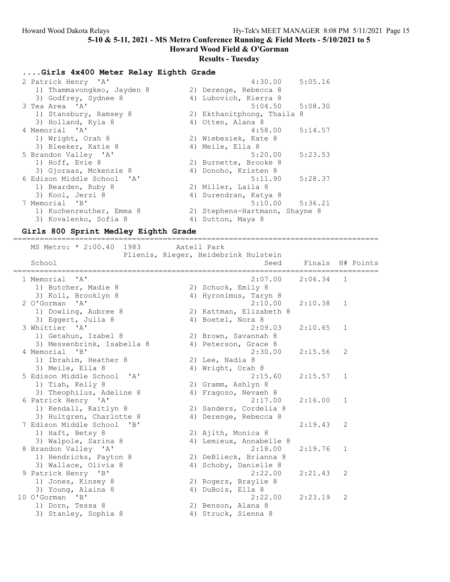Howard Wood Field & O'Gorman

# Results - Tuesday

## ....Girls 4x400 Meter Relay Eighth Grade

| 2 Patrick Henry 'A'        | 4:30.00<br>5:05.16             |
|----------------------------|--------------------------------|
| 1) Thammavongkeo, Jayden 8 | 2) Derenge, Rebecca 8          |
| 3) Godfrey, Sydnee 8       | 4) Lubovich, Kierra 8          |
| 3 Tea Area 'A'             | $5:04.50$ $5:08.30$            |
| 1) Stansbury, Ramsey 8     | 2) Ekthanitphong, Thaila 8     |
| 3) Holland, Kyla 8         | 4) Otten, Alana 8              |
| 4 Memorial 'A'             | 5:14.57<br>4:58.00             |
| 1) Wright, Orah 8          | 2) Wiebesiek, Kate 8           |
| 3) Bleeker, Katie 8        | 4) Meile, Ella 8               |
| 5 Brandon Valley 'A'       | 5:23.53<br>5:20.00             |
| 1) Hoff, Evie 8            | 2) Burnette, Brooke 8          |
| 3) Gjoraas, Mckenzie 8     | 4) Donoho, Kristen 8           |
| 6 Edison Middle School 'A' | 5:11.90<br>5:28.37             |
| 1) Bearden, Ruby 8         | 2) Miller, Laila 8             |
| 3) Kool, Jerzi 8           | 4) Surendran, Katya 8          |
| 7 Memorial 'B'             | $5:10.00$ $5:36.21$            |
| 1) Kuchenreuther, Emma 8   | 2) Stephens-Hartmann, Shayne 8 |
| 3) Kovalenko, Sofia 8      | 4) Sutton, Maya 8              |

## Girls 800 Sprint Medley Eighth Grade

| ==================================                 | ================================                    |         |                                 |
|----------------------------------------------------|-----------------------------------------------------|---------|---------------------------------|
| MS Metro: * 2:00.40 1983                           | Axtell Park<br>Plienis, Rieger, Heidebrink Hulstein |         |                                 |
| School                                             | Seed                                                |         | Finals H# Points<br>=========== |
| 1 Memorial<br>$\mathsf{A}$                         | 2:07.00                                             | 2:06.34 | 1                               |
| 1) Butcher, Madie 8<br>3) Koll, Brooklyn 8         | 2) Schuck, Emily 8<br>4) Hyronimus, Taryn 8         |         |                                 |
| 2 O'Gorman 'A'                                     | 2:10.00                                             | 2:10.38 | 1                               |
| 1) Dowling, Aubree 8                               | 2) Kattman, Elizabeth 8                             |         |                                 |
| 3) Eggert, Julia 8<br>3 Whittier 'A'               | 4) Boetel, Nora 8<br>2:09.03                        | 2:10.65 | $\mathbf{1}$                    |
| 1) Getahun, Izabel 8                               | 2) Brown, Savannah 8                                |         |                                 |
| 3) Messenbrink, Isabella 8                         | 4) Peterson, Grace 8                                |         |                                 |
| 4 Memorial<br>"B"                                  | 2:30.00                                             | 2:15.56 | 2                               |
| 1) Ibrahim, Heather 8<br>3) Meile, Ella 8          | 2) Lee, Nadia 8<br>4) Wright, Orah 8                |         |                                 |
| 5 Edison Middle School 'A'                         | 2:15.60                                             | 2:15.57 | 1                               |
| 1) Tiah, Kelly 8                                   | 2) Gramm, Ashlyn 8                                  |         |                                 |
| 3) Theophilus, Adeline 8<br>6 Patrick Henry 'A'    | 4) Fragoso, Nevaeh 8<br>2:17.00                     | 2:16.00 | $\mathbf{1}$                    |
| 1) Kendall, Kaitlyn 8                              | 2) Sanders, Cordelia 8                              |         |                                 |
| 3) Hultgren, Charlotte 8<br>7 Edison Middle School | 4) Derenge, Rebecca 8                               | 2:19.43 | 2                               |
| "B"<br>1) Haft, Betsy 8                            | 2) Ajith, Monica 8                                  |         |                                 |
| 3) Walpole, Sarina 8                               | 4) Lemieux, Annabelle 8                             |         |                                 |
| 8 Brandon Valley 'A'                               | 2:18.00                                             | 2:19.76 | 1                               |
| 1) Hendricks, Payton 8<br>3) Wallace, Olivia 8     | 2) DeBlieck, Brianna 8<br>4) Schoby, Danielle 8     |         |                                 |
| 9 Patrick Henry 'B'                                | 2:22.00                                             | 2:21.43 | 2                               |
| 1) Jones, Kinsey 8                                 | 2) Rogers, Braylie 8                                |         |                                 |
| 3) Young, Alaina 8<br>10 O'Gorman<br>"B"           | 4) DuBois, Ella 8<br>2:22.00                        | 2:23.19 | 2                               |
| 1) Dorn, Tessa 8                                   | 2) Benson, Alana 8                                  |         |                                 |
| 3) Stanley, Sophia 8                               | 4) Struck, Sienna 8                                 |         |                                 |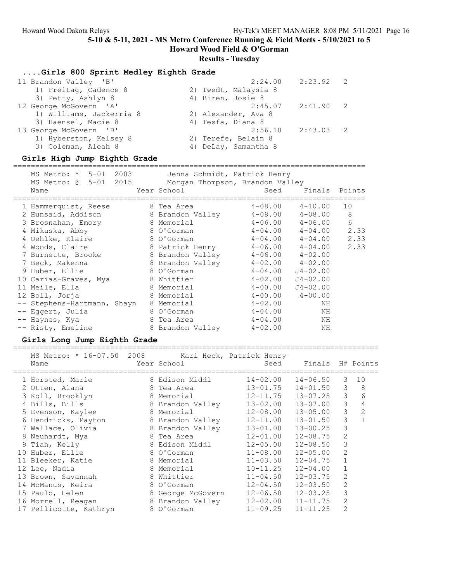Howard Wood Field & O'Gorman

#### Results - Tuesday

....Girls 800 Sprint Medley Eighth Grade

| 11 Brandon Valley 'B'    |                      | $2:24.00$ $2:23.92$ 2 |  |
|--------------------------|----------------------|-----------------------|--|
| 1) Freitag, Cadence 8    | 2) Twedt, Malaysia 8 |                       |  |
| 3) Petty, Ashlyn 8       | 4) Biren, Josie 8    |                       |  |
| 12 George McGovern 'A'   | 2:45.07              | $2:41.90$ 2           |  |
| 1) Williams, Jackerria 8 | 2) Alexander, Ava 8  |                       |  |
| 3) Haensel, Macie 8      | 4) Tesfa, Diana 8    |                       |  |
| 13 George McGovern 'B'   | 2:56.10              | $2:43.03$ 2           |  |
| 1) Hyberston, Kelsey 8   | 2) Terefe, Belain 8  |                       |  |
| 3) Coleman, Aleah 8      | 4) DeLay, Samantha 8 |                       |  |
|                          |                      |                       |  |

#### Girls High Jump Eighth Grade

================================================================================ MS Metro: \* 5-01 2003 Jenna Schmidt, Patrick Henry MS Metro: @ 5-01 2015 Morgan Thompson, Brandon Valley Name Year School Seed Finals Points ================================================================================ 1 Hammerquist, Reese 8 Tea Area  $4-08.00$   $4-10.00$  10 2 Hunsaid, Addison 8 Brandon Valley 4-08.00 4-08.00 8 3 Brosnahan, Emory 8 Memorial 4-06.00 4-06.00 6 4 Mikuska, Abby 8 O'Gorman 4-04.00 4-04.00 2.33 4 Oehlke, Klaire 8 O'Gorman 4-04.00 4-04.00 2.33 4 Woods, Claire 8 Patrick Henry 4-06.00 4-04.00 2.33 7 Burnette, Brooke 8 Brandon Valley 4-06.00 4-02.00 7 Beck, Makenna 8 Brandon Valley 4-02.00 4-02.00 9 Huber, Ellie 8 O'Gorman 4-04.00 J4-02.00 10 Carias-Graves, Mya 8 Whittier 4-02.00 J4-02.00 11 Meile, Ella 8 Memorial 4-00.00 J4-02.00 12 Boll, Jorja 8 Memorial 4-00.00 4-00.00 -- Stephens-Hartmann, Shayn 8 Memorial 4-02.00 NH -- Eggert, Julia 8 O'Gorman 4-04.00 NH -- Haynes, Kya 8 Tea Area 4-04.00 NH -- Risty, Emeline 8 Brandon Valley  $4-02.00$  NH

### Girls Long Jump Eighth Grade

===================================================================================

| MS Metro: * 16-07.50 2008 Kari Heck, Patrick Henry |                   |                           |                  |                |              |
|----------------------------------------------------|-------------------|---------------------------|------------------|----------------|--------------|
| Name                                               | Year School       | Seed                      | Finals H# Points |                |              |
| 1 Horsted, Marie                                   | 8 Edison Middl    | $14 - 02.00$ $14 - 06.50$ |                  | 3 <sup>3</sup> | 10           |
| 2 Otten, Alana                                     | 8 Tea Area        | 13-01.75                  | $14 - 01.50$     | 3              | 8            |
| 3 Koll, Brooklyn                                   | 8 Memorial        | 12-11.75                  | 13-07.25         | 3              | 6            |
| 4 Bills, Bills                                     | 8 Brandon Valley  | $13 - 02.00$ $13 - 07.00$ |                  | 3              | 4            |
| 5 Evenson, Kaylee                                  | 8 Memorial        | $12 - 08.00$ $13 - 05.00$ |                  | 3              | 2            |
| 6 Hendricks, Payton                                | 8 Brandon Valley  | $12 - 11.00$ $13 - 01.50$ |                  | 3              | $\mathbf{1}$ |
| 7 Wallace, Olivia                                  | 8 Brandon Valley  | $13 - 01.00$ $13 - 00.25$ |                  | 3              |              |
| 8 Neuhardt, Mya                                    | 8 Tea Area        | $12 - 01.00$ $12 - 08.75$ |                  | 2              |              |
| 9 Tiah, Kelly                                      | 8 Edison Middl    | $12 - 05.00$ $12 - 08.50$ |                  | 3              |              |
| 10 Huber, Ellie                                    | 8 O'Gorman        | $11 - 08.00$              | $12 - 05.00$     | $\overline{2}$ |              |
| 11 Bleeker, Katie                                  | 8 Memorial        | $11 - 03.50$              | $12 - 04.75$     | $\mathbf{1}$   |              |
| 12 Lee, Nadia                                      | 8 Memorial        | $10 - 11.25$              | $12 - 04.00$     | $\mathbf{1}$   |              |
| 13 Brown, Savannah                                 | 8 Whittier        | $11 - 04.50$              | $12 - 03.75$     | 2              |              |
| 14 McManus, Keira                                  | 8 O'Gorman        | $12 - 04.50$ $12 - 03.50$ |                  | 2              |              |
| 15 Paulo, Helen                                    | 8 George McGovern | $12 - 06.50$ $12 - 03.25$ |                  | 3              |              |
| 16 Morrell, Reagan                                 | 8 Brandon Valley  | $12 - 02.00$ $11 - 11.75$ |                  | 2              |              |
| 17 Pellicotte, Kathryn                             | 8 O'Gorman        | $11 - 09.25$ $11 - 11.25$ |                  | 2              |              |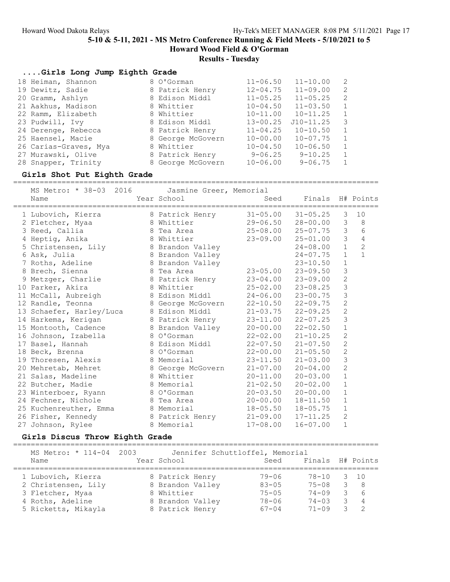## Results - Tuesday

| Girls Long Jump Eighth Grade |                   |              |                         |              |
|------------------------------|-------------------|--------------|-------------------------|--------------|
| 18 Heiman, Shannon           | 8 O'Gorman        | $11 - 06.50$ | $11 - 10.00$            | 2            |
| 19 Dewitz, Sadie             | 8 Patrick Henry   | $12 - 04.75$ | $11 - 09.00$            | 2            |
| 20 Gramm, Ashlyn             | 8 Edison Middl    | $11 - 05.25$ | $11 - 05.25$            | 2            |
| 21 Aakhus, Madison           | 8 Whittier        | $10 - 04.50$ | $11 - 03.50$            | $\mathbf{1}$ |
| 22 Ramm, Elizabeth           | 8 Whittier        | $10 - 11.00$ | $10 - 11.25$            | $\mathbf{1}$ |
| 23 Pudwill, Ivy              | 8 Edison Middl    | $13 - 00.25$ | $J10 - 11.25$           | 3            |
| 24 Derenge, Rebecca          | 8 Patrick Henry   | $11 - 04.25$ | $10 - 10.50$            | $\mathbf{1}$ |
| 25 Haensel, Macie            | 8 George McGovern | $10 - 00.00$ | $10 - 07.75$            | 1            |
| 26 Carias-Graves, Mya        | 8 Whittier        | $10 - 04.50$ | $10 - 06.50$            | $\mathbf{1}$ |
| 27 Murawski, Olive           | 8 Patrick Henry   |              | $9 - 06.25$ $9 - 10.25$ | 1            |
| 28 Snapper, Trinity          | 8 George McGovern | $10 - 06.00$ | $9 - 06.75$             | 1            |

#### Girls Shot Put Eighth Grade

=================================================================================== MS Metro: \* 38-03 2016 Jasmine Greer, Memorial

| MS MELLO: ^ 30-03 SUID<br>Name | Jasmine Greer, Memorial<br>Year School | Seed                      | Finals H# Points          |                |                |
|--------------------------------|----------------------------------------|---------------------------|---------------------------|----------------|----------------|
| 1 Lubovich, Kierra             | 8 Patrick Henry                        |                           | $31 - 05.00$ $31 - 05.25$ | 3              | 10             |
| 2 Fletcher, Myaa               | 8 Whittier                             | $29 - 06.50$              | 28-00.00                  | 3              | 8              |
| 3 Reed, Callia                 | 8 Tea Area                             | $25 - 08.00$              | $25 - 07.75$              | $\mathcal{S}$  | 6              |
| 4 Heptig, Anika                | 8 Whittier                             | $23 - 09.00$              | $25 - 01.00$              | $\mathcal{E}$  | $\overline{4}$ |
| 5 Christensen, Lily            | 8 Brandon Valley                       |                           | $24 - 08.00$              | $\mathbf{1}$   | $\overline{c}$ |
| 6 Ask, Julia                   | 8 Brandon Valley                       |                           | $24 - 07.75$              | $\mathbf{1}$   | $\mathbf{1}$   |
| 7 Roths, Adeline               | 8 Brandon Valley                       |                           | $23 - 10.50$              | $1\,$          |                |
| 8 Brech, Sienna                | 8 Tea Area                             | $23 - 05.00$              | $23 - 09.50$              | 3              |                |
| 9 Metzger, Charlie             | 8 Patrick Henry                        | $23 - 04.00$ $23 - 09.00$ |                           | $\overline{c}$ |                |
| 10 Parker, Akira               | 8 Whittier                             | $25 - 02.00$              | $23 - 08.25$              | 3              |                |
| 11 McCall, Aubreigh            | 8 Edison Middl                         | $24 - 06.00$              | $23 - 00.75$              | 3              |                |
| 12 Randle, Teonna              | 8 George McGovern                      | $22 - 10.50$ $22 - 09.75$ |                           | $\overline{2}$ |                |
| 13 Schaefer, Harley/Luca       | 8 Edison Middl                         | $21 - 03.75$              | $22 - 09.25$              | $\overline{2}$ |                |
| 14 Harkema, Kerigan            | 8 Patrick Henry                        | $23 - 11.00$              | $22 - 07.25$              | 3              |                |
| 15 Montooth, Cadence           | 8 Brandon Valley                       | $20 - 00.00$              | $22 - 02.50$              | $\mathbf 1$    |                |
| 16 Johnson, Izabella           | 8 O'Gorman                             | $22 - 02.00$              | $21 - 10.25$              | $\sqrt{2}$     |                |
| 17 Basel, Hannah               | 8 Edison Middl                         | $22 - 07.50$              | $21 - 07.50$              | $\overline{c}$ |                |
| 18 Beck, Brenna                | 8 O'Gorman                             | $22 - 00.00$              | $21 - 05.50$              | $\sqrt{2}$     |                |
| 19 Thoresen, Alexis            | 8 Memorial                             | $23 - 11.50$              | $21 - 03.00$              | 3              |                |
| 20 Mehretab, Mehret            | 8 George McGovern                      | $21 - 07.00$              | $20 - 04.00$              | $\overline{c}$ |                |
| 21 Salas, Madeline             | 8 Whittier                             | $20 - 11.00$              | $20 - 03.00$              | $\mathbf 1$    |                |
| 22 Butcher, Madie              | 8 Memorial                             | $21 - 02.50$              | $20 - 02.00$              | $\mathbf{1}$   |                |
| 23 Winterboer, Ryann           | 8 O'Gorman                             | $20 - 03.50$              | $20 - 00.00$              | $\mathbf 1$    |                |
| 24 Fechner, Nichole            | 8 Tea Area                             | $20 - 00.00$              | $18 - 11.50$              | $\mathbf{1}$   |                |
| 25 Kuchenreuther, Emma         | 8 Memorial                             | $18 - 05.50$              | $18 - 05.75$              | $\mathbf 1$    |                |
| 26 Fisher, Kennedy             | 8 Patrick Henry                        | $21 - 09.00$              | $17 - 11.25$              | $\overline{c}$ |                |
| 27 Johnson, Rylee              | 8 Memorial                             | $17 - 08.00$              | $16 - 07.00$              | $\mathbf 1$    |                |

### Girls Discus Throw Eighth Grade

===================================================================================

| MS Metro: * 114-04 2003<br>Name | Year School      | Jennifer Schuttloffel, Memorial<br>Seed | Finals H# Points |                         |                 |
|---------------------------------|------------------|-----------------------------------------|------------------|-------------------------|-----------------|
| 1 Lubovich, Kierra              | 8 Patrick Henry  | 79-06                                   | 78-10 3 10       |                         |                 |
| 2 Christensen, Lily             | 8 Brandon Valley | $83 - 05$                               | $75 - 08$        |                         | $3 \quad 8$     |
| 3 Fletcher, Myaa                | 8 Whittier       | $75 - 05$                               | $74 - 09$        |                         | $3\overline{6}$ |
| 4 Roths, Adeline                | 8 Brandon Valley | $78 - 06$                               | $74 - 0.3$       | $\overline{\mathbf{3}}$ | $\overline{4}$  |
| 5 Ricketts, Mikayla             | 8 Patrick Henry  | $67 - 04$                               | $71 - 09$        |                         |                 |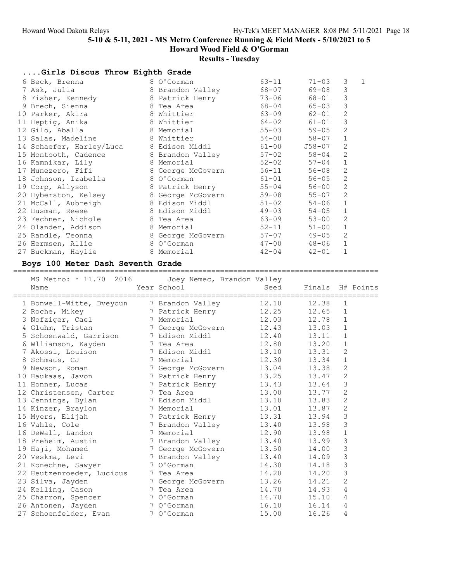# Results - Tuesday

| Girls Discus Throw Eighth Grade         |                   |           |           |                |   |
|-----------------------------------------|-------------------|-----------|-----------|----------------|---|
| 6 Beck, Brenna                          | 8 O'Gorman        | 63-11     | $71 - 03$ | 3              | 1 |
| 7 Ask, Julia                            | 8 Brandon Valley  | 68-07     | 69-08     | 3              |   |
| 8 Fisher, Kennedy                       | 8 Patrick Henry   | $73 - 06$ | 68-01     | $\mathcal{S}$  |   |
| 9 Brech, Sienna                         | 8 Tea Area        | 68-04     | 65-03     | 3              |   |
| 10 Parker, Akira                        | 8 Whittier        | $63 - 09$ | $62 - 01$ | $\mathbf{2}$   |   |
| 11 Heptig, Anika                        | 8 Whittier        | $64 - 02$ | 61-01     | 3              |   |
| 12 Gilo, Aballa                         | 8 Memorial        | $55 - 03$ | $59 - 05$ | $\overline{2}$ |   |
| 13 Salas, Madeline                      | 8 Whittier        | $54 - 00$ | 58-07     | $\mathbf{1}$   |   |
| 14 Schaefer, Harley/Luca 8 Edison Middl |                   | $61 - 00$ | J58-07    | $\overline{2}$ |   |
| 15 Montooth, Cadence 3 Brandon Valley   |                   | $57 - 02$ | $58 - 04$ | $\overline{2}$ |   |
| 16 Kamnikar, Lily                       | 8 Memorial        | $52 - 02$ | 57-04     | $\mathbf 1$    |   |
| 17 Munezero, Fifi                       | 8 George McGovern | $56 - 11$ | $56 - 08$ | $\overline{c}$ |   |
| 18 Johnson, Izabella                    | 8 O'Gorman        | $61 - 01$ | $56 - 05$ | $\overline{c}$ |   |
| 19 Corp, Allyson                        | 8 Patrick Henry   | $55 - 04$ | $56 - 00$ | $\overline{c}$ |   |
| 20 Hyberston, Kelsey                    | 8 George McGovern | $59 - 08$ | $55 - 07$ | $\overline{2}$ |   |
| 21 McCall, Aubreigh                     | 8 Edison Middl    | $51 - 02$ | $54 - 06$ | $1\,$          |   |
| 22 Husman, Reese                        | 8 Edison Middl    | $49 - 03$ | $54 - 05$ | $\mathbf{1}$   |   |
| 23 Fechner, Nichole                     | 8 Tea Area        | 63-09     | $53 - 00$ | $\overline{2}$ |   |
| 24 Olander, Addison                     | 8 Memorial        | $52 - 11$ | $51 - 00$ | $\mathbf 1$    |   |
| 25 Randle, Teonna                       | 8 George McGovern | $57 - 07$ | $49 - 05$ | 2              |   |
| 26 Hermsen, Allie                       | 8 O'Gorman        | $47 - 00$ | $48 - 06$ | $\mathbf{1}$   |   |
| 27 Buckman, Haylie                      | 8 Memorial        | $42 - 04$ | $42 - 01$ | $\mathbf 1$    |   |

# Boys 100 Meter Dash Seventh Grade

| MS Metro: * 11.70 2016<br>Name<br>=================== | Joey Nemec, Brandon Valley<br>Year School | Seed<br>---------------------- | Finals H# Points<br>============ |                |  |
|-------------------------------------------------------|-------------------------------------------|--------------------------------|----------------------------------|----------------|--|
| 1 Bonwell-Witte, Dveyoun                              | 7 Brandon Valley                          | 12.10                          | 12.38                            | 1              |  |
| 2 Roche, Mikey                                        | 7 Patrick Henry                           | 12.25                          | 12.65                            | $\mathbf 1$    |  |
| 3 Nofziger, Cael                                      | 7 Memorial                                | 12.03                          | 12.78                            | $\mathbf{1}$   |  |
| 4 Gluhm, Tristan                                      | 7 George McGovern                         | 12.43                          | 13.03                            | $\mathbf 1$    |  |
| 5 Schoenwald, Garrison 7 Edison Middl                 |                                           | 12.40                          | 13.11                            | 1              |  |
| 6 Wlliamson, Kayden                                   | 7 Tea Area                                | 12.80                          | 13.20                            | $\mathbf 1$    |  |
| 7 Akossi, Louison                                     | 7 Edison Middl                            | 13.10                          | 13.31                            | $\sqrt{2}$     |  |
| 8 Schmaus, CJ                                         | 7 Memorial                                | 12.30                          | 13.34                            | $\mathbf 1$    |  |
| 9 Newson, Roman                                       | 7 George McGovern                         | 13.04                          | 13.38                            | $\overline{c}$ |  |
| 10 Haukaas, Javon 17 Patrick Henry                    |                                           | 13.25                          | 13.47                            | $\overline{c}$ |  |
| 11 Honner, Lucas                                      | 7 Patrick Henry                           | 13.43                          | 13.64                            | 3              |  |
| 12 Christensen, Carter 7 Tea Area                     |                                           | 13.00                          | 13.77                            | $\overline{c}$ |  |
| 13 Jennings, Dylan                                    | 7 Edison Middl                            | 13.10                          | 13.83                            | $\overline{c}$ |  |
| 14 Kinzer, Braylon                                    | 7 Memorial                                | 13.01                          | 13.87                            | $\mathbf{2}$   |  |
| 15 Myers, Elijah 15 7 Patrick Henry                   |                                           | 13.31                          | 13.94                            | 3              |  |
| 16 Vahle, Cole                                        | 7 Brandon Valley                          | 13.40                          | 13.98                            | 3              |  |
| 16 DeWall, Landon                                     | 7 Memorial                                | 12.90                          | 13.98                            | $\mathbf 1$    |  |
| 18 Preheim, Austin                                    | 7 Brandon Valley                          | 13.40                          | 13.99                            | $\mathfrak{Z}$ |  |
| 19 Haji, Mohamed                                      | 7 George McGovern                         | 13.50                          | 14.00                            | 3              |  |
| 20 Veskma, Levi                                       | 7 Brandon Valley                          | 13.40                          | 14.09                            | 3              |  |
| 21 Konechne, Sawyer                                   | 7 O'Gorman                                | 14.30                          | 14.18                            | $\mathcal{S}$  |  |
| 22 Heutzenroeder, Lucious                             | 7 Tea Area                                | 14.20                          | 14.20                            | 3              |  |
| 23 Silva, Jayden                                      | 7 George McGovern                         | 13.26                          | 14.21                            | $\overline{2}$ |  |
| 24 Kelling, Cason                                     | 7 Tea Area                                | 14.70                          | 14.93                            | $\overline{4}$ |  |
| 25 Charron, Spencer                                   | 7 O'Gorman                                | 14.70                          | 15.10                            | $\overline{4}$ |  |
| 26 Antonen, Jayden                                    | 7 O'Gorman                                | 16.10                          | 16.14                            | 4              |  |
| 27 Schoenfelder, Evan                                 | 7 O'Gorman                                | 15.00                          | 16.26                            | $\overline{4}$ |  |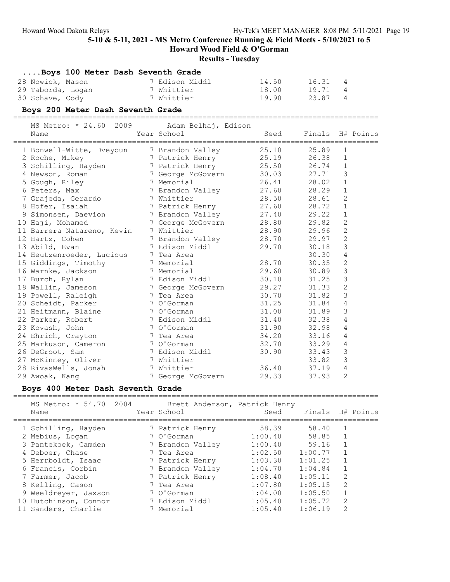Howard Wood Field & O'Gorman

## Results - Tuesday

| Boys 100 Meter Dash Seventh Grade |                |       |       |                |
|-----------------------------------|----------------|-------|-------|----------------|
| 28 Nowick, Mason                  | 7 Edison Middl | 14.50 | 16.31 | 4              |
| 29 Taborda, Logan                 | 7 Whittier     | 18.00 | 19.71 | $\overline{4}$ |
| 30 Schave, Cody                   | 7 Whittier     | 19.90 | 23.87 | $\overline{4}$ |

## Boys 200 Meter Dash Seventh Grade

===================================================================================

| 2009<br>MS Metro: * 24.60  | Adam Belhaj, Edison |       |                  |                |                  |
|----------------------------|---------------------|-------|------------------|----------------|------------------|
| Name                       | Year School         | Seed  | Finals H# Points |                |                  |
| 1 Bonwell-Witte, Dveyoun   | 7 Brandon Valley    | 25.10 | 25.89            | 1              | ================ |
| 2 Roche, Mikey             | 7 Patrick Henry     | 25.19 | 26.38            | 1              |                  |
| 3 Schilling, Hayden        | 7 Patrick Henry     | 25.50 | 26.74            | $\mathbf 1$    |                  |
| 4 Newson, Roman            | 7 George McGovern   | 30.03 | 27.71            | 3              |                  |
| 5 Gough, Riley             | 7 Memorial          | 26.41 | 28.02            | $\mathbf 1$    |                  |
| 6 Peters, Max              | 7 Brandon Valley    | 27.60 | 28.29            | $\mathbf 1$    |                  |
| 7 Grajeda, Gerardo         | 7 Whittier          | 28.50 | 28.61            | $\overline{c}$ |                  |
| 8 Hofer, Isaiah            | 7 Patrick Henry     | 27.60 | 28.72            | $\mathbf 1$    |                  |
| 9 Simonsen, Daevion        | 7 Brandon Valley    | 27.40 | 29.22            | 1              |                  |
| 10 Haji, Mohamed           | 7 George McGovern   | 28.80 | 29.82            | $\mathbf{2}$   |                  |
| 11 Barrera Natareno, Kevin | 7 Whittier          | 28.90 | 29.96            | $\mathbf{2}$   |                  |
| 12 Hartz, Cohen            | 7 Brandon Valley    | 28.70 | 29.97            | $\overline{c}$ |                  |
| 13 Abild, Evan             | 7 Edison Middl      | 29.70 | 30.18            | 3              |                  |
| 14 Heutzenroeder, Lucious  | 7 Tea Area          |       | 30.30            | $\overline{4}$ |                  |
| 15 Giddings, Timothy       | 7 Memorial          | 28.70 | 30.35            | $\mathbf{2}$   |                  |
| 16 Warnke, Jackson         | 7 Memorial          | 29.60 | 30.89            | 3              |                  |
| 17 Burch, Rylan            | 7 Edison Middl      | 30.10 | 31.25            | 3              |                  |
| 18 Wallin, Jameson         | 7 George McGovern   | 29.27 | 31.33            | $\mathbf{2}$   |                  |
| 19 Powell, Raleigh         | 7 Tea Area          | 30.70 | 31.82            | 3              |                  |
| 20 Scheidt, Parker         | 7 O'Gorman          | 31.25 | 31.84            | 4              |                  |
| 21 Heitmann, Blaine        | 7 O'Gorman          | 31.00 | 31.89            | 3              |                  |
| 22 Parker, Robert          | 7 Edison Middl      | 31.40 | 32.38            | 4              |                  |
| 23 Kovash, John            | 7 O'Gorman          | 31.90 | 32.98            | $\overline{4}$ |                  |
| 24 Ehrich, Crayton         | 7 Tea Area          | 34.20 | 33.16            | $\overline{4}$ |                  |
| 25 Markuson, Cameron       | 7 O'Gorman          | 32.70 | 33.29            | $\overline{4}$ |                  |
| 26 DeGroot, Sam            | 7 Edison Middl      | 30.90 | 33.43            | 3              |                  |
| 27 McKinney, Oliver        | 7 Whittier          |       | 33.82            | 3              |                  |
| 28 RivasWells, Jonah       | 7 Whittier          | 36.40 | 37.19            | 4              |                  |
| 29 Awoak, Kang             | 7 George McGovern   | 29.33 | 37.93            | $\overline{2}$ |                  |

### Boys 400 Meter Dash Seventh Grade

| MS Metro: * 54.70 2004<br>Name                                                           | Brett Anderson, Patrick Henry<br>Year School             | Seed                                     | Finals H# Points                         |                                     |  |
|------------------------------------------------------------------------------------------|----------------------------------------------------------|------------------------------------------|------------------------------------------|-------------------------------------|--|
| 1 Schilling, Hayden<br>2 Mebius, Logan                                                   | 7 Patrick Henry<br>7 O'Gorman                            | 58.39<br>1:00.40                         | 58.40<br>58.85                           |                                     |  |
| 3 Pantekoek, Camden<br>4 Deboer, Chase<br>5 Herrboldt, Isaac                             | 7 Brandon Valley<br>7 Tea Area<br>7 Patrick Henry        | 1:00.40<br>1:02.50<br>1:03.30            | 59.16<br>1:00.77<br>1:01.25              |                                     |  |
| 6 Francis, Corbin<br>7 Farmer, Jacob                                                     | 7 Brandon Valley<br>7 Patrick Henry                      | 1:04.70<br>1:08.40                       | 1:04.84<br>1:05.11                       | $\mathcal{L}$                       |  |
| 8 Kelling, Cason<br>9 Weeldreyer, Jaxson<br>10 Hutchinson, Connor<br>11 Sanders, Charlie | 7 Tea Area<br>7 O'Gorman<br>7 Edison Middl<br>7 Memorial | 1:07.80<br>1:04.00<br>1:05.40<br>1:05.40 | 1:05.15<br>1:05.50<br>1:05.72<br>1:06.19 | $\mathcal{L}$<br>2<br>$\mathcal{L}$ |  |
|                                                                                          |                                                          |                                          |                                          |                                     |  |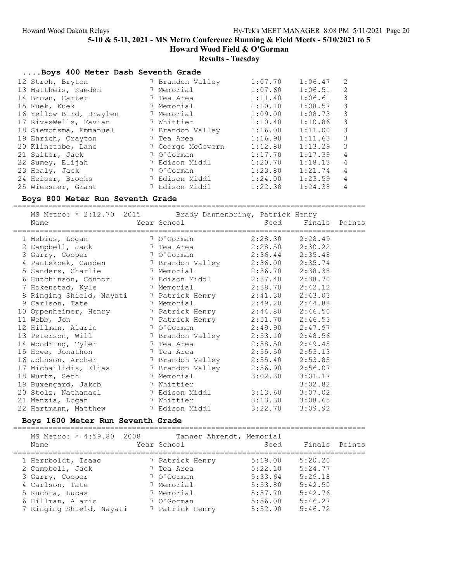## Results - Tuesday

| Boys 400 Meter Dash Seventh Grade |                   |         |         |                |
|-----------------------------------|-------------------|---------|---------|----------------|
| 12 Stroh, Bryton                  | 7 Brandon Valley  | 1:07.70 | 1:06.47 | 2              |
| 13 Mattheis, Kaeden               | 7 Memorial        | 1:07.60 | 1:06.51 | 2              |
| 14 Brown, Carter                  | 7 Tea Area        | 1:11.40 | 1:06.61 | 3              |
| 15 Kuek, Kuek                     | 7 Memorial        | 1:10.10 | 1:08.57 | 3              |
| 16 Yellow Bird, Braylen           | 7 Memorial        | 1:09.00 | 1:08.73 | 3              |
| 17 RivasWells, Favian             | 7 Whittier        | 1:10.40 | 1:10.86 | 3              |
| 18 Siemonsma, Emmanuel            | 7 Brandon Valley  | 1:16.00 | 1:11.00 | 3              |
| 19 Ehrich, Crayton                | 7 Tea Area        | 1:16.90 | 1:11.63 | 3              |
| 20 Klinetobe, Lane                | 7 George McGovern | 1:12.80 | 1:13.29 | 3              |
| 21 Salter, Jack                   | 7 O'Gorman        | 1:17.70 | 1:17.39 | 4              |
| 22 Sumey, Elijah                  | 7 Edison Middl    | 1:20.70 | 1:18.13 | $\overline{4}$ |
| 23 Healy, Jack                    | 7 O'Gorman        | 1:23.80 | 1:21.74 | $\overline{4}$ |
| 24 Heiser, Brooks                 | 7 Edison Middl    | 1:24.00 | 1:23.59 | $\overline{4}$ |
| 25 Wiessner, Grant                | 7 Edison Middl    | 1:22.38 | 1:24.38 | 4              |

### Boys 800 Meter Run Seventh Grade

================================================================================ MS Metro: \* 2:12.70 2015 Brady Dannenbring, Patrick Henry

| MS MELIO. " 2.12.70 ZUIS - DIAUY DAMMENDIING, PALIICK RENIY<br>Name | <b>Example 2018</b> Year School |                     | Seed Finals Points |  |
|---------------------------------------------------------------------|---------------------------------|---------------------|--------------------|--|
| 1 Mebius, Logan                                                     | 7 O'Gorman                      | 2:28.30 2:28.49     |                    |  |
| 2 Campbell, Jack                                                    | 7 Tea Area                      | $2:28.50$ $2:30.22$ |                    |  |
| 3 Garry, Cooper                                                     | 7 O'Gorman                      | 2:36.44 2:35.48     |                    |  |
| 4 Pantekoek, Camden 7 Brandon Valley                                |                                 | 2:36.00 2:35.74     |                    |  |
| 5 Sanders, Charlie 3 7 Memorial                                     |                                 | 2:36.70 2:38.38     |                    |  |
| 6 Hutchinson, Connor 7 Edison Middl                                 |                                 | 2:37.40 2:38.70     |                    |  |
| 7 Hokenstad, Kyle 3 7 Memorial                                      |                                 | $2:38.70$ $2:42.12$ |                    |  |
| 8 Ringing Shield, Nayati 7 Patrick Henry                            |                                 | $2:41.30$ $2:43.03$ |                    |  |
| 9 Carlson, Tate 7 Memorial                                          |                                 | $2:49.20$ $2:44.88$ |                    |  |
| 10 Oppenheimer, Henry 7 Patrick Henry                               |                                 | $2:44.80$ $2:46.50$ |                    |  |
| 11 Webb, Jon                                                        | 7 Patrick Henry                 | $2:51.70$ $2:46.53$ |                    |  |
| 12 Hillman, Alaric                                                  | 7 O'Gorman                      | $2:49.90$ $2:47.97$ |                    |  |
| 13 Peterson, Will 3 7 Brandon Valley                                |                                 | 2:53.10 2:48.56     |                    |  |
| 14 Woodring, Tyler 7 Tea Area                                       |                                 | $2:58.50$ $2:49.45$ |                    |  |
| 15 Howe, Jonathon                                                   | 7 Tea Area                      | $2:55.50$ $2:53.13$ |                    |  |
| 16 Johnson, Archer 7 Brandon Valley                                 |                                 | 2:55.40 2:53.85     |                    |  |
| 17 Michailidis, Elias 17 Brandon Valley                             |                                 | 2:56.90 2:56.07     |                    |  |
| 18 Wurtz, Seth                                                      | 7 Memorial                      | $3:02.30$ $3:01.17$ |                    |  |
| 19 Buxengard, Jakob 7 Whittier                                      |                                 |                     | 3:02.82            |  |
| 20 Stolz, Nathanael 7 Edison Middl                                  |                                 | $3:13.60$ $3:07.02$ |                    |  |
| 21 Menzia, Logan                                                    | 7 Whittier                      | $3:13.30$ $3:08.65$ |                    |  |
| 22 Hartmann, Matthew 7 Edison Middl                                 |                                 | $3:22.70$ $3:09.92$ |                    |  |

#### Boys 1600 Meter Run Seventh Grade

================================================================================

| MS Metro: * 4:59.80 2008<br>Name | Tanner Ahrendt, Memorial<br>Year School | Seed    | Finals Points |  |
|----------------------------------|-----------------------------------------|---------|---------------|--|
| 1 Herrboldt, Isaac               | 7 Patrick Henry                         | 5:19.00 | 5:20.20       |  |
| 2 Campbell, Jack                 | 7 Tea Area                              | 5:22.10 | 5:24.77       |  |
| 3 Garry, Cooper                  | 7 O'Gorman                              | 5:33.64 | 5:29.18       |  |
| 4 Carlson, Tate                  | 7 Memorial                              | 5:53.80 | 5:42.50       |  |
| 5 Kuchta, Lucas                  | 7 Memorial                              | 5:57.70 | 5:42.76       |  |
| 6 Hillman, Alaric                | 7 O'Gorman                              | 5:56.00 | 5:46.27       |  |
| 7 Ringing Shield, Nayati         | 7 Patrick Henry                         | 5:52.90 | 5:46.72       |  |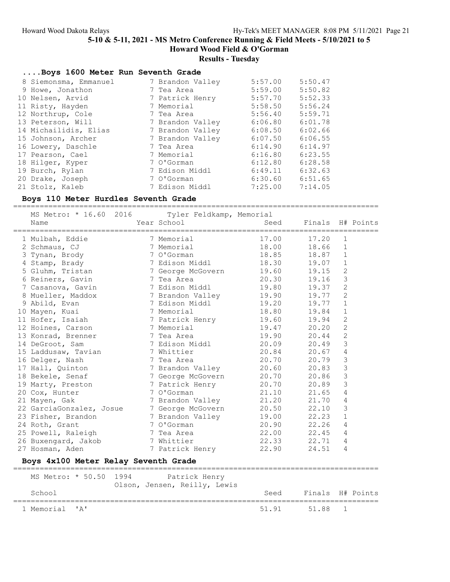# Results - Tuesday

| Boys 1600 Meter Run Seventh Grade |                  |         |         |
|-----------------------------------|------------------|---------|---------|
| 8 Siemonsma, Emmanuel             | 7 Brandon Valley | 5:57.00 | 5:50.47 |
| 9 Howe, Jonathon                  | 7 Tea Area       | 5:59.00 | 5:50.82 |
| 10 Nelsen, Arvid                  | 7 Patrick Henry  | 5:57.70 | 5:52.33 |
| 11 Risty, Hayden                  | 7 Memorial       | 5:58.50 | 5:56.24 |
| 12 Northrup, Cole                 | 7 Tea Area       | 5:56.40 | 5:59.71 |
| 13 Peterson, Will                 | 7 Brandon Valley | 6:06.80 | 6:01.78 |
| 14 Michailidis, Elias             | 7 Brandon Valley | 6:08.50 | 6:02.66 |
| 15 Johnson, Archer                | 7 Brandon Valley | 6:07.50 | 6:06.55 |
| 16 Lowery, Daschle                | 7 Tea Area       | 6:14.90 | 6:14.97 |
| 17 Pearson, Cael                  | 7 Memorial       | 6:16.80 | 6:23.55 |
| 18 Hilger, Kyper                  | 7 O'Gorman       | 6:12.80 | 6:28.58 |
| 19 Burch, Rylan                   | 7 Edison Middl   | 6:49.11 | 6:32.63 |
| 20 Drake, Joseph                  | 7 O'Gorman       | 6:30.60 | 6:51.65 |
| 21 Stolz, Kaleb                   | 7 Edison Middl   | 7:25.00 | 7:14.05 |

# Boys 110 Meter Hurdles Seventh Grade

| 2016<br>MS Metro: * 16.60            | Tyler Feldkamp, Memorial     |       |        |                |           |
|--------------------------------------|------------------------------|-------|--------|----------------|-----------|
| Name                                 | Year School                  | Seed  | Finals |                | H# Points |
|                                      |                              |       |        |                |           |
| 1 Mulbah, Eddie                      | 7 Memorial                   | 17.00 | 17.20  | 1              |           |
| 2 Schmaus, CJ                        | 7 Memorial                   | 18.00 | 18.66  | $\mathbf{1}$   |           |
| 3 Tynan, Brody                       | 7 O'Gorman                   | 18.85 | 18.87  | 1              |           |
| 4 Stamp, Brady                       | 7 Edison Middl               | 18.30 | 19.07  | 1              |           |
| 5 Gluhm, Tristan                     | 7 George McGovern            | 19.60 | 19.15  | $\mathbf{2}$   |           |
| 6 Reiners, Gavin                     | 7 Tea Area                   | 20.30 | 19.16  | 3              |           |
| 7 Casanova, Gavin                    | 7 Edison Middl               | 19.80 | 19.37  | $\mathbf{2}$   |           |
| 8 Mueller, Maddox                    | 7 Brandon Valley             | 19.90 | 19.77  | $\overline{c}$ |           |
| 9 Abild, Evan                        | 7 Edison Middl               | 19.20 | 19.77  | $\mathbf{1}$   |           |
| 10 Mayen, Kuai                       | 7 Memorial                   | 18.80 | 19.84  | 1              |           |
| 11 Hofer, Isaiah                     | 7 Patrick Henry              | 19.60 | 19.94  | $\mathbf{2}$   |           |
| 12 Hoines, Carson                    | 7 Memorial                   | 19.47 | 20.20  | $\overline{c}$ |           |
| 13 Konrad, Brenner                   | 7 Tea Area                   | 19.90 | 20.44  | $\overline{c}$ |           |
| 14 DeGroot, Sam                      | 7 Edison Middl               | 20.09 | 20.49  | 3              |           |
| 15 Laddusaw, Tavian                  | 7 Whittier                   | 20.84 | 20.67  | 4              |           |
| 16 Delger, Nash                      | 7 Tea Area                   | 20.70 | 20.79  | 3              |           |
| 17 Hall, Quinton                     | 7 Brandon Valley             | 20.60 | 20.83  | 3              |           |
| 18 Bekele, Senaf                     | 7 George McGovern            | 20.70 | 20.86  | 3              |           |
| 19 Marty, Preston                    | 7 Patrick Henry              | 20.70 | 20.89  | 3              |           |
| 20 Cox, Hunter                       | 7 O'Gorman                   | 21.10 | 21.65  | $\overline{4}$ |           |
| 21 Mayen, Gak                        | 7 Brandon Valley             | 21.20 | 21.70  | $\overline{4}$ |           |
| 22 GarciaGonzalez, Josue             | 7 George McGovern            | 20.50 | 22.10  | 3              |           |
| 23 Fisher, Brandon                   | 7 Brandon Valley             | 19.00 | 22.23  | $\mathbf{1}$   |           |
| 24 Roth, Grant                       | 7 O'Gorman                   | 20.90 | 22.26  | 4              |           |
| 25 Powell, Raleigh                   | 7 Tea Area                   | 22.00 | 22.45  | 4              |           |
| 26 Buxengard, Jakob                  | 7 Whittier                   | 22.33 | 22.71  | 4              |           |
| 27 Hosman, Aden                      | 7 Patrick Henry              | 22.90 | 24.51  | 4              |           |
| Boys 4x100 Meter Relay Seventh Grade |                              |       |        |                |           |
|                                      |                              |       |        |                |           |
| MS Metro: * 50.50<br>1994            | Patrick Henry                |       |        |                |           |
|                                      | Olson, Jensen, Reilly, Lewis |       |        |                |           |
| School                               |                              | Seed  | Finals |                | H# Points |
| ' A'<br>1 Memorial                   |                              | 51.91 | 51.88  | 1              |           |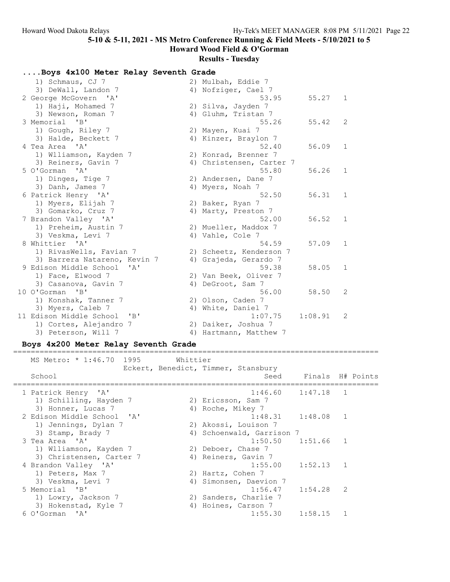Howard Wood Field & O'Gorman

#### Results - Tuesday

### ....Boys 4x100 Meter Relay Seventh Grade

| 1) Schmaus, CJ 7             | 2) Mulbah, Eddie 7       |         |              |
|------------------------------|--------------------------|---------|--------------|
| 3) DeWall, Landon 7          | 4) Nofziger, Cael 7      |         |              |
| 2 George McGovern 'A'        | 53.95                    | 55.27   | 1            |
| 1) Haji, Mohamed 7           | 2) Silva, Jayden 7       |         |              |
| 3) Newson, Roman 7           | 4) Gluhm, Tristan 7      |         |              |
| 3 Memorial 'B'               | 55.26                    | 55.42   | 2            |
| 1) Gough, Riley 7            | 2) Mayen, Kuai 7         |         |              |
| 3) Halde, Beckett 7          | 4) Kinzer, Braylon 7     |         |              |
| 4 Tea Area 'A'               | 52.40                    | 56.09   | $\mathbf{1}$ |
| 1) Wlliamson, Kayden 7       | 2) Konrad, Brenner 7     |         |              |
| 3) Reiners, Gavin 7          | 4) Christensen, Carter 7 |         |              |
| 5 O'Gorman 'A'               | 55.80                    | 56.26   | $\mathbf{1}$ |
| 1) Dinges, Tige 7            | 2) Andersen, Dane 7      |         |              |
| 3) Danh, James 7             | 4) Myers, Noah 7         |         |              |
| 6 Patrick Henry 'A'          | 52.50                    | 56.31   | 1            |
| 1) Myers, Elijah 7           | 2) Baker, Ryan 7         |         |              |
| 3) Gomarko, Cruz 7           | 4) Marty, Preston 7      |         |              |
| 7 Brandon Valley 'A'         | 52.00                    | 56.52   | 1            |
| 1) Preheim, Austin 7         | 2) Mueller, Maddox 7     |         |              |
| 3) Veskma, Levi 7            | 4) Vahle, Cole 7         |         |              |
| 8 Whittier 'A'               | 54.59                    | 57.09   | 1            |
| 1) RivasWells, Favian 7      | 2) Scheetz, Kenderson 7  |         |              |
| 3) Barrera Natareno, Kevin 7 | 4) Grajeda, Gerardo 7    |         |              |
| 9 Edison Middle School 'A'   | 59.38                    | 58.05   | 1            |
| 1) Face, Elwood 7            | 2) Van Beek, Oliver 7    |         |              |
| 3) Casanova, Gavin 7         | 4) DeGroot, Sam 7        |         |              |
| 10 O'Gorman 'B'              | 56.00                    | 58.50   | 2            |
| 1) Konshak, Tanner 7         | 2) Olson, Caden 7        |         |              |
| 3) Myers, Caleb 7            | 4) White, Daniel 7       |         |              |
| 11 Edison Middle School 'B'  | 1:07.75                  | 1:08.91 | 2            |
| 1) Cortes, Alejandro 7       | 2) Daiker, Joshua 7      |         |              |
| 3) Peterson, Will 7          | 4) Hartmann, Matthew 7   |         |              |

#### Boys 4x200 Meter Relay Seventh Grade

=================================================================================== MS Metro: \* 1:46.70 1995 Whittier Eckert, Benedict, Timmer, Stansbury School School School Seed Finals H# Points =================================================================================== 1 Patrick Henry 'A' 1:46.60 1:47.18 1 1) Schilling, Hayden 7 (2) Ericsson, Sam 7 3) Honner, Lucas 7 (4) Roche, Mikey 7 2 Edison Middle School 'A' 1:48.31 1:48.08 1 1) Jennings, Dylan 7 2) Akossi, Louison 7 3) Stamp, Brady 7 4) Schoenwald, Garrison 7 3 Tea Area 'A' 1:50.50 1:51.66 1 1) Wlliamson, Kayden 7 (2) Deboer, Chase 7 3) Christensen, Carter 7 (4) Reiners, Gavin 7 4 Brandon Valley 'A' 1:55.00 1:52.13 1 1) Peters, Max 7 2) Hartz, Cohen 7 3) Veskma, Levi 7 4) Simonsen, Daevion 7 5 Memorial 'B' 1:56.47 1:54.28 2 1) Lowry, Jackson 7 2) Sanders, Charlie 7 3) Hokenstad, Kyle 7 (4) Hoines, Carson 7 6 O'Gorman 'A' 1:55.30 1:58.15 1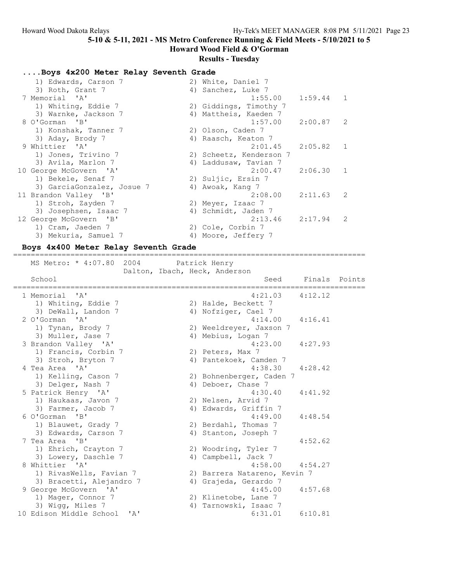## Howard Wood Field & O'Gorman Results - Tuesday

### ....Boys 4x200 Meter Relay Seventh Grade

| 1) Edwards, Carson 7       | 2) White, Daniel 7      |             |                |
|----------------------------|-------------------------|-------------|----------------|
| 3) Roth, Grant 7           | 4) Sanchez, Luke 7      |             |                |
| 7 Memorial 'A'             | 1:55.00                 | $1:59.44$ 1 |                |
| 1) Whiting, Eddie 7        | 2) Giddings, Timothy 7  |             |                |
| 3) Warnke, Jackson 7       | 4) Mattheis, Kaeden 7   |             |                |
| 8 O'Gorman 'B'             | $1:57.00$ $2:00.87$ 2   |             |                |
| 1) Konshak, Tanner 7       | 2) Olson, Caden 7       |             |                |
| 3) Aday, Brody 7           | 4) Raasch, Keaton 7     |             |                |
| 9 Whittier 'A'             | 2:01.45                 | 2:05.82 1   |                |
| 1) Jones, Trivino 7        | 2) Scheetz, Kenderson 7 |             |                |
| 3) Avila, Marlon 7         | 4) Laddusaw, Tavian 7   |             |                |
| 10 George McGovern 'A'     | $2:00.47$ $2:06.30$     |             | $\overline{1}$ |
| 1) Bekele, Senaf 7         | 2) Suljic, Ersin 7      |             |                |
| 3) GarciaGonzalez, Josue 7 | 4) Awoak, Kang 7        |             |                |
| 11 Brandon Valley 'B'      | $2:08.00$ $2:11.63$     |             | $\overline{2}$ |
| 1) Stroh, Zayden 7         | 2) Meyer, Izaac 7       |             |                |
| 3) Josephsen, Isaac 7      | 4) Schmidt, Jaden 7     |             |                |
| 12 George McGovern 'B'     | 2:13.46                 | 2:17.94     | $\mathcal{L}$  |
| 1) Cram, Jaeden 7          | 2) Cole, Corbin 7       |             |                |
| 3) Mekuria, Samuel 7       | 4) Moore, Jeffery 7     |             |                |

#### Boys 4x400 Meter Relay Seventh Grade

================================================================================ MS Metro: \* 4:07.80 2004 Patrick Henry Dalton, Ibach, Heck, Anderson School School School Seed Finals Points ================================================================================ 1 Memorial 'A' 4:21.03 4:12.12 1) Whiting, Eddie 7 2) Halde, Beckett 7 3) DeWall, Landon 7 (4) Nofziger, Cael 7 2 O'Gorman 'A' 4:14.00 4:16.41 1) Tynan, Brody 7 2) Weeldreyer, Jaxson 7 3) Muller, Jase 7 (4) Mebius, Logan 7 3 Brandon Valley 'A' 4:23.00 4:27.93 1) Francis, Corbin 7 (2) Peters, Max 7 3) Stroh, Bryton 7 4) Pantekoek, Camden 7 4 Tea Area 'A' 4:38.30 4:28.42 1) Kelling, Cason 7 2) Bohnenberger, Caden 7 3) Delger, Nash 7 (4) Deboer, Chase 7 5 Patrick Henry 'A' 4:30.40 4:41.92 1) Haukaas, Javon 7 2) Nelsen, Arvid 7 3) Farmer, Jacob 7 (4) Edwards, Griffin 7 6 O'Gorman 'B' 4:49.00 4:48.54 1) Blauwet, Grady 7 2) Berdahl, Thomas 7 3) Edwards, Carson 7 4) Stanton, Joseph 7 7 Tea Area 'B' 4:52.62 1) Ehrich, Crayton 7 2) Woodring, Tyler 7 3) Lowery, Daschle 7 (4) Campbell, Jack 7 8 Whittier 'A' 31 and 158.00 4:54.27 1) RivasWells, Favian 7 2) Barrera Natareno, Kevin 7 3) Bracetti, Alejandro 7 4) Grajeda, Gerardo 7 9 George McGovern 'A' 4:45.00 4:57.68 1) Mager, Connor 7 2) Klinetobe, Lane 7 3) Wigg, Miles 7 4) Tarnowski, Isaac 7 10 Edison Middle School 'A' 6:31.01 6:10.81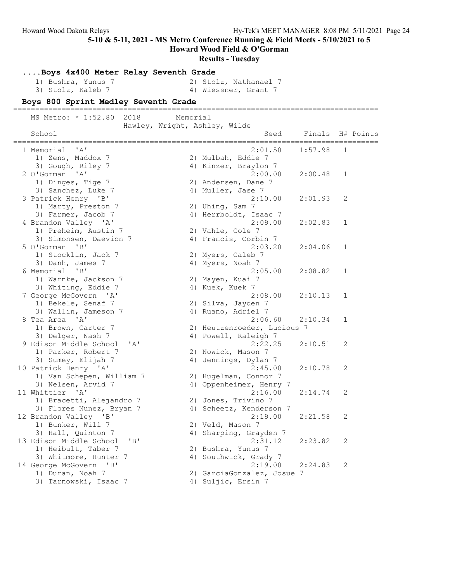|                                                                                                                | Hy-Tek's MEET MANAGER 8:08 PM 5/11/2021 Page 24                                                                                                                 |
|----------------------------------------------------------------------------------------------------------------|-----------------------------------------------------------------------------------------------------------------------------------------------------------------|
| 5-10 & 5-11, 2021 - MS Metro Conference Running & Field Meets - 5/10/2021 to 5<br>Howard Wood Field & O'Gorman |                                                                                                                                                                 |
|                                                                                                                |                                                                                                                                                                 |
|                                                                                                                |                                                                                                                                                                 |
| 2) Stolz, Nathanael 7                                                                                          |                                                                                                                                                                 |
|                                                                                                                |                                                                                                                                                                 |
|                                                                                                                |                                                                                                                                                                 |
| _________________________________                                                                              |                                                                                                                                                                 |
|                                                                                                                |                                                                                                                                                                 |
| Seed                                                                                                           | Finals H# Points                                                                                                                                                |
|                                                                                                                |                                                                                                                                                                 |
| 2:01.50<br>1:57.98                                                                                             | 1                                                                                                                                                               |
|                                                                                                                |                                                                                                                                                                 |
|                                                                                                                |                                                                                                                                                                 |
| 2:00.00<br>2:00.48                                                                                             | 1                                                                                                                                                               |
|                                                                                                                |                                                                                                                                                                 |
| 2:10.00<br>2:01.93                                                                                             | 2                                                                                                                                                               |
|                                                                                                                |                                                                                                                                                                 |
| 4) Herrboldt, Isaac 7                                                                                          |                                                                                                                                                                 |
| 2:09.00<br>2:02.83                                                                                             | 1                                                                                                                                                               |
|                                                                                                                |                                                                                                                                                                 |
|                                                                                                                |                                                                                                                                                                 |
| 2:03.20<br>2:04.06                                                                                             | 1                                                                                                                                                               |
|                                                                                                                |                                                                                                                                                                 |
|                                                                                                                |                                                                                                                                                                 |
| 2:05.00<br>2:08.82                                                                                             | 1                                                                                                                                                               |
|                                                                                                                |                                                                                                                                                                 |
| 2:08.00<br>2:10.13                                                                                             | 1                                                                                                                                                               |
|                                                                                                                |                                                                                                                                                                 |
|                                                                                                                |                                                                                                                                                                 |
| 2:06.60<br>2:10.34                                                                                             | 1                                                                                                                                                               |
| 2) Heutzenroeder, Lucious 7                                                                                    |                                                                                                                                                                 |
|                                                                                                                |                                                                                                                                                                 |
| 2:22.25<br>2:10.51                                                                                             | 2                                                                                                                                                               |
|                                                                                                                |                                                                                                                                                                 |
| 2:45.00<br>2:10.78                                                                                             | 2                                                                                                                                                               |
| 2) Hugelman, Connor 7                                                                                          |                                                                                                                                                                 |
| 4) Oppenheimer, Henry 7                                                                                        |                                                                                                                                                                 |
| 2:16.00<br>2:14.74                                                                                             | 2                                                                                                                                                               |
|                                                                                                                |                                                                                                                                                                 |
|                                                                                                                |                                                                                                                                                                 |
| 2:21.58                                                                                                        | 2                                                                                                                                                               |
|                                                                                                                |                                                                                                                                                                 |
|                                                                                                                |                                                                                                                                                                 |
|                                                                                                                | 2                                                                                                                                                               |
|                                                                                                                |                                                                                                                                                                 |
|                                                                                                                |                                                                                                                                                                 |
|                                                                                                                | 2                                                                                                                                                               |
|                                                                                                                |                                                                                                                                                                 |
|                                                                                                                | 4) Scheetz, Kenderson 7<br>2:19.00<br>4) Sharping, Grayden 7<br>2:31.12<br>2:23.82<br>4) Southwick, Grady 7<br>2:19.00<br>2:24.83<br>2) GarciaGonzalez, Josue 7 |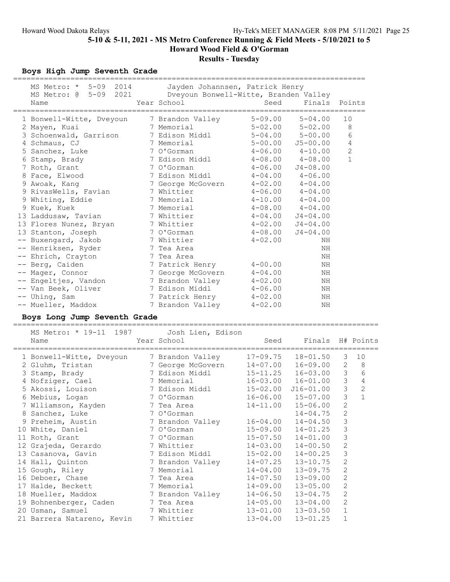## Results - Tuesday

## Boys High Jump Seventh Grade

| MS Metro: * 5-09 2014 Jayden Johannsen, Patrick Henry<br>MS Metro: @ |    | 5-09 2021 Dveyoun Bonwell-Witte, Branden Valley |              |                                                   |                |                |
|----------------------------------------------------------------------|----|-------------------------------------------------|--------------|---------------------------------------------------|----------------|----------------|
| Name                                                                 |    | Year School                                     | Seed         | Finals Points                                     |                |                |
| 1 Bonwell-Witte, Dveyoun 7 Brandon Valley                            |    |                                                 | $5 - 09.00$  | $5 - 04.00$                                       | 10             |                |
| 2 Mayen, Kuai                                                        |    |                                                 |              |                                                   | 8              |                |
| 3 Schoenwald, Garrison                                               |    | 7 Memorial<br>7 Edison Middl                    |              | 5-02.00 5-02.00<br>5-04.00 5-00.00<br>$5 - 00.00$ |                | $\epsilon$     |
| 4 Schmaus, CJ                                                        |    | 7 Memorial                                      |              | $5 - 00.00$ $J5 - 00.00$                          |                | 4              |
| 5 Sanchez, Luke                                                      |    | 7 O'Gorman                                      |              | $4 - 06.00$ $4 - 10.00$                           | $\overline{c}$ |                |
| 6 Stamp, Brady                                                       |    | 7 Edison Middl 4-08.00 4-08.00                  |              |                                                   |                | $\mathbf{1}$   |
| 7 Roth, Grant                                                        |    | 7 O'Gorman                                      |              | $4 - 06.00$ $J4 - 08.00$                          |                |                |
| 8 Face, Elwood                                                       |    |                                                 |              |                                                   |                |                |
| 9 Awoak, Kang                                                        |    |                                                 |              |                                                   |                |                |
| 9 RivasWells, Favian                                                 |    | 7 Whittier                                      |              | $4-06.00$ $4-04.00$                               |                |                |
| 9 Whiting, Eddie                                                     |    | 7 Memorial                                      |              | $4-10.00$ $4-04.00$                               |                |                |
| 9 Kuek, Kuek                                                         |    | 7 Memorial                                      |              | $4-08.00$ $4-04.00$                               |                |                |
| 13 Laddusaw, Tavian                                                  |    | 7 Whittier                                      |              | $4 - 04.00$ $J4 - 04.00$                          |                |                |
| 13 Flores Nunez, Bryan                                               |    | 7 Whittier                                      |              | $4 - 02.00$ $J4 - 04.00$                          |                |                |
| 13 Stanton, Joseph                                                   |    | 7 O'Gorman                                      | $4 - 08.00$  | $J4 - 04.00$                                      |                |                |
| -- Buxengard, Jakob                                                  |    | 7 Whittier                                      | $4 - 02.00$  | ΝH                                                |                |                |
| -- Henriksen, Ryder                                                  |    | 7 Tea Area                                      |              | ΝH                                                |                |                |
| -- Ehrich, Crayton 7 Tea Area                                        |    |                                                 |              | ΝH                                                |                |                |
| -- Berg, Caiden                                                      |    | 7 Patrick Henry                                 | $4 - 00.00$  | ΝH                                                |                |                |
| -- Mager, Connor                                                     |    | 7 George McGovern                               | $4 - 04.00$  | ΝH                                                |                |                |
| -- Engeltjes, Vandon                                                 |    | 7 Brandon Valley                                | $4 - 02.00$  | ΝH                                                |                |                |
| -- Van Beek, Oliver                                                  |    | 7 Edison Middl                                  | $4 - 06.00$  | ΝH                                                |                |                |
| -- Uhing, Sam                                                        |    | 7 Patrick Henry                                 | 4-02.00      | ΝH                                                |                |                |
| -- Mueller, Maddox                                                   |    | 7 Brandon Valley                                | $4 - 02.00$  | ΝH                                                |                |                |
| Boys Long Jump Seventh Grade                                         |    |                                                 |              |                                                   |                |                |
|                                                                      |    |                                                 |              |                                                   |                |                |
| MS Metro: * 19-11 1987                                               |    | Josh Lien, Edison<br>Year School                | Seed         |                                                   |                |                |
| Name                                                                 |    |                                                 |              | Finals H# Points<br>===========================   |                |                |
| 1 Bonwell-Witte, Dveyoun 3 Brandon Valley                            |    |                                                 |              | $17-09.75$ $18-01.50$                             | 3              | 10             |
| 2 Gluhm, Tristan                                                     |    | 7 George McGovern                               |              | 14-07.00  16-09.00<br>15-11.25  16-03.00          | $\mathbf{2}$   | 8              |
| 3 Stamp, Brady                                                       |    | 7 Edison Middl                                  |              |                                                   |                | $3\qquad 6$    |
| 4 Nofziger, Cael                                                     |    | 7 Memorial                                      |              | $16-03.00$ $16-01.00$ 3 4                         |                |                |
| 5 Akossi, Louison                                                    |    | 7 Edison Middl                                  |              | $15 - 02.00$ $J16 - 01.00$ 3                      |                | $\overline{c}$ |
| 6 Mebius, Logan                                                      |    | 7 O'Gorman                                      | $16 - 06.00$ | $15 - 07.00$                                      | $\mathcal{S}$  | $\overline{1}$ |
| 7 Wlliamson, Kayden                                                  |    | 7 Tea Area                                      |              | $14 - 11.00$ $15 - 06.00$ 2                       |                |                |
| 8 Sanchez, Luke                                                      |    | 7 O'Gorman                                      |              | $14 - 04.75$                                      | 2              |                |
| 9 Preheim, Austin                                                    |    | 7 Brandon Valley                                | $16 - 04.00$ | $14 - 04.50$                                      | 3              |                |
| 10 White, Daniel                                                     |    | 7 O'Gorman                                      | $15 - 09.00$ | $14 - 01.25$                                      | 3              |                |
| 11 Roth, Grant                                                       |    | 7 O'Gorman                                      | $15 - 07.50$ | $14 - 01.00$                                      | 3              |                |
| 12 Grajeda, Gerardo                                                  |    | 7 Whittier                                      | $14 - 03.00$ | $14 - 00.50$                                      | 2              |                |
| 13 Casanova, Gavin                                                   |    | 7 Edison Middl                                  | $15 - 02.00$ | $14 - 00.25$                                      | 3              |                |
| 14 Hall, Quinton                                                     |    | 7 Brandon Valley                                | $14 - 07.25$ | $13 - 10.75$                                      | $\mathbf{2}$   |                |
| 15 Gough, Riley                                                      |    | 7 Memorial                                      | $14 - 04.00$ | $13 - 09.75$                                      | $\mathbf{2}$   |                |
| 16 Deboer, Chase                                                     | 7  | Tea Area                                        | $14 - 07.50$ | $13 - 09.00$                                      | $\sqrt{2}$     |                |
| 17 Halde, Beckett                                                    | 7. | Memorial                                        | $14 - 09.00$ | $13 - 05.00$                                      | $\mathbf{2}$   |                |
| 18 Mueller, Maddox                                                   |    | 7 Brandon Valley                                | $14 - 06.50$ | $13 - 04.75$                                      | 2              |                |
| 19 Bohnenberger, Caden                                               |    | 7 Tea Area                                      | $14 - 05.00$ | $13 - 04.00$                                      | 2              |                |
| 20 Usman, Samuel                                                     |    | 7 Whittier                                      | $13 - 01.00$ | $13 - 03.50$                                      | 1              |                |
| 21 Barrera Natareno, Kevin                                           |    | 7 Whittier                                      | $13 - 04.00$ | $13 - 01.25$                                      | $\mathbf 1$    |                |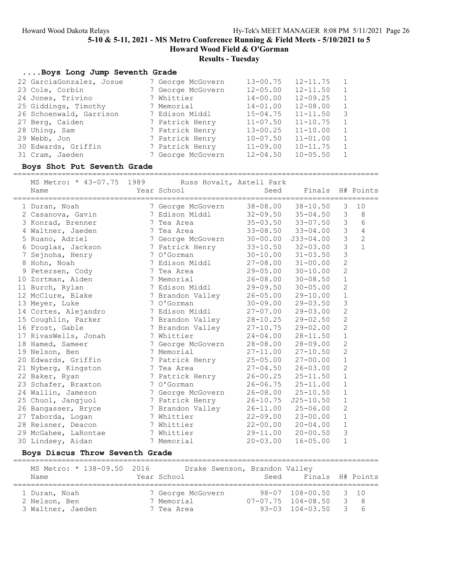## Results - Tuesday

### ....Boys Long Jump Seventh Grade

| 22 GarciaGonzalez, Josue | 7 George McGovern | $13 - 00.75$ | $12 - 11.75$ |                |
|--------------------------|-------------------|--------------|--------------|----------------|
| 23 Cole, Corbin          | 7 George McGovern | $12 - 05.00$ | $12 - 11.50$ |                |
| 24 Jones, Trivino        | 7 Whittier        | $14 - 00.00$ | $12 - 09.25$ |                |
| 25 Giddings, Timothy     | 7 Memorial        | $14 - 01.00$ | $12 - 08.00$ |                |
| 26 Schoenwald, Garrison  | 7 Edison Middl    | $15 - 04.75$ | $11 - 11.50$ | -3             |
| 27 Berg, Caiden          | 7 Patrick Henry   | $11 - 07.50$ | $11 - 10.75$ | $\overline{1}$ |
| 28 Uhing, Sam            | 7 Patrick Henry   | $13 - 00.25$ | $11 - 10.00$ |                |
| 29 Webb, Jon             | 7 Patrick Henry   | $10 - 07.50$ | $11 - 01.00$ | $\overline{1}$ |
| 30 Edwards, Griffin      | 7 Patrick Henry   | $11 - 09.00$ | $10 - 11.75$ |                |
| 31 Cram, Jaeden          | 7 George McGovern | $12 - 04.50$ | $10 - 05.50$ |                |

#### Boys Shot Put Seventh Grade

===================================================================================

| MS Metro: * 43-07.75 1989<br>Name | Russ Hovalt, Axtell Park<br>Year School | Seed         | Finals                                  |                | H# Points      |
|-----------------------------------|-----------------------------------------|--------------|-----------------------------------------|----------------|----------------|
| 1 Duran, Noah                     | 7 George McGovern                       |              | ==========<br>$38 - 08.00$ $38 - 10.50$ | 3              | 10             |
| 2 Casanova, Gavin                 | 7 Edison Middl                          |              | $32 - 09.50$ $35 - 04.50$               | 3              | 8              |
| 3 Konrad, Brenner                 | 7 Tea Area                              |              | $35 - 03.50$ $33 - 07.50$               | 3              | 6              |
| 4 Waltner, Jaeden                 | 7 Tea Area                              | $33 - 08.50$ | $33 - 04.00$                            | 3              | $\sqrt{4}$     |
| 5 Ruano, Adriel                   | 7 George McGovern                       |              | $30 - 00.00$ $J33 - 04.00$              | $\mathfrak{Z}$ | $\overline{c}$ |
| 6 Douglas, Jackson                | 7 Patrick Henry                         |              | $33 - 10.50$ $32 - 03.00$               | $\mathfrak{Z}$ | $\mathbf{1}$   |
| 7 Sejnoha, Henry                  | 7 O'Gorman                              |              | $30 - 10.00$ $31 - 03.50$               | 3              |                |
| 8 Hohn, Noah                      | 7 Edison Middl                          |              | $27 - 08.00$ $31 - 00.00$               | $\overline{c}$ |                |
| 9 Petersen, Cody                  | 7 Tea Area                              | $29 - 05.00$ | $30 - 10.00$                            | $\overline{c}$ |                |
| 10 Zortman, Aiden                 | 7 Memorial                              | $26 - 08.00$ | $30 - 08.50$                            | $\mathbf{1}$   |                |
| 11 Burch, Rylan                   | 7 Edison Middl                          | $29 - 09.50$ | $30 - 05.00$                            | $\overline{2}$ |                |
| 12 McClure, Blake                 | 7 Brandon Valley                        | $26 - 05.00$ | $29 - 10.00$                            | $1\,$          |                |
| 13 Meyer, Luke                    | 7 O'Gorman                              | $30 - 09.00$ | $29 - 03.50$                            | 3              |                |
| 14 Cortes, Alejandro              | 7 Edison Middl                          | $27 - 07.00$ | $29 - 03.00$                            | $\overline{c}$ |                |
| 15 Coughlin, Parker               | 7 Brandon Valley                        | $28 - 10.25$ | $29 - 02.50$                            | $\overline{c}$ |                |
| 16 Frost, Gable                   | 7 Brandon Valley                        | $27 - 10.75$ | 29-02.00                                | $\overline{c}$ |                |
| 17 RivasWells, Jonah              | 7 Whittier                              | $24 - 04.00$ | $28 - 11.50$                            | $\mathbf 1$    |                |
| 18 Hamed, Sameer                  | 7 George McGovern                       | 28-08.00     | $28 - 09.00$                            | $\overline{c}$ |                |
| 19 Nelson, Ben                    | 7 Memorial                              | $27 - 11.00$ | $27 - 10.50$                            | $\mathbf{2}$   |                |
| 20 Edwards, Griffin               | 7 Patrick Henry                         | $25 - 05.00$ | $27 - 00.00$                            | $\mathbf{1}$   |                |
| 21 Nyberg, Kingston               | 7 Tea Area                              | $27 - 04.50$ | $26 - 03.00$                            | $\overline{2}$ |                |
| 22 Baker, Ryan                    | 7 Patrick Henry                         | $26 - 00.25$ | $25 - 11.50$                            | $\mathbf{1}$   |                |
| 23 Schafer, Braxton               | 7 O'Gorman                              |              | $26 - 06.75$ $25 - 11.00$               | $1\,$          |                |
| 24 Wallin, Jameson                | 7 George McGovern                       | $26 - 08.00$ | $25 - 10.50$                            | $\mathbf{1}$   |                |
| 25 Chuol, Jangjuol                | 7 Patrick Henry                         | $26 - 10.75$ | $J25 - 10.50$                           | $\mathbf 1$    |                |
| 26 Bangasser, Bryce               | 7 Brandon Valley                        | $26 - 11.00$ | $25 - 06.00$                            | $\overline{2}$ |                |
| 27 Taborda, Logan                 | 7 Whittier                              | $22 - 09.00$ | $23 - 00.00$                            | $\mathbf{1}$   |                |
| 28 Reisner, Deacon                | 7 Whittier                              | $22 - 00.00$ | $20 - 04.00$                            | $\mathbf 1$    |                |
| 29 McGahee, LaRontae              | 7 Whittier                              | 29-11.00     | $20 - 00.50$                            | 3              |                |
| 30 Lindsey, Aidan                 | 7 Memorial                              | $20 - 03.00$ | $16 - 05.00$                            | $\mathbf{1}$   |                |

### Boys Discus Throw Seventh Grade

=================================================================================== MS Metro: \* 138-09.50 2016 Drake Swenson, Brandon Valley<br>Name Year School Seed Fin Name Seed Finals H# Points =================================================================================== 1 Duran, Noah 7 George McGovern 98-07 108-00.50 3 10 2 Nelson, Ben 7 Memorial 07-07.75 104-08.50 3 8 3 Waltner, Jaeden 7 Tea Area 93-03 104-03.50 3 6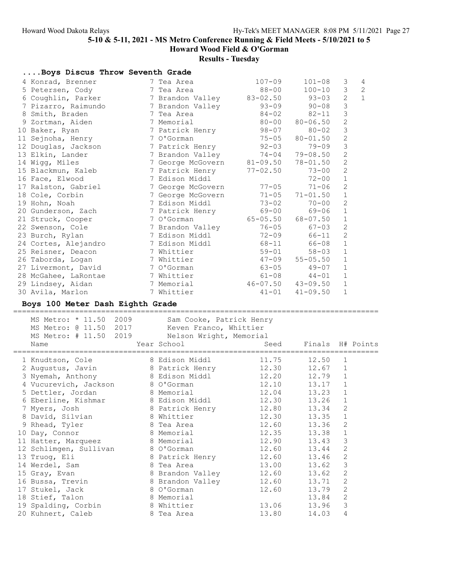Results - Tuesday

| Boys Discus Throw Seventh Grade               |   |                                   |                   |                |                             |              |
|-----------------------------------------------|---|-----------------------------------|-------------------|----------------|-----------------------------|--------------|
| 4 Konrad, Brenner                             |   | 7 Tea Area                        | $107 - 09$        | $101 - 08$     | 3                           | 4            |
| 5 Petersen, Cody                              |   | 7 Tea Area                        | 88-00             | $100 - 10$     | 3                           | $\mathbf{2}$ |
| 6 Coughlin, Parker                            |   | 7 Brandon Valley 83-02.50         |                   | 93-03          | 2                           | $\mathbf{1}$ |
| 7 Pizarro, Raimundo                           |   | 7 Brandon Valley                  | 93-09             | $90 - 08$      | 3                           |              |
| 8 Smith, Braden                               |   | 7 Tea Area                        | $84 - 02$         | $82 - 11$      | 3                           |              |
| 9 Zortman, Aiden                              |   | 7 Memorial                        | $80 - 00$         | $80 - 06.50$   | $\overline{c}$              |              |
| 10 Baker, Ryan                                |   | 7 Patrick Henry                   | 98-07             | $80 - 02$      | 3                           |              |
| 11 Sejnoha, Henry                             |   | 7 O'Gorman                        | 75-05             | $80 - 01.50$   | 2                           |              |
| 12 Douglas, Jackson                           |   | 7 Patrick Henry                   | $92 - 03$         | 79-09          | 3                           |              |
| 13 Elkin, Lander                              |   | 7 Brandon Valley                  | $74 - 04$         | $79 - 08.50$   | $\mathbf{2}$                |              |
| 14 Wigg, Miles                                |   | 7 George McGovern                 | $81 - 09.50$      | $78 - 01.50$   | $\overline{c}$              |              |
| 15 Blackmun, Kaleb                            |   | 7 Patrick Henry                   | $77 - 02.50$      | $73 - 00$      | $\mathbf{2}$                |              |
| 16 Face, Elwood                               |   | 7 Edison Middl                    |                   | $72 - 00$      | $\mathbf 1$                 |              |
| 17 Ralston, Gabriel                           |   | 7 George McGovern                 | $77 - 05$         | 71-06          | 2                           |              |
| 18 Cole, Corbin                               |   | 7 George McGovern                 | $71 - 05$         | $71 - 01.50$   | $\mathbf 1$                 |              |
| 19 Hohn, Noah                                 |   | 7 Edison Middl                    | $73 - 02$         | $70 - 00$      | 2                           |              |
| 20 Gunderson, Zach                            |   | 7 Patrick Henry                   | 69-00             | 69-06          | $\mathbf 1$                 |              |
| 21 Struck, Cooper                             |   | 7 O'Gorman                        | $65 - 05.50$      | $68 - 07.50$   | $\mathbf 1$                 |              |
| 22 Swenson, Cole                              |   | 7 Brandon Valley                  | $76 - 05$         | $67 - 03$      | 2                           |              |
| 23 Burch, Rylan                               |   | 7 Edison Middl                    | $72 - 09$         | 66-11          | $\mathbf{2}$                |              |
| 24 Cortes, Alejandro                          |   | 7 Edison Middl                    | 68-11             | 66-08          | $\mathbf 1$                 |              |
| 25 Reisner, Deacon                            |   | 7 Whittier                        | $59 - 01$         | $58 - 03$      | $\mathbf 1$                 |              |
| 26 Taborda, Logan                             |   | 7 Whittier                        | $47 - 09$         | $55 - 05.50$   | $\mathbf 1$                 |              |
| 27 Livermont, David                           |   | 7 O'Gorman                        | 63-05             | $49 - 07$      | $\mathbf 1$                 |              |
| 28 McGahee, LaRontae                          |   | 7 Whittier                        | 61-08             | $44 - 01$      | $\mathbf 1$                 |              |
| 29 Lindsey, Aidan                             |   | 7 Memorial                        | 46-07.50 43-09.50 |                | 1                           |              |
| 30 Avila, Marlon                              |   | 7 Whittier                        | $41 - 01$         | $41 - 09.50$   | $\mathbf 1$                 |              |
|                                               |   |                                   |                   |                |                             |              |
| Boys 100 Meter Dash Eighth Grade              |   |                                   |                   |                |                             |              |
|                                               |   |                                   |                   |                |                             |              |
| MS Metro: * 11.50 2009                        |   | Sam Cooke, Patrick Henry          |                   |                |                             |              |
| MS Metro: @ 11.50<br>2017                     |   | Keven Franco, Whittier            |                   |                |                             |              |
| 2019<br>MS Metro: # 11.50                     |   | Nelson Wright, Memorial           |                   |                |                             |              |
| Name                                          |   | Year School                       | Seed              | Finals         |                             | H# Points    |
|                                               |   |                                   |                   |                |                             |              |
| 1 Knudtson, Cole                              |   | 8 Edison Middl                    | 11.75             | 12.50          | 1<br>1                      |              |
| 2 Augustus, Javin                             |   | 8 Patrick Henry<br>8 Edison Middl | 12.30             | 12.67          | 1                           |              |
| 3 Nyemah, Anthony                             |   | 8 O'Gorman                        | 12.20             | 12.79          | 1                           |              |
| 4 Vucurevich, Jackson                         |   | 8 Memorial                        | 12.10             | 13.17          | $\mathbf{1}$                |              |
| 5 Dettler, Jordan                             |   | 8 Edison Middl                    | 12.04             | 13.23<br>13.26 |                             |              |
| 6 Eberline, Kishmar                           |   |                                   | 12.30             | 13.34          | 1                           |              |
| 7 Myers, Josh                                 |   | 8 Patrick Henry<br>8 Whittier     | 12.80<br>12.30    | 13.35          | $\mathbf{2}$<br>$\mathbf 1$ |              |
| 8 David, Silvian<br>9 Rhead, Tyler            | 8 | Tea Area                          | 12.60             | 13.36          | $\mathbf{2}$                |              |
| 10 Day, Connor                                |   | 8 Memorial                        | 12.35             | 13.38          | 1                           |              |
|                                               |   | 8 Memorial                        | 12.90             | 13.43          | 3                           |              |
| 11 Hatter, Marqueez<br>12 Schlimgen, Sullivan |   | 8 O'Gorman                        | 12.60             | 13.44          | $\mathbf{2}$                |              |
| 13 Truog, Eli                                 |   | 8 Patrick Henry                   | 12.60             | 13.46          | $\sqrt{2}$                  |              |
| 14 Werdel, Sam                                |   | 8 Tea Area                        | 13.00             | 13.62          | $\mathfrak{Z}$              |              |
| 15 Gray, Evan                                 |   | 8 Brandon Valley                  | 12.60             | 13.62          | $\mathbf{2}$                |              |
| 16 Bussa, Trevin                              |   | 8 Brandon Valley                  | 12.60             | 13.71          | $\mathbf{2}$                |              |
| 17 Stukel, Jack                               |   | 8 O'Gorman                        | 12.60             | 13.79          | $\sqrt{2}$                  |              |
| 18 Stief, Talon                               |   | 8 Memorial                        |                   | 13.84          | $\sqrt{2}$                  |              |
| 19 Spalding, Corbin                           |   | 8 Whittier                        | 13.06             | 13.96          | 3                           |              |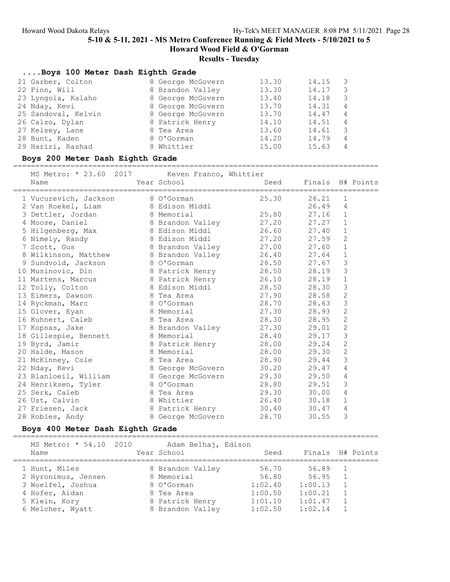# Results - Tuesday

#### ....Boys 100 Meter Dash Eighth Grade

| 21 Garber, Colton   | 8 George McGovern | 13.30 | 14.15 | - 3            |
|---------------------|-------------------|-------|-------|----------------|
| 22 Finn, Will       | 8 Brandon Valley  | 13.30 | 14.17 | -3             |
| 23 Lyngola, Kalaho  | 8 George McGovern | 13.40 | 14.18 | -3             |
| 24 Nday, Kevi       | 8 George McGovern | 13.70 | 14.31 | $\overline{4}$ |
| 25 Sandoval, Kelvin | 8 George McGovern | 13.70 | 14.47 | 4              |
| 26 Calzo, Dylan     | 8 Patrick Henry   | 14.10 | 14.51 | $\overline{4}$ |
| 27 Kelsey, Lane     | 8 Tea Area        | 13.60 | 14.61 | - 3            |
| 28 Bunt, Kaden      | 8 O'Gorman        | 14.20 | 14.79 | 4              |
| 29 Hariri, Rashad   | 8 Whittier        | 15.00 | 15.63 | 4              |
|                     |                   |       |       |                |

#### Boys 200 Meter Dash Eighth Grade

### ===================================================================================

| MS Metro: * 23.60 2017 Keven Franco, Whittier                                                   |                   |                    |                       |                |  |
|-------------------------------------------------------------------------------------------------|-------------------|--------------------|-----------------------|----------------|--|
| Name                                                                                            | Year School       |                    | Seed Finals H# Points |                |  |
| 1 Vucurevich, Jackson                                                                           | 8 O'Gorman        | 25.30              | 26.21                 | $\mathbf{1}$   |  |
| 2 Van Roekel, Liam 8 Edison Middl                                                               |                   |                    | 26.49                 | $\overline{4}$ |  |
| 3 Dettler, Jordan 8 Memorial                                                                    |                   | 25.80              | 27.16                 | $\mathbf{1}$   |  |
|                                                                                                 |                   |                    |                       | $\mathbf{1}$   |  |
|                                                                                                 |                   |                    |                       | $\mathbf 1$    |  |
| 6 Nimely, Randy 8 Edison Middl 27.20<br>7 Scott, Gus 8 Brandon Valley 27.00                     |                   |                    | 27.59                 | $\overline{2}$ |  |
|                                                                                                 |                   |                    | 27.60                 | $1\,$          |  |
|                                                                                                 |                   |                    |                       | $\mathbf 1$    |  |
| 8 Wilkinson, Matthew 8 Brandon Valley 26.40 27.64<br>9 Sundvold, Jackson 8 O'Gorman 28.50 27.67 |                   |                    |                       | $\mathsf 3$    |  |
| 10 Musinovic, Din 8 Patrick Henry 28.50                                                         |                   |                    | 28.19                 | 3              |  |
| 11 Martens, Marcus 8 Patrick Henry 26.10<br>12 Tolly, Colton 8 Edison Middl 28.50               |                   |                    | 28.19                 | $\mathbf 1$    |  |
|                                                                                                 |                   |                    | 28.30                 | $\mathfrak{Z}$ |  |
| 13 Eimers, Dawson 8 Tea Area 6 27.90                                                            |                   |                    | 28.58                 | $\sqrt{2}$     |  |
| 14 Ryckman, Marc 8 O'Gorman                                                                     |                   | 28.70              | 28.63                 | $\mathfrak{Z}$ |  |
| 15 Glover, Eyan                                                                                 |                   | 8 Memorial 27.30   | 28.93                 | $\mathbf{2}$   |  |
| 16 Kuhnert, Caleb 8 Tea Area (28.30)<br>17 Kopsas, Jake 8 Brandon Valley (27.30)                |                   |                    | 28.95                 | $\mathbf{2}$   |  |
|                                                                                                 |                   |                    | 29.01                 | $\mathbf{2}$   |  |
| 18 Gillespie, Bennett 8 Memorial 19 Byrd, Jamir 19 Byrd, 28.00                                  |                   |                    | 29.17                 | 3              |  |
|                                                                                                 |                   |                    | 29.24                 | $\overline{c}$ |  |
| 8 Memorial<br>20 Halde, Mason                                                                   |                   | 28.00              | 29.30                 | $\overline{2}$ |  |
| 21 McKinney, Cole 8 Tea Area (28.90)<br>22 Nday, Kevi (28 May), 20 Seorge McGovern (28.20       |                   |                    | 29.44                 | 3              |  |
|                                                                                                 |                   |                    | 29.47                 | $\overline{4}$ |  |
| 23 Blanloeil, William 8 George McGovern                                                         |                   | 29.30              | 29.50                 | $\sqrt{4}$     |  |
| 24 Henriksen, Tyler 8 O'Gorman                                                                  |                   | 28.80              | 29.51                 | 3              |  |
| 25 Serk, Caleb                                                                                  |                   | 8 Tea Area (29.30) | 30.00                 | 4              |  |
| 26 Ust, Calvin                                                                                  |                   | 8 Whittier 26.40   | 30.18                 | $\mathbf 1$    |  |
| 27 Friesen, Jack 8 Patrick Henry 30.40                                                          |                   |                    | 30.47                 | $\overline{4}$ |  |
| 28 Robles, Andy                                                                                 | 8 George McGovern | 28.70              | 30.55                 | 3              |  |

### Boys 400 Meter Dash Eighth Grade

===================================================================================

| MS Metro: * 54.10 2010<br>Name  | Adam Belhaj, Edison<br>Year School | Seed               | Finals H# Points   |            |  |
|---------------------------------|------------------------------------|--------------------|--------------------|------------|--|
| 1 Hunt, Miles                   | 8 Brandon Valley                   | 56.70              | 56.89              | $\sim$ 1   |  |
| 2 Hyronimus, Jensen             | 8 Memorial                         | 56.80              | 56.95              | $\sqrt{1}$ |  |
| 3 Woelfel, Joshua               | 8 O'Gorman                         | 1:02.40            | 1:00.13            | $\sim$ 1   |  |
| 4 Hofer, Aidan<br>5 Klein, Kory | 8 Tea Area<br>8 Patrick Henry      | 1:00.50<br>1:01.10 | 1:00.21<br>1:01.47 |            |  |
| 6 Melcher, Wyatt                | 8 Brandon Valley                   | 1:02.50            | 1:02.14            |            |  |
|                                 |                                    |                    |                    |            |  |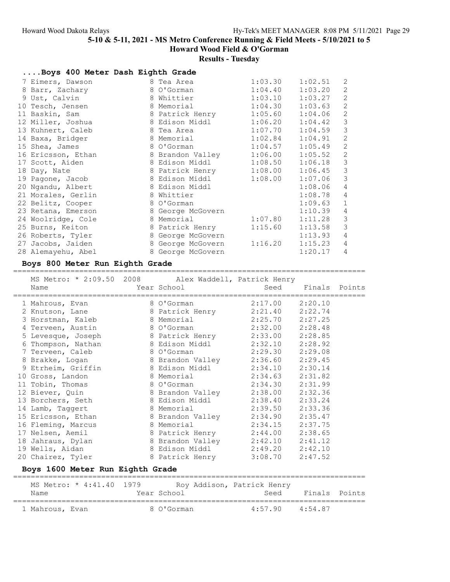## Results - Tuesday

| Boys 400 Meter Dash Eighth Grade |                      |         |         |                |
|----------------------------------|----------------------|---------|---------|----------------|
| 7 Eimers, Dawson                 | 8 Tea Area           | 1:03.30 | 1:02.51 | 2              |
| 8 Barr, Zachary                  | 8 O'Gorman           | 1:04.40 | 1:03.20 | $\sqrt{2}$     |
| 9 Ust, Calvin                    | 8 Whittier           | 1:03.10 | 1:03.27 | $\overline{2}$ |
| 10 Tesch, Jensen                 | 8 Memorial           | 1:04.30 | 1:03.63 | $\sqrt{2}$     |
| 11 Baskin, Sam                   | 8 Patrick Henry      | 1:05.60 | 1:04.06 | 2              |
| 12 Miller, Joshua                | 8 Edison Middl       | 1:06.20 | 1:04.42 | $\mathfrak{Z}$ |
| 13 Kuhnert, Caleb                | 8 Tea Area           | 1:07.70 | 1:04.59 | $\mathfrak{Z}$ |
| 14 Baxa, Bridger                 | 8 Memorial           | 1:02.84 | 1:04.91 | $\mathbf{2}$   |
| 15 Shea, James                   | 8 O'Gorman           | 1:04.57 | 1:05.49 | $\mathbf{2}$   |
| 16 Ericsson, Ethan               | 8 Brandon Valley     | 1:06.00 | 1:05.52 | 2              |
| 17 Scott, Aiden                  | 8 Edison Middl       | 1:08.50 | 1:06.18 | $\mathcal{S}$  |
| 18 Day, Nate                     | 8 Patrick Henry      | 1:08.00 | 1:06.45 | $\mathcal{S}$  |
| 19 Pagone, Jacob                 | 8 Edison Middl       | 1:08.00 | 1:07.06 | $\mathcal{S}$  |
| 20 Ngandu, Albert                | 8 Edison Middl       |         | 1:08.06 | $\overline{4}$ |
| 21 Morales, Gerlin               | 8 Whittier           |         | 1:08.78 | $\overline{4}$ |
| 22 Belitz, Cooper                | 8 O'Gorman           |         | 1:09.63 | $\mathbf 1$    |
| 23 Retana, Emerson               | 8 George McGovern    |         | 1:10.39 | $\sqrt{4}$     |
| 24 Woolridge, Cole               | 8 Memorial Communist | 1:07.80 | 1:11.28 | $\mathfrak{Z}$ |
| 25 Burns, Keiton                 | 8 Patrick Henry      | 1:15.60 | 1:13.58 | 3              |
| 26 Roberts, Tyler                | 8 George McGovern    |         | 1:13.93 | $\overline{4}$ |
| 27 Jacobs, Jaiden                | 8 George McGovern    | 1:16.20 | 1:15.23 | $\overline{4}$ |
| 28 Alemayehu, Abel               | 8 George McGovern    |         | 1:20.17 | $\overline{4}$ |

### Boys 800 Meter Run Eighth Grade

# ================================================================================

| MS Metro: * 2:09.50 2008 Alex Waddell, Patrick Henry<br>Name<br>___________________________________ | Year School      |                     | Seed Finals Points |  |
|-----------------------------------------------------------------------------------------------------|------------------|---------------------|--------------------|--|
| 1 Mahrous, Evan                                                                                     | 8 O'Gorman       | $2:17.00$ $2:20.10$ |                    |  |
| 2 Knutson, Lane 8 Patrick Henry                                                                     |                  | 2:21.40             | 2:22.74            |  |
| 3 Horstman, Kaleb                                                                                   | 8 Memorial       | $2:25.70$ $2:27.25$ |                    |  |
| 4 Terveen, Austin                                                                                   | 8 O'Gorman       | $2:32.00$ $2:28.48$ |                    |  |
| 5 Levesque, Joseph                                                                                  | 8 Patrick Henry  | $2:33.00$ $2:28.85$ |                    |  |
| 6 Thompson, Nathan                                                                                  | 8 Edison Middl   | $2:32.10$ $2:28.92$ |                    |  |
| 7 Terveen, Caleb                                                                                    | 8 O'Gorman       | 2:29.30             | 2:29.08            |  |
| 8 Brakke, Logan                                                                                     | 8 Brandon Valley | $2:36.60$ $2:29.45$ |                    |  |
| 9 Etrheim, Griffin                                                                                  | 8 Edison Middl   | 2:34.10             | 2:30.14            |  |
| 10 Gross, Landon                                                                                    | 8 Memorial       | 2:34.63             | 2:31.82            |  |
| 11 Tobin, Thomas                                                                                    | 8 O'Gorman       | 2:34.30 2:31.99     |                    |  |
| 12 Biever, Quin                                                                                     | 8 Brandon Valley | 2:38.00 2:32.36     |                    |  |
| 13 Borchers, Seth                                                                                   | 8 Edison Middl   | 2:38.40 2:33.24     |                    |  |
| 14 Lamb, Taggert                                                                                    | 8 Memorial       | 2:39.50             | 2:33.36            |  |
| 15 Ericsson, Ethan                                                                                  | 8 Brandon Valley | $2:34.90$ $2:35.47$ |                    |  |
| 16 Fleming, Marcus                                                                                  | 8 Memorial       | 2:34.15             | 2:37.75            |  |
| 17 Nelsen, Aemil                                                                                    | 8 Patrick Henry  | 2:44.00             | 2:38.65            |  |
| 18 Jahraus, Dylan                                                                                   | 8 Brandon Valley | $2:42.10$ $2:41.12$ |                    |  |
| 19 Wells, Aidan                                                                                     | 8 Edison Middl   | $2:49.20$ $2:42.10$ |                    |  |
| 20 Chairez, Tyler                                                                                   | 8 Patrick Henry  | 3:08.70             | 2:47.52            |  |
|                                                                                                     |                  |                     |                    |  |

## Boys 1600 Meter Run Eighth Grade

| MS Metro: * 4:41.40 1979 |             | Roy Addison, Patrick Henry |               |  |
|--------------------------|-------------|----------------------------|---------------|--|
| Name                     | Year School | Seed                       | Finals Points |  |
| 1 Mahrous, Evan          | 8 O'Gorman  | $4:57.90$ $4:54.87$        |               |  |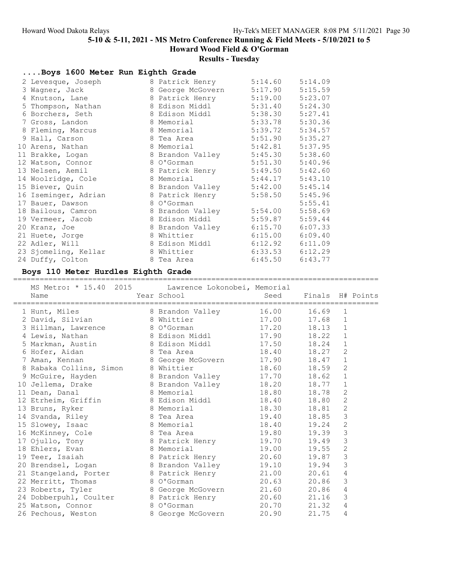# Results - Tuesday

| Boys 1600 Meter Run Eighth Grade    |                   |         |         |
|-------------------------------------|-------------------|---------|---------|
| 2 Levesque, Joseph                  | 8 Patrick Henry   | 5:14.60 | 5:14.09 |
| 3 Wagner, Jack                      | 8 George McGovern | 5:17.90 | 5:15.59 |
| 4 Knutson, Lane                     | 8 Patrick Henry   | 5:19.00 | 5:23.07 |
| 5 Thompson, Nathan                  | 8 Edison Middl    | 5:31.40 | 5:24.30 |
| 6 Borchers, Seth                    | 8 Edison Middl    | 5:38.30 | 5:27.41 |
| 7 Gross, Landon                     | 8 Memorial        | 5:33.78 | 5:30.36 |
| 8 Fleming, Marcus                   | 8 Memorial        | 5:39.72 | 5:34.57 |
| 9 Hall, Carson                      | 8 Tea Area        | 5:51.90 | 5:35.27 |
| 10 Arens, Nathan                    | 8 Memorial        | 5:42.81 | 5:37.95 |
| 11 Brakke, Logan                    | 8 Brandon Valley  | 5:45.30 | 5:38.60 |
| 12 Watson, Connor                   | 8 O'Gorman        | 5:51.30 | 5:40.96 |
| 13 Nelsen, Aemil                    | 8 Patrick Henry   | 5:49.50 | 5:42.60 |
| 14 Woolridge, Cole                  | 8 Memorial        | 5:44.17 | 5:43.10 |
| 15 Biever, Quin                     | 8 Brandon Valley  | 5:42.00 | 5:45.14 |
| 16 Iseminger, Adrian                | 8 Patrick Henry   | 5:58.50 | 5:45.96 |
| 17 Bauer, Dawson                    | 8 O'Gorman        |         | 5:55.41 |
| 18 Bailous, Camron                  | 8 Brandon Valley  | 5:54.00 | 5:58.69 |
| 19 Vermeer, Jacob                   | 8 Edison Middl    | 5:59.87 | 5:59.44 |
| 20 Kranz, Joe                       | 8 Brandon Valley  | 6:15.70 | 6:07.33 |
| 21 Huete, Jorge                     | 8 Whittier        | 6:15.00 | 6:09.40 |
| 22 Adler, Will                      | 8 Edison Middl    | 6:12.92 | 6:11.09 |
| 23 Sjomeling, Kellar                | 8 Whittier        | 6:33.53 | 6:12.29 |
| 24 Duffy, Colton                    | 8 Tea Area        | 6:45.50 | 6:43.77 |
| Boys 110 Motor Hurdles Fighth Crade |                   |         |         |

#### Boys 110 Meter Hurdles Eighth Grade ===================================================================================

| MS Metro: * 15.40 2015 Lawrence Lokonobei, Memorial<br>Name            | Year School       | Seed  | Finals H# Points |                |  |
|------------------------------------------------------------------------|-------------------|-------|------------------|----------------|--|
| 1 Hunt, Miles                                                          | 8 Brandon Valley  | 16.00 | 16.69            | 1              |  |
| 2 David, Silvian                                                       | 8 Whittier        | 17.00 | 17.68            | $\mathbf{1}$   |  |
| 3 Hillman, Lawrence 8 O'Gorman                                         |                   | 17.20 | 18.13            | $\mathbf 1$    |  |
| 4 Lewis, Nathan                                                        | 8 Edison Middl    | 17.90 | 18.22            | $\mathbf 1$    |  |
| 5 Markman, Austin 8 Edison Middl                                       |                   | 17.50 | 18.24            | $\mathbf{1}$   |  |
| 6 Hofer, Aidan                                                         | 8 Tea Area        | 18.40 | 18.27            | $\mathbf{2}$   |  |
| 7 Aman, Kennan                                                         | 8 George McGovern | 17.90 | 18.47            | $1\,$          |  |
| 8 Rabaka Collins, Simon 8 Whittier                                     |                   | 18.60 | 18.59            | $\overline{c}$ |  |
| 9 McGuire, Hayden                                                      | 8 Brandon Valley  | 17.70 | 18.62            | $\mathbf{1}$   |  |
| 10 Jellema, Drake and 8 Brandon Valley                                 |                   | 18.20 | 18.77            | $\mathbf{1}$   |  |
| 11 Dean, Danal                                                         | 8 Memorial        | 18.80 | 18.78            | 2              |  |
| 12 Etrheim, Griffin 8 Edison Middl                                     |                   | 18.40 | 18.80            | $\overline{c}$ |  |
| 13 Bruns, Ryker<br>8 Memorial                                          |                   | 18.30 | 18.81            | $\overline{2}$ |  |
| 14 Svanda, Riley                                                       | 8 Tea Area        | 19.40 | 18.85            | 3              |  |
| 15 Slowey, Isaac                                                       | 8 Memorial        | 18.40 | 19.24            | $\sqrt{2}$     |  |
| 16 McKinney, Cole                                                      | 8 Tea Area        | 19.80 | 19.39            | 3              |  |
| 17 Ojullo, Tony 8 Patrick Henry                                        |                   | 19.70 | 19.49            | 3              |  |
| 18 Ehlers, Evan                                                        | 8 Memorial        | 19.00 | 19.55            | $\mathbf{2}$   |  |
| 19 Teer, Isaiah                                                        | 8 Patrick Henry   | 20.60 | 19.87            | $\mathsf 3$    |  |
| 20 Brendsel, Logan 18 Brandon Valley                                   |                   | 19.10 | 19.94            | 3              |  |
| 21 Stangeland, Porter 8 Patrick Henry                                  |                   | 21.00 | 20.61            | $\overline{4}$ |  |
| 22 Merritt, Thomas                                                     | 8 O'Gorman        | 20.63 | 20.86            | 3              |  |
| 23 Roberts, Tyler                                                      | 8 George McGovern | 21.60 | 20.86            | 4              |  |
|                                                                        |                   | 20.60 | 21.16            | 3              |  |
| 24 Dobberpuhl, Coulter 8 Patrick Henry<br>25 Watson, Connor 8 O'Gorman |                   | 20.70 | 21.32            | 4              |  |
| 26 Pechous, Weston                                                     | 8 George McGovern | 20.90 | 21.75            | $\overline{4}$ |  |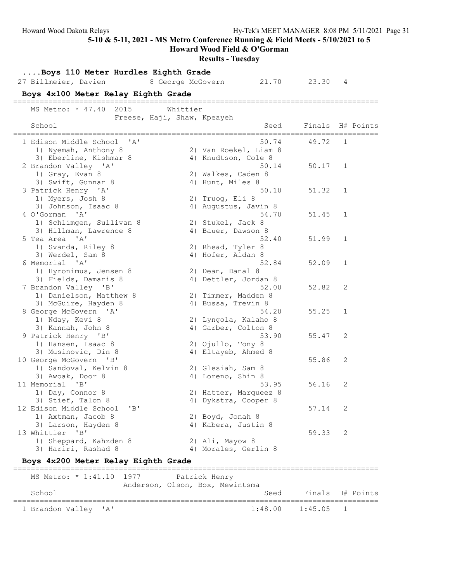Howard Wood Field & O'Gorman

# Results - Tuesday

| Boys 110 Meter Hurdles Eighth Grade             |                   |                                       |         |           |
|-------------------------------------------------|-------------------|---------------------------------------|---------|-----------|
| 27 Billmeier, Davien                            | 8 George McGovern | 21.70                                 | 23.30   | 4         |
| Boys 4x100 Meter Relay Eighth Grade             |                   | ------------------------------------- |         |           |
| MS Metro: * 47.40 2015                          | Whittier          |                                       |         |           |
| Freese, Haji, Shaw, Kpeayeh                     |                   |                                       |         |           |
| School                                          |                   | Seed                                  | Finals  | H# Points |
| 1 Edison Middle School<br>$\mathsf{A}$          |                   | 50.74                                 | 49.72   | 1         |
| 1) Nyemah, Anthony 8                            |                   | 2) Van Roekel, Liam 8                 |         |           |
| 3) Eberline, Kishmar 8                          |                   | 4) Knudtson, Cole 8                   |         |           |
| 2 Brandon Valley 'A'                            |                   | 50.14                                 | 50.17   | 1         |
| 1) Gray, Evan 8                                 |                   | 2) Walkes, Caden 8                    |         |           |
| 3) Swift, Gunnar 8                              |                   | 4) Hunt, Miles 8                      |         |           |
| 3 Patrick Henry 'A'                             |                   | 50.10                                 | 51.32   | 1         |
| 1) Myers, Josh 8                                |                   | 2) Truog, Eli 8                       |         |           |
| 3) Johnson, Isaac 8                             |                   | 4) Augustus, Javin 8                  |         |           |
| $^{\prime}$ A $^{\prime}$<br>4 O'Gorman         |                   | 54.70                                 | 51.45   | 1         |
| 1) Schlimgen, Sullivan 8                        |                   | 2) Stukel, Jack 8                     |         |           |
| 3) Hillman, Lawrence 8                          |                   | 4) Bauer, Dawson 8                    |         |           |
| 5 Tea Area 'A'                                  |                   | 52.40                                 | 51.99   | 1         |
| 1) Svanda, Riley 8                              |                   | 2) Rhead, Tyler 8                     |         |           |
| 3) Werdel, Sam 8                                |                   | 4) Hofer, Aidan 8                     |         |           |
| 6 Memorial 'A'                                  |                   | 52.84                                 | 52.09   | 1         |
| 1) Hyronimus, Jensen 8                          |                   | 2) Dean, Danal 8                      |         |           |
| 3) Fields, Damaris 8                            |                   | 4) Dettler, Jordan 8                  |         |           |
| 7 Brandon Valley 'B'                            |                   | 52.00                                 | 52.82   | 2         |
| 1) Danielson, Matthew 8                         |                   | 2) Timmer, Madden 8                   |         |           |
| 3) McGuire, Hayden 8                            |                   | 4) Bussa, Trevin 8                    |         |           |
| 8 George McGovern 'A'                           |                   | 54.20                                 | 55.25   | 1         |
| 1) Nday, Kevi 8                                 |                   | 2) Lyngola, Kalaho 8                  |         |           |
| 3) Kannah, John 8                               |                   | 4) Garber, Colton 8                   |         |           |
| 9 Patrick Henry 'B'                             |                   | 53.90                                 | 55.47   | 2         |
| 1) Hansen, Isaac 8                              |                   | 2) Ojullo, Tony 8                     |         |           |
| 3) Musinovic, Din 8                             |                   | 4) Eltayeb, Ahmed 8                   |         |           |
| 10 George McGovern 'B'                          |                   |                                       | 55.86   | 2         |
| 1) Sandoval, Kelvin 8                           |                   | 2) Glesiah, Sam 8                     |         |           |
| 3) Awoak, Door 8                                |                   | 4) Loreno, Shin 8                     |         |           |
| 11 Memorial<br>$\mathsf{B}$                     |                   | 53.95                                 | 56.16   | 2         |
| 1) Day, Connor 8                                |                   | 2) Hatter, Marqueez 8                 |         |           |
| 3) Stief, Talon 8                               |                   | 4) Dykstra, Cooper 8                  |         |           |
| "B"<br>12 Edison Middle School                  |                   |                                       | 57.14   | 2         |
| 1) Axtman, Jacob 8                              |                   | 2) Boyd, Jonah 8                      |         |           |
| 3) Larson, Hayden 8                             |                   | 4) Kabera, Justin 8                   |         |           |
| 13 Whittier<br>"B"                              |                   |                                       | 59.33   | 2         |
| 1) Sheppard, Kahzden 8                          |                   | 2) Ali, Mayow 8                       |         |           |
| 3) Hariri, Rashad 8                             |                   | 4) Morales, Gerlin 8                  |         |           |
| Boys 4x200 Meter Relay Eighth Grade             |                   |                                       |         |           |
| ----------------<br>MS Metro: * 1:41.10<br>1977 |                   | Patrick Henry                         |         |           |
|                                                 |                   | Anderson, Olson, Box, Mewintsma       |         |           |
| School                                          |                   | Seed                                  | Finals  | H# Points |
| 1 Brandon Valley<br>' A '                       |                   | 1:48.00                               | 1:45.05 | 1         |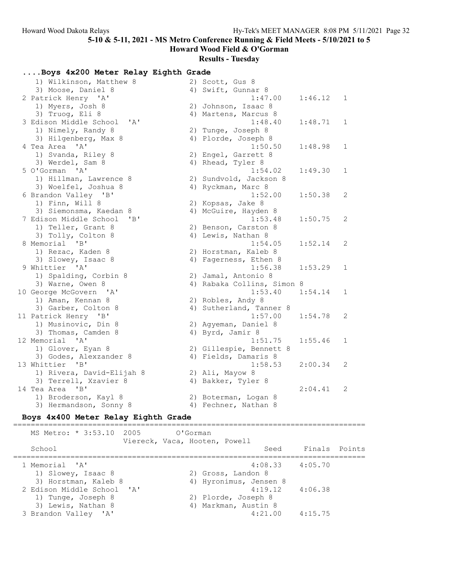Howard Wood Field & O'Gorman

## Results - Tuesday

| Boys 4x200 Meter Relay Eighth Grade |  |  |  |  |  |
|-------------------------------------|--|--|--|--|--|
|-------------------------------------|--|--|--|--|--|

| 1) Wilkinson, Matthew 8        | 2) Scott, Gus 8            |         |              |
|--------------------------------|----------------------------|---------|--------------|
| 3) Moose, Daniel 8             | 4) Swift, Gunnar 8         |         |              |
| 2 Patrick Henry 'A'            | 1:47.00                    | 1:46.12 | $\mathbf{1}$ |
| 1) Myers, Josh 8               | 2) Johnson, Isaac 8        |         |              |
| 3) Truog, Eli 8                | 4) Martens, Marcus 8       |         |              |
| 3 Edison Middle School<br>' A' | 1:48.40                    | 1:48.71 | 1            |
| 1) Nimely, Randy 8             | 2) Tunge, Joseph 8         |         |              |
| 3) Hilgenberg, Max 8           | 4) Plorde, Joseph 8        |         |              |
| 4 Tea Area 'A'                 | 1:50.50                    | 1:48.98 | $\mathbf{1}$ |
| 1) Svanda, Riley 8             | 2) Engel, Garrett 8        |         |              |
| 3) Werdel, Sam 8               | 4) Rhead, Tyler 8          |         |              |
| 5 O'Gorman 'A'                 | 1:54.02                    | 1:49.30 | 1            |
| 1) Hillman, Lawrence 8         | 2) Sundvold, Jackson 8     |         |              |
| 3) Woelfel, Joshua 8           | 4) Ryckman, Marc 8         |         |              |
| 6 Brandon Valley 'B'           | 1:52.00                    | 1:50.38 | 2            |
| 1) Finn, Will 8                | 2) Kopsas, Jake 8          |         |              |
| 3) Siemonsma, Kaedan 8         | 4) McGuire, Hayden 8       |         |              |
| 7 Edison Middle School<br>"B"  | 1:53.48                    | 1:50.75 | 2            |
| 1) Teller, Grant 8             | 2) Benson, Carston 8       |         |              |
| 3) Tolly, Colton 8             | 4) Lewis, Nathan 8         |         |              |
| 8 Memorial 'B'                 | 1:54.05                    | 1:52.14 | 2            |
| 1) Rezac, Kaden 8              | 2) Horstman, Kaleb 8       |         |              |
| 3) Slowey, Isaac 8             | 4) Fagerness, Ethen 8      |         |              |
| 9 Whittier 'A'                 | 1:56.38                    | 1:53.29 | 1            |
| 1) Spalding, Corbin 8          | 2) Jamal, Antonio 8        |         |              |
| 3) Warne, Owen 8               | 4) Rabaka Collins, Simon 8 |         |              |
| 10 George McGovern 'A'         | 1:53.40                    | 1:54.14 | 1            |
| 1) Aman, Kennan 8              | 2) Robles, Andy 8          |         |              |
| 3) Garber, Colton 8            | 4) Sutherland, Tanner 8    |         |              |
| 11 Patrick Henry 'B'           | 1:57.00                    | 1:54.78 | 2            |
| 1) Musinovic, Din 8            | 2) Agyeman, Daniel 8       |         |              |
| 3) Thomas, Camden 8            | 4) Byrd, Jamir 8           |         |              |
| 12 Memorial 'A'                | 1:51.75                    | 1:55.46 | 1            |
| 1) Glover, Eyan 8              | 2) Gillespie, Bennett 8    |         |              |
| 3) Godes, Alexzander 8         | 4) Fields, Damaris 8       |         |              |
| 13 Whittier 'B'                | 1:58.53                    | 2:00.34 | 2            |
| 1) Rivera, David-Elijah 8      | 2) Ali, Mayow 8            |         |              |
| 3) Terrell, Xzavier 8          | 4) Bakker, Tyler 8         |         |              |
| 14 Tea Area<br>"B"             |                            | 2:04.41 | 2            |
| 1) Broderson, Kayl 8           | 2) Boterman, Logan 8       |         |              |
| 3) Hermandson, Sonny 8         | 4) Fechner, Nathan 8       |         |              |

### Boys 4x400 Meter Relay Eighth Grade

================================================================================ MS Metro: \* 3:53.10 2005 O'Gorman Viereck, Vaca, Hooten, Powell School School Seed Finals Points ================================================================================ 1 Memorial 'A' 4:08.33 4:05.70 1) Slowey, Isaac 8 2) Gross, Landon 8 3) Horstman, Kaleb 8 4) Hyronimus, Jensen 8 2 Edison Middle School 'A' 4:19.12 4:06.38 1) Tunge, Joseph 8 2) Plorde, Joseph 8 3) Lewis, Nathan 8 4) Markman, Austin 8 3 Brandon Valley 'A' 4:21.00 4:15.75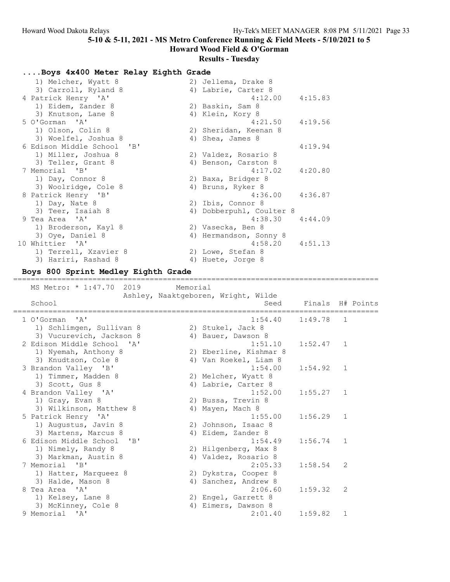Howard Wood Field & O'Gorman

## Results - Tuesday

| Boys 4x400 Meter Relay Eighth Grade |  |  |  |  |  |
|-------------------------------------|--|--|--|--|--|
|-------------------------------------|--|--|--|--|--|

| 1) Melcher, Wyatt 8                                                    | 2) Jellema, Drake 8      |         |
|------------------------------------------------------------------------|--------------------------|---------|
| 3) Carroll, Ryland 8                                                   | 4) Labrie, Carter 8      |         |
| 4 Patrick Henry 'A'                                                    | $4:12.00$ $4:15.83$      |         |
| 1) Eidem, Zander 8                                                     | 2) Baskin, Sam 8         |         |
| 3) Knutson, Lane 8                                                     | 4) Klein, Kory 8         |         |
| 5 O'Gorman 'A'                                                         | 4:21.50                  | 4:19.56 |
| 1) Olson, Colin 8                                                      | 2) Sheridan, Keenan 8    |         |
| 3) Woelfel, Joshua 8                                                   | 4) Shea, James 8         |         |
| 6 Edison Middle School<br>$^{\prime}$ B <sup><math>\prime</math></sup> |                          | 4:19.94 |
| 1) Miller, Joshua 8                                                    | 2) Valdez, Rosario 8     |         |
| 3) Teller, Grant 8                                                     | 4) Benson, Carston 8     |         |
| 7 Memorial 'B'                                                         | 4:17.02                  | 4:20.80 |
| 1) Day, Connor 8                                                       | 2) Baxa, Bridger 8       |         |
| 3) Woolridge, Cole 8                                                   | 4) Bruns, Ryker 8        |         |
| 8 Patrick Henry 'B'                                                    | 4:36.00                  | 4:36.87 |
| 1) Day, Nate 8                                                         | 2) Ibis, Connor 8        |         |
| 3) Teer, Isaiah 8                                                      | 4) Dobberpuhl, Coulter 8 |         |
| 9 Tea Area 'A'                                                         | 4:38.30                  | 4:44.09 |
| 1) Broderson, Kayl 8                                                   | 2) Vasecka, Ben 8        |         |
| 3) Oye, Daniel 8                                                       | 4) Hermandson, Sonny 8   |         |
| 10 Whittier 'A'                                                        | $4:58.20$ $4:51.13$      |         |
| 1) Terrell, Xzavier 8                                                  | 2) Lowe, Stefan 8        |         |
| 3) Hariri, Rashad 8                                                    | 4) Huete, Jorge 8        |         |

#### Boys 800 Sprint Medley Eighth Grade

### =================================================================================== MS Metro: \* 1:47.70 2019 Memorial Ashley, Naaktgeboren, Wright, Wilde School School Seed Finals H# Points =================================================================================== 1 O'Gorman 'A' 1:54.40 1:49.78 1 1) Schlimgen, Sullivan 8 2) Stukel, Jack 8 3) Vucurevich, Jackson 8 (4) Bauer, Dawson 8 2 Edison Middle School 'A' 1:51.10 1:52.47 1 1) Nyemah, Anthony 8 2) Eberline, Kishmar 8 3) Knudtson, Cole 8 4) Van Roekel, Liam 8 3 Brandon Valley 'B' 1:54.00 1:54.92 1 1) Timmer, Madden 8 2) Melcher, Wyatt 8 3) Scott, Gus 8 4) Labrie, Carter 8 4 Brandon Valley 'A' 1:52.00 1:55.27 1 1) Gray, Evan 8 2) Bussa, Trevin 8 3) Wilkinson, Matthew 8 4) Mayen, Mach 8 5 Patrick Henry 'A' 1:55.00 1:56.29 1 1) Augustus, Javin 8 2) Johnson, Isaac 8 3) Martens, Marcus 8 4) Eidem, Zander 8 6 Edison Middle School 'B' 1:54.49 1:56.74 1 1) Nimely, Randy 8 2) Hilgenberg, Max 8 3) Markman, Austin 8 4) Valdez, Rosario 8 7 Memorial 'B' 2:05.33 1:58.54 2 1) Hatter, Marqueez 8 2) Dykstra, Cooper 8 3) Halde, Mason 8 4) Sanchez, Andrew 8 8 Tea Area 'A' 2:06.60 1:59.32 2 1) Kelsey, Lane 8 2) Engel, Garrett 8 3) McKinney, Cole 8 4) Eimers, Dawson 8 9 Memorial 'A' 2:01.40 1:59.82 1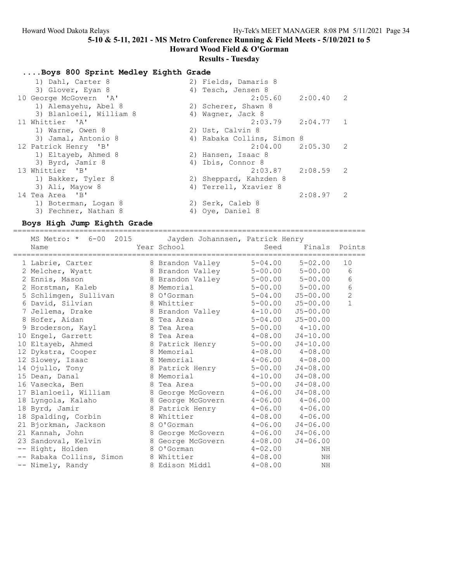Howard Wood Field & O'Gorman

## Results - Tuesday

....Boys 800 Sprint Medley Eighth Grade

| 1) Dahl, Carter 8       | 2) Fields, Damaris 8       |             |  |
|-------------------------|----------------------------|-------------|--|
| 3) Glover, Eyan 8       | 4) Tesch, Jensen 8         |             |  |
| 10 George McGovern 'A'  | $2:05.60$ $2:00.40$ 2      |             |  |
| 1) Alemayehu, Abel 8    | 2) Scherer, Shawn 8        |             |  |
| 3) Blanloeil, William 8 | 4) Wagner, Jack 8          |             |  |
| 11 Whittier 'A'         | 2:03.79                    | $2:04.77$ 1 |  |
| 1) Warne, Owen 8        | 2) Ust, Calvin 8           |             |  |
| 3) Jamal, Antonio 8     | 4) Rabaka Collins, Simon 8 |             |  |
| 12 Patrick Henry 'B'    | $2:04.00$ $2:05.30$ 2      |             |  |
| 1) Eltayeb, Ahmed 8     | 2) Hansen, Isaac 8         |             |  |
| 3) Byrd, Jamir 8        | 4) Ibis, Connor 8          |             |  |
| 13 Whittier 'B'         | $2:03.87$ $2:08.59$ 2      |             |  |
| 1) Bakker, Tyler 8      | 2) Sheppard, Kahzden 8     |             |  |
| 3) Ali, Mayow 8         | 4) Terrell, Xzavier 8      |             |  |
| 14 Tea Area 'B'         |                            | $2:08.97$ 2 |  |
| 1) Boterman, Logan 8    | 2) Serk, Caleb 8           |             |  |
| 3) Fechner, Nathan 8    | 4) Oye, Daniel 8           |             |  |
|                         |                            |             |  |

## Boys High Jump Eighth Grade

================================================================================

| MS Metro: * 6-00 2015 Jayden Johannsen, Patrick Henry<br>Name | Year School       | Seed                     | Finals Points           |                |
|---------------------------------------------------------------|-------------------|--------------------------|-------------------------|----------------|
| 1 Labrie, Carter                                              | 8 Brandon Valley  |                          | $5 - 04.00$ $5 - 02.00$ | 10             |
| 2 Melcher, Wyatt                                              | 8 Brandon Valley  | $5 - 00.00$ $5 - 00.00$  |                         | 6              |
| 2 Ennis, Mason                                                | 8 Brandon Valley  |                          | $5 - 00.00$ $5 - 00.00$ | 6              |
| 2 Horstman, Kaleb                                             | 8 Memorial        |                          | $5 - 00.00$ $5 - 00.00$ | 6              |
| 5 Schlimgen, Sullivan                                         | 8 O'Gorman        | $5 - 04.00$              | J5-00.00                | $\overline{c}$ |
| 6 David, Silvian                                              | 8 Whittier        | $5 - 00.00$              | $J5 - 00.00$            | $\mathbf{1}$   |
| 7 Jellema, Drake                                              | 8 Brandon Valley  | $4 - 10.00$              | $J5 - 00.00$            |                |
| 8 Hofer, Aidan                                                | 8 Tea Area        | $5 - 04.00$ $J5 - 00.00$ |                         |                |
| 9 Broderson, Kayl                                             | 8 Tea Area        | $5 - 00.00$ $4 - 10.00$  |                         |                |
| 10 Engel, Garrett                                             | 8 Tea Area        | $4 - 08.00$              | $J4 - 10.00$            |                |
| 10 Eltayeb, Ahmed                                             | 8 Patrick Henry   | $5 - 00.00$              | $J4 - 10.00$            |                |
| 12 Dykstra, Cooper                                            | 8 Memorial        | $4-08.00$ $4-08.00$      |                         |                |
| 12 Slowey, Isaac                                              | 8 Memorial        | $4 - 06.00$              | $4 - 08.00$             |                |
| 14 Ojullo, Tony                                               | 8 Patrick Henry   | $5 - 00.00$              | $J4 - 08.00$            |                |
| 15 Dean, Danal                                                | 8 Memorial        | $4 - 10.00$              | $J4 - 08.00$            |                |
| 16 Vasecka, Ben                                               | 8 Tea Area        | $5 - 00.00$              | $J4 - 08.00$            |                |
| 17 Blanloeil, William                                         | 8 George McGovern | $4 - 06.00$              | $J4 - 08.00$            |                |
| 18 Lyngola, Kalaho                                            | 8 George McGovern | $4-06.00$ $4-06.00$      |                         |                |
| 18 Byrd, Jamir                                                | 8 Patrick Henry   | $4-06.00$ $4-06.00$      |                         |                |
| 18 Spalding, Corbin                                           | 8 Whittier        | $4-08.00$ $4-06.00$      |                         |                |
| 21 Bjorkman, Jackson                                          | 8 O'Gorman        | $4 - 06.00$              | $J4 - 06.00$            |                |
| 21 Kannah, John                                               | 8 George McGovern | $4 - 06.00$              | $J4 - 06.00$            |                |
| 23 Sandoval, Kelvin                                           | 8 George McGovern | $4 - 08.00$              | $J4 - 06.00$            |                |
| -- Hight, Holden                                              | 8 O'Gorman        | $4 - 02.00$              | NH                      |                |
| -- Rabaka Collins, Simon                                      | 8 Whittier        | $4 - 08.00$              | ΝH                      |                |
| -- Nimely, Randy                                              | 8 Edison Middl    | $4 - 08.00$              | NH                      |                |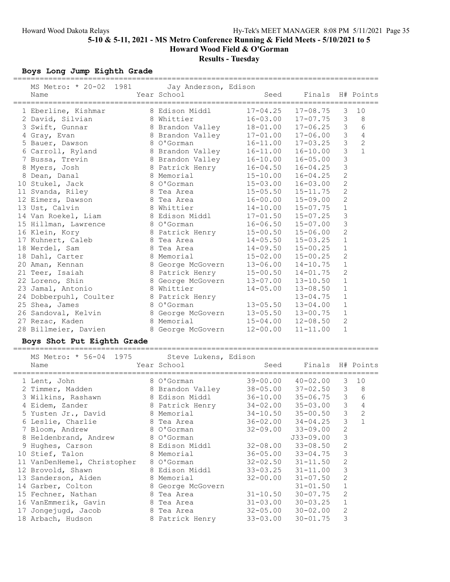## Boys Long Jump Eighth Grade

| MS Metro: * 20-02 1981<br>Name | Jay Anderson, Edison<br>Year School | =================================<br>Seed | Finals H# Points          |                |                |
|--------------------------------|-------------------------------------|-------------------------------------------|---------------------------|----------------|----------------|
| 1 Eberline, Kishmar            | 8 Edison Middl                      | $17 - 04.25$                              | $17 - 08.75$              | 3              | 10             |
| 2 David, Silvian               | 8 Whittier                          | $16 - 03.00$                              | $17 - 07.75$              | 3              | 8              |
| 3 Swift, Gunnar                | 8 Brandon Valley                    | $18 - 01.00$                              | $17 - 06.25$              | 3              | 6              |
| 4 Gray, Evan                   | 8 Brandon Valley                    | $17 - 01.00$                              | $17 - 06.00$              | $\mathfrak{Z}$ | $\overline{4}$ |
| 5 Bauer, Dawson                | 8 O'Gorman                          |                                           | $16 - 11.00$ $17 - 03.25$ | $\mathfrak{Z}$ | $\overline{c}$ |
| 6 Carroll, Ryland              | 8 Brandon Valley                    |                                           | $16 - 11.00$ $16 - 10.00$ | $\mathfrak{Z}$ | $\mathbf{1}$   |
| 7 Bussa, Trevin                | 8 Brandon Valley                    | $16 - 10.00$                              | $16 - 05.00$              | 3              |                |
| 8 Myers, Josh                  | 8 Patrick Henry                     | $16 - 04.50$                              | $16 - 04.25$              | 3              |                |
| 8 Dean, Danal                  | 8 Memorial                          | $15 - 10.00$                              | $16 - 04.25$              | $\overline{c}$ |                |
| 10 Stukel, Jack                | 8 O'Gorman                          | $15 - 03.00$                              | $16 - 03.00$              | $\overline{2}$ |                |
| 11 Svanda, Riley               | 8 Tea Area                          | $15 - 05.50$ $15 - 11.75$                 |                           | $\overline{2}$ |                |
| 12 Eimers, Dawson              | 8 Tea Area                          |                                           | $16 - 00.00$ $15 - 09.00$ | $\overline{c}$ |                |
| 13 Ust, Calvin                 | 8 Whittier                          | $14 - 10.00$                              | $15 - 07.75$              | $\mathbf 1$    |                |
| 14 Van Roekel, Liam            | 8 Edison Middl                      | $17 - 01.50$                              | $15 - 07.25$              | 3              |                |
| 15 Hillman, Lawrence           | 8 O'Gorman                          | $16 - 06.50$                              | $15 - 07.00$              | 3              |                |
| 16 Klein, Kory                 | 8 Patrick Henry                     | $15 - 00.50$ $15 - 06.00$                 |                           | $\overline{2}$ |                |
| 17 Kuhnert, Caleb              | 8 Tea Area                          | $14 - 05.50$ $15 - 03.25$                 |                           | $\mathbf{1}$   |                |
| 18 Werdel, Sam                 | 8 Tea Area                          | $14 - 09.50$ $15 - 00.25$                 |                           | $\mathbf{1}$   |                |
| 18 Dahl, Carter                | 8 Memorial                          | $15 - 02.00$                              | $15 - 00.25$              | $\overline{2}$ |                |
| 20 Aman, Kennan                | 8 George McGovern                   | $13 - 06.00$                              | $14 - 10.75$              | $\mathbf{1}$   |                |
| 21 Teer, Isaiah                | 8 Patrick Henry                     | $15 - 00.50$                              | $14 - 01.75$              | $\overline{2}$ |                |
| 22 Loreno, Shin                | 8 George McGovern                   | $13 - 07.00$                              | $13 - 10.50$              | $\mathbf{1}$   |                |
| 23 Jamal, Antonio              | 8 Whittier                          | $14 - 05.00$                              | $13 - 08.50$              | $\mathbf{1}$   |                |
| 24 Dobberpuhl, Coulter         | 8 Patrick Henry                     |                                           | $13 - 04.75$              | $\mathbf 1$    |                |
| 25 Shea, James                 | 8 O'Gorman                          | $13 - 05.50$                              | $13 - 04.00$              | $\mathbf 1$    |                |
| 26 Sandoval, Kelvin            | 8 George McGovern                   | $13 - 05.50$                              | $13 - 00.75$              | $\mathbf{1}$   |                |
| 27 Rezac, Kaden                | 8 Memorial                          | $15 - 04.00$                              | $12 - 08.50$              | $\mathbf{2}$   |                |
| 28 Billmeier, Davien           | 8 George McGovern                   | $12 - 00.00$                              | $11 - 11.00$              | $\mathbf{1}$   |                |

### Boys Shot Put Eighth Grade

===================================================================================

| MS Metro: * 56-04 1975 Steve Lukens, Edison         |                                     |                              |                           |                |                |
|-----------------------------------------------------|-------------------------------------|------------------------------|---------------------------|----------------|----------------|
| Name<br>==============================              | Year School and the Material School | ---------------------------- | Seed Finals H# Points     |                |                |
| 1 Lent, John                                        | 8 O'Gorman                          |                              | 39-00.00 40-02.00         | 3              | 10             |
| 2 Timmer, Madden                                    | 8 Brandon Valley                    |                              | 38-05.00 37-02.50 3 8     |                |                |
| 3 Wilkins, Rashawn                                  | 8 Edison Middl 36-10.00 35-06.75 3  |                              |                           |                | 6              |
| 4 Eidem, Zander 8 Patrick Henry 34-02.00 35-03.00   |                                     |                              |                           | $\mathcal{S}$  | $\overline{4}$ |
| 5 Yusten Jr., David 8 Memorial                      |                                     |                              | $34 - 10.50$ $35 - 00.50$ | 3              | 2              |
| 6 Leslie, Charlie                                   | 8 Tea Area                          |                              | $36 - 02.00$ $34 - 04.25$ | 3              | $\mathbf{1}$   |
| 7 Bloom, Andrew                                     | 8 O'Gorman                          |                              | $32 - 09.00$ $33 - 09.00$ | $\mathbf{2}$   |                |
| 8 Heldenbrand, Andrew                               | 8 O'Gorman                          |                              | J33-09.00                 | 3              |                |
| 9 Hughes, Carson                                    | 8 Edison Middl                      |                              | $32 - 08.00$ $33 - 08.50$ | $\overline{2}$ |                |
| 10 Stief, Talon                                     | 8 Memorial                          |                              | $36 - 05.00$ $33 - 04.75$ | 3              |                |
| 11 VanDenHemel, Christopher                         | 8 O'Gorman                          |                              | $32 - 02.50$ $31 - 11.50$ | 2              |                |
| 12 Brovold, Shawn                                   | 8 Edison Middl                      |                              | $33 - 03.25$ $31 - 11.00$ | 3              |                |
| 13 Sanderson, Aiden                                 | 8 Memorial                          |                              | $32 - 00.00$ $31 - 07.50$ | $\overline{2}$ |                |
| 14 Garber, Colton                                   | 8 George McGovern                   |                              | $31 - 01.50$              | $\mathbf{1}$   |                |
| 15 Fechner, Nathan                                  | 8 Tea Area                          | $31 - 10.50$                 | $30 - 07.75$              | 2              |                |
| 16 VanEmmerik, Gavin                                | 8 Tea Area                          |                              | $31 - 03.00$ $30 - 03.25$ | $1\,$          |                |
| 17 Jongejugd, Jacob                                 | 8 Tea Area                          |                              | $32 - 05.00$ $30 - 02.00$ | 2              |                |
| 18 Arbach, Hudson 8 Patrick Henry 33-03.00 30-01.75 |                                     |                              |                           | 3              |                |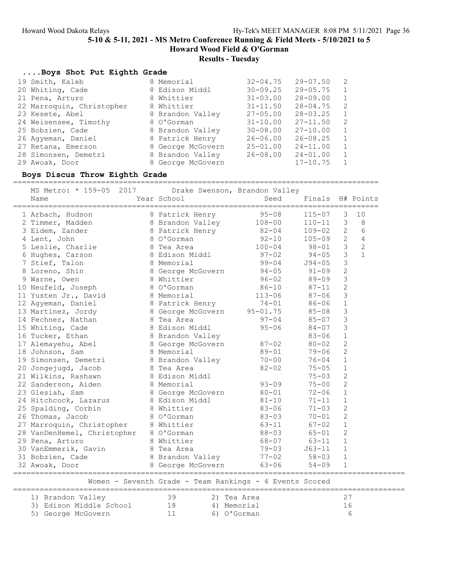# Results - Tuesday

## ....Boys Shot Put Eighth Grade

| 19 Smith, Kaleb           | 8 Memorial        | $32 - 04.75$ | $29 - 07.50$ | 2 |
|---------------------------|-------------------|--------------|--------------|---|
| 20 Whiting, Cade          | 8 Edison Middl    | $30 - 09.25$ | $29 - 05.75$ | 1 |
| 21 Pena, Arturo           | 8 Whittier        | $31 - 03.00$ | $28 - 09.00$ |   |
| 22 Marroquin, Christopher | 8 Whittier        | $31 - 11.50$ | $28 - 04.75$ | 2 |
| 23 Kesete, Abel           | 8 Brandon Valley  | $27 - 05.00$ | $28 - 03.25$ | 1 |
| 24 Weisensee, Timothy     | 8 O'Gorman        | $31 - 10.00$ | $27 - 11.50$ | 2 |
| 25 Bobzien, Cade          | 8 Brandon Valley  | $30 - 08.00$ | $27 - 10.00$ | 1 |
| 26 Aqyeman, Daniel        | 8 Patrick Henry   | $26 - 06.00$ | $26 - 08.25$ |   |
| 27 Retana, Emerson        | 8 George McGovern | $25 - 01.00$ | $24 - 11.00$ |   |
| 28 Simonsen, Demetri      | 8 Brandon Valley  | $26 - 08.00$ | $24 - 01.00$ |   |
| 29 Awoak, Door            | 8 George McGovern |              | $17 - 10.75$ |   |

## Boys Discus Throw Eighth Grade

===================================================================================

| MS Metro: * 159-05 2017 Drake Swenson, Brandon Valley<br>Name                                                                  | Year School                                             | Seed                           | Finals H# Points |                         |                |
|--------------------------------------------------------------------------------------------------------------------------------|---------------------------------------------------------|--------------------------------|------------------|-------------------------|----------------|
| 1 Arbach, Hudson               8 Patrick Henry           95-08<br>2 Timmer, Madden             8 Brandon Valley         108-00 |                                                         |                                | $115 - 07$ 3     |                         | 10             |
|                                                                                                                                |                                                         |                                | $110 - 11$ 3     |                         | 8              |
| 3 Eidem, Zander                                                                                                                | 8 Patrick Henry 82-04                                   |                                | $109 - 02$ 2     |                         | 6              |
| 4 Lent, John 8 O'Gorman<br>5 Leslie, Charlie 8 Tea Area<br>6 Hughes, Carson 8 Edison Middl<br>7 Stief, Talon 8 Memorial        |                                                         | $92-10$<br>$100-04$<br>$97-02$ | $105 - 09$       | $2^{\circ}$             | $\overline{4}$ |
|                                                                                                                                |                                                         |                                | $98 - 01$ 3      |                         | 2              |
|                                                                                                                                |                                                         |                                | $94 - 05$ 3      |                         | $\overline{1}$ |
|                                                                                                                                |                                                         | $99 - 04$                      | J94-05           | $\overline{\mathbf{3}}$ |                |
| 8 Loreno, Shin                                                                                                                 | 8 George McGovern 94-05 91-09                           |                                |                  | $\overline{c}$          |                |
| 9 Warne, Owen                                                                                                                  | 8 Whittier                                              | $96 - 02$                      | 89-09            | 3                       |                |
|                                                                                                                                |                                                         | $86 - 10$                      | 87-11            | $\overline{c}$          |                |
| 10 Neufeld, Joseph 8 0'Gorman 86-10<br>11 Yusten Jr., David 8 Memorial 113-06<br>12 Agyeman, Daniel 8 Patrick Henry 74-01      |                                                         |                                | $87 - 06$        | $\mathcal{S}$           |                |
|                                                                                                                                |                                                         |                                | 86-06            | $\mathbf{1}$            |                |
| 13 Martinez, Jordy 8 George McGovern 95-01.75                                                                                  |                                                         |                                | 85-08            | 3                       |                |
| 14 Fechner, Nathan 8 Tea Area                                                                                                  |                                                         | $97 - 04$                      | $85 - 07$        | $\mathsf 3$             |                |
| 15 Whiting, Cade                                                                                                               | 8 Edison Middl                                          | $95 - 06$                      | $84 - 07$        | $\mathcal{S}$           |                |
|                                                                                                                                |                                                         |                                | $83 - 06$        | $\mathbf{1}$            |                |
|                                                                                                                                |                                                         |                                | $80 - 02$        | $\overline{2}$          |                |
| 16 Tucker, Ethan 8 Brandon Valley<br>17 Alemayehu, Abel 8 George McGovern 87-02<br>18 Johnson, Sam 8 Memorial 89-01            |                                                         | $89 - 01$                      | 79-06            | $\overline{c}$          |                |
| 19 Simonsen, Demetri 8 Brandon Valley 70-00                                                                                    |                                                         |                                | 76-04            | $\mathbf{1}$            |                |
| 20 Jongejugd, Jacob 8 Tea Area                                                                                                 |                                                         | $82 - 02$                      | $75 - 05$        | $\mathbf 1$             |                |
| 21 Wilkins, Rashawn                                                                                                            | 8 Edison Middl                                          |                                | $75 - 03$        | $\overline{c}$          |                |
| 22 Sanderson, Aiden                                                                                                            |                                                         | $93 - 09$                      | $75 - 00$        | 2                       |                |
| 23 Glesiah, Sam                                                                                                                | 8 Memorial 93-09<br>8 George McGovern 80-01             |                                | $72 - 06$        | $\mathbf{1}$            |                |
| 24 Hitchcock, Lazarus 8 Edison Middl                                                                                           |                                                         | $81 - 10$                      | $71 - 11$        | $\mathbf{1}$            |                |
| 25 Spalding, Corbin                                                                                                            | 8 Whittier                                              | $83 - 06$                      | $71 - 03$        | $\overline{c}$          |                |
| 26 Thomas, Jacob                                                                                                               | 8 O'Gorman                                              | $83 - 03$                      | $70 - 01$        | $\overline{c}$          |                |
| 27 Marroquin, Christopher 8 Whittier                                                                                           |                                                         |                                | $67 - 02$        | $\mathbf{1}$            |                |
| 28 VanDenHemel, Christopher 8 O'Gorman                                                                                         |                                                         | 63-11<br>88-03                 | $65 - 01$        | $\overline{2}$          |                |
| 29 Pena, Arturo                                                                                                                | - 8 Whittier                                            | $68 - 07$                      | $63 - 11$ 1      |                         |                |
| 30 VanEmmerik, Gavin 8 Tea Area                                                                                                |                                                         | $79 - 03$                      | J63-11           | $\mathbf 1$             |                |
| 31 Bobzien, Cade 68 Brandon Valley 77-02 58-03                                                                                 |                                                         |                                |                  | $\mathbf 1$             |                |
| 32 Awoak, Door                                                                                                                 | 8 George McGovern 63-06 54-09                           |                                |                  | $\mathbf{1}$            |                |
|                                                                                                                                | Women - Seventh Grade - Team Rankings - 4 Events Scored |                                |                  |                         |                |
| 1) Brandon Valley 39                                                                                                           |                                                         | 2) Tea Area                    |                  | 27                      |                |
| 3) Edison Middle School (a) 18 (4) Memorial (5) George McGovern (a) 11 (6) O'Gorman                                            |                                                         |                                |                  | 16                      |                |
| 5) George McGovern                                                                                                             |                                                         |                                |                  | 6                       |                |